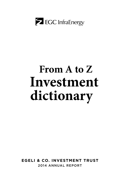

# **Investment dictionary From A to Z**

**EGELI & CO. INVESTMENT TRUST** 2014 ANNUAL REPORT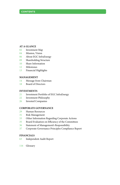#### **AT A GLANCE**

- Investment Map
- Mission, Vision
- About EGC InfraEnergy
- Shareholding Structure
- Share Information
- Milestones
- Financial Highlights

#### **MANAGEMENT**

- Message from Chairman
- Board of Directors

#### **INVESTMENTS**

- Investment Portfolio of EGC InfraEnergy
- Investment Philosophy
- Invested Companies

#### **CORPORATE GOVERNANCE**

- Human Resources
- Risk Management
- Other Information Regarding Corporate Actions
- Board Evaluation on Efficiency of the Committees
- Statement of Management's Responsibility
- Corporate Governance Principles Compliance Report

#### **FINANCIALS**

- Independent Audit Report
- Glossary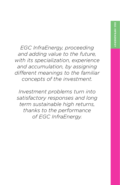*EGC InfraEnergy, proceeding and adding value to the future, with its specialization, experience and accumulation, by assigning different meanings to the familiar concepts of the investment.* 

*Investment problems turn into satisfactory responses and long term sustainable high returns, thanks to the performance of EGC InfraEnergy.*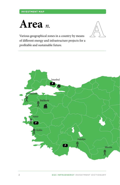



Various geographical zones in a country by means of different energy and infrastructure projects for a profitable and sustainable future.

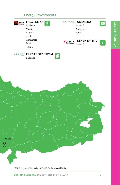### Energy Investments



**ENDA ENERGY** Balikesir Mersin Antalya Aydin Canakkale Izmir Adana

### **EGC Energy EGC ENERGY\*** Istanbul Antalya Izmir

#### **EURASIA ENERGY** Istanbul



 $\overline{\mathbf{z}}$ 

**KARESI GEOTHERMAL** Balikesir





\*EGC Energy is 100% subsidiary of Egeli & Co. Investment Holding.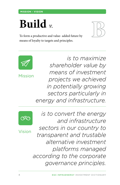### **Build** *v.*

To form a productive and value- added future by means of loyalty to targets and principles.



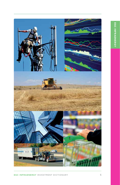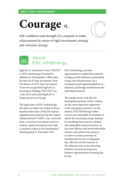### **Courage** *n.*



Self-confidence and strength of a company to make achievements by means of right investments, strategy and common synergy.

### About EGC InfraEnergy

Egeli & Co. Investment Trust ("EGLYO" or EGC InfraEnergy) founded by Akbank on 18 September 1998 under the title Ak B-Type Investment Trust. The shares of Ak B-Type Investment Trust were acquired by Egeli & Co. Investment Holding ("EGCYH") on 3 July 2012 and joined Egeli & Co. Financial Services Group.

The legal status of EGC InfraEnergy, the shares of which are traded at Borsa Istanbul with ticker of EGLYO and are regulated and monitored by the Capital Markets Board ("CMB"), was converted from a securities investment trust to a venture capital investment trust with a resolution taken in the Shareholders' Meeting dated 27 December 2012.

EGC InfraEnergy provides opportunities to exploit the potential in high growth industries, particularly energy and infrastructure, on a transparent and regulated platform to domestic and foreign institutional and individual investors.

The energy sector, vital also for development policies of the Country, are the most important supporters of the emerging economies. In this respect, EGC InfraEnergy makes correct and sustainable investments to satisfy the increasing energy demand by benefiting from inactive, limited and exhaustible natural resources in the most efficient and environmentalist manner and achieves the projects in order to ensure provision of fundamental services in adequate, fast, efficient and fair manner in the infrastructure sector attracting investors, focused on long term business opportunities increasing day by day.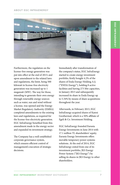

Furthermore, the regulation on the license-free energy generation was put into effect at the end of 2013; and upon amendment to the related laws and regulations, the limit, being 500 kilowatt in license-free electricity generation was increased up to 1 megawatt (MW). The way for those, intending to generate their own energy through renewable energy sources such as water, sun and wind without a license, was opened and the Energy Market Regulatory Authority (EMRA) completed amendments to the existing laws and regulations, as required for the license-free electricity generation. EGC InfraEnergy benefited from this amendment made in the energy sector and expanded its investment strategy.

The Company has a well-established corporate governance system, which ensures efficient control of management's execution of strategic decisions.

Immediately after transformation of the company's status, EGC InfraEnergy started to create energy investment portfolio, firstly bought 4.2% of the shares of Enda Energy Holding A.Ş. ("ENDA Energy"), holding 8 active facilities and having 273 Mw capacities, in January 2013 and subsequently increased its share in Enda Energy up to 5.34% by means of share acquisitions throughout the year.

Afterwards, in February 2013, EGC InfraEnergy acquired shares of Karesi Geothermal, which is a 50% affiliate of Egeli & Co. Investment Holding.

EGC InfraEnergy founded Eurasia Energy Investments in June 2014 with 17.1 million TL shareholders' equity. Eurasia Energy Investments offers movable temporary power systems solutions. At the end of 2014, EGC InfraEnergy exited from one of its investment portfolio, JKS Energy Power System ("JKS Energy") by selling its shares in JKS Energy to other shareholders.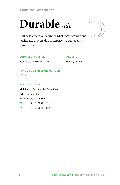## **Durable** *adj.*



Ability to create value under whatsoever conditions during the process due to experience gained and sound structure.

#### COMMERCIAL TITLE

#### **WEBSITE**

Egeli & Co. Investment Trust

www.eglyo.com

#### TRADE REGISTRATION NUMBER

403397

#### **HEADQUARTERS**

Abdi Ipekci Cad. Azer Is Merkezi No: 40 K.4 D: 12-13 34367 Harbiye Sisli/ISTANBUL TEL : +90 ( 212) 343 0626 FAX : +90 ( 212) 343 0627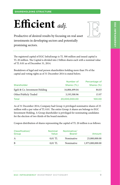### **Efficient** *adj.*



Productive of desired results by focusing on real asset investments in developing sectors and potentially promising sectors.

The registered capital of EGC InfraEnergy is TL 300 million and issued capital is TL 20 million. The Capital is divided into 2 billion shares each with a nominal value of TL 0.01 as of December 31, 2014.

Breakdown of legal and real person shareholders holding more than 5% of the capital and voting rights as of 31 December 2014 is stated below;

|                                | Number of     | Percentage of |
|--------------------------------|---------------|---------------|
| Shareholder                    | Shares (TL)   | Shares (%)    |
| Egeli & Co. Investment Holding | 16,806,499.04 | 84.03         |
| Other/Publicly Traded          | 3,193,500.96  | 15.97         |
| Total                          | 20,000,000,00 | 100.00        |

As of 31 December 2014, Company had Group A privileged nominative shares of 25 million with a par value of TL 0.01. The entire Group A shares are belongs to EGC Investment Holding. A Group shareholder is privileged for nominating candidates for the election of two thirds of the board members.

Coupon distribution of shares representing the capital of TL 20 million is as follows:

| Classification/<br>Group | <b>Nominal</b><br><b>Value</b> | Nominative/<br><b>Bearer</b> | Amount           |
|--------------------------|--------------------------------|------------------------------|------------------|
| A                        | $0.01$ TL                      | Nominative                   | 25,000,000.00    |
| B                        | $0.01$ TL                      | Nominative                   | 1,975,000,000.00 |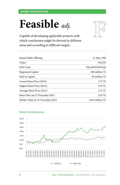### **Feasible** *adj.*



Capable of developing applicable projects with which conclusions might be derived in different areas and according to different targets.

| Initial Public Offering          | 21 May 1999      |
|----------------------------------|------------------|
| Ticker                           | <b>EGLYO</b>     |
| <b>ISIN Code</b>                 | TRAAKYOW91Q4     |
| Registered Capital               | 300 million TL   |
| Paid in Capital                  | 20 million TL    |
| Lowest Share Price (2014)        | 2.73 TL          |
| Highest Share Price (2014)       | 5.93 TL          |
| Average Share Price (2014)       | 4.14 TL          |
| Share Price on 31 December 2014  | 5.93 TL          |
| Market Value on 31 December 2014 | 118.6 million TL |

#### Share Performance

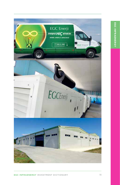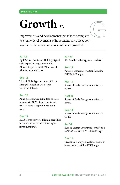### **Growth** *n.*



Improvements and developments that take the company to a higher level by means of investments since inception, together with enhancement of confidence provided.

#### **Jul 12**

Egeli & Co. Investment Holding signed a share purchase agreement with Akbank to purchase 70.4% shares of Ak B Investment Trust.

#### **Sep 12**

Title of Ak B-Type Investment Trust changed to Egeli & Co. B-Type Investment Trust.

#### **Sep 12**

An application was submitted to CMB to convert EGLYO from investment trust to venture capital investment trust.

#### **Dec 12**

EGLYO was converted from a securities investment trust to a venture capital investment trust.

#### **Jan 13**

4.21% of Enda Energy was purchased.

#### **Feb 13**

Karesi Geothermal was transferred to EGC InfraEnergy.

#### **Mar 13**

Shares of Enda Energy were raised to 4.35%.

#### **Aug 13**

Shares of Enda Energy were raised to 4.96%.

#### **Sep 13**

Shares of Enda Energy were raised to 5.34%.

#### **Jul 14**

Eurasia Energy Investments was found as %100 affiliate of EGC InfraEnergy.

#### **Dec 14**

EGC InfraEnergy exited from one of its investment portfolio, JKS Energy.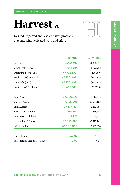### **Harvest** *n.*

Desired, expected and lastly derived profitable outcome with dedicated work and effort.

|                                   | 31.12.2014  | 31.12.2013 |
|-----------------------------------|-------------|------------|
| Revenue                           | 2,072,303   | 34,888,394 |
| Gross Profit /(Loss)              | 614,584     | 3,192,958  |
| Operating Profit/(Loss)           | (7,928,109) | (430,780)  |
| Profit / (Loss) Before Tax        | (7,930,908) | (431, 104) |
| Net Profit/(Loss)                 | (7,930,908) | (431, 104) |
| Profit/(Loss) Per Share           | (0.3965)    | (0.0216)   |
| <b>Total Assets</b>               | 33,560,226  | 41,117,235 |
| <b>Current Assets</b>             | 6,125,805   | 29,664,168 |
| <b>Fixed Assets</b>               | 27.434.421  | 11,453,067 |
| Short Term Liabilities            | 191,290     | 539,783    |
| Long Term Liabilities             | 12,976      | 4,711      |
| Shareholders' Equity              | 33,355,960  | 40,572,741 |
| Paid in capital                   | 20,000,000  | 20,000,000 |
| <b>Current Ratio</b>              | 32.02       | 54.95      |
| Shareholders' Equity/Total Assets | 0.99        | 0.98       |

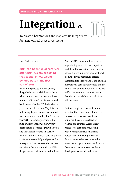## **Integration** *n.*



To create a harmonious and stable value integrity by focusing on real asset investments.

#### Dear Stakeholders,

### 2014 had been full of surprises; after 2014, we are expecting that capital inflow would be moderate in the first half of 2015

Within the process of overcoming the global crisis, we left behind 2014, when monetary expansion and lower interest policies of the biggest central banks were effective. With the signals given by the FED in late May this year, indicating its plan to increase interest with a zero level liquidity for 2015, the year 2014 became a year where the fund outflow accelerated, currency depreciation occurred, growth slowed and inflation increased in Turkey. Whereas the Presidential elections were achieved uneventfully and peacefully in respect of the markets, the greatest surprise in 2014 was the sharp fall in the petroleum prices occurred in June.

And in 2015, we would have a very important general election in just the middle of the year. Since our country acts as energy importer, we may benefit from the lower petroleum prices; therefore; it is expected that the Turkish markets will gain attractiveness and the capital flow will be moderate in the first half of the year with the anticipation that the current deficit and inflation will decrease.

Besides the global effects, it should be noted that conversion of inactive sources into effective investment opportunities increases level of welfare of a country. Accordingly, presence of corporations, acting with a comprehensive financing perspective and having financial fund of knowledge to evaluate the investment opportunities, just like our Company, is as important as the macro developments mentioned above.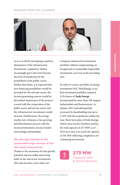

As it is in all the developing countries, dimensions of the infrastructure investments, required in Turkey, increasingly grew and went beyond the level of satisfaction by the possibilities of the public sector. Within that frame, it is expected that new financing possibilities would be provided for the relevant sector; the income generating sources would be diversified; importance of the projects created with the cooperation of the public sector and private sector and the infrastructure investments would increase. Furthermore, the energy market now witnesses a fast growing and liberalization process with the recent privatizations, license tenders and strategic partnerships.

#### We strongly believe in the sustainable high returns of the real asset investments

Thanks to the awareness for this growth potential and our stable and strong belief in the real sector investments, 2014 also became a year when our

Company enhanced its investment portfolio without compromising on its approach to sustainable responsible investments, as it was in the preceding year.

In order to create a portfolio of energy investments EGC InfraEnergy, as its first investment portfolio, acquired 4.2% shares of **Enda Energy**incorporated by more than 100 Aegean Industrialists and Businessmen- in January 2013 and subsequently increased its shareholding rate up to 5.34% with the acquisitions within the year. Short term plan of Enda Energy, which owns 8 active facilities and has the total capacity of 273 MW as of 2014 year-end, is to reach the capacity of 365 MW following completion of 6 continuing investments.

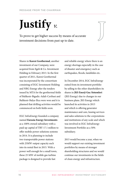# **Justify** *v.*

To prove to get higher success by means of accurate investment decisions from past up to date.

Shares in **Karesi Geothermal**, another investment of our Company, were acquired from Egeli & Co. Investment Holding in February 2013. In the first quarter of 2011, Karesi Geothermal was incorporated by the consortium consisting of EGC Investment Holding and NRG Energy after the tenders issued by MTA for the geothermal fields of Balikesir-Bigadic-Adali-Ceribasi and Balikesir-Balya-Ilica were won and it is planned that drilling activities would be commenced on both fields soon.

EGC InfraEnergy founded a company named **Eurasia Energy Investments** as a 100% owned subsidiary with a paid up capital of TRY 17.1 million to offer mobile power solutions systems in 2014. It is planning to include two transportable power stations with 25MW output capacity each into its rental fleet in 2015. With a power well enough for a small town, these 25 MW of mobile gas turbine package is designed to provide fast

and reliable energy where there is an energy shortage especially in the case of disaster and emergency such as earthquakes, floods, landslides etc.

In December 2014, EGC InfraEnergy exited from its investment portfolio by selling to the other shareholders its shares in **JKS Enerji Guc Sistemleri** (JKS Energy) due to changes in our business plans. JKS Energy which launched its activities in 2013 and which is offering generator maintenance and care, leasing services and sales solutions to the corporations and institutions of any scale and which was involved in EGC InfraEnergy Investment Portfolio as a 50% subsidiary.

2015 would become a year, when we would support our existing investment portfolios by means of stronger shareholding structures and we would continue our investments in the fields of clean energy and infrastructure.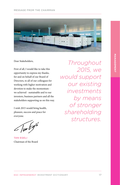

Dear Stakeholders,

First of all, I would like to take this opportunity to express my thanks, for and on behalf of our Board of Directors, to all of our colleagues for working with higher motivation and devotion to make the momentum we achieved - sustainable and to our investors, business partners and all the stakeholders supporting us on this way.

I wish 2015 would bring health, pleasure, success and peace for everyone.

Tau Egeli

TAN EGELI Chairman of the Board

*Throughout 2015, we would support our existing investments by means of stronger shareholding structures.*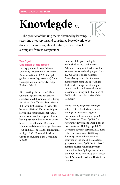## **Knowlegde** *n.*



1. The product of thinking that is obtained by learning, searching or observing and constituted base of work to be done. 2. The most significant feature, which distinct a company from its competitors.

#### **Tan Egeli** Chairman of the Board

Having graduated from Delaware University Department of Business Administration in 1992, Tan Egeli got his master's degree (MSIA) from Carnegie Mellon University, Tepper Business School.

After starting his career in 1994 at Citibank, Egeli served as a senior executive at establishments of Citicorp Securities, İnter Yatirim Securities and BSI Bayindir Securities in that order between 1996 and 2001 especially as responsible for international capital markets and asset management. After leaving BSI Bayindir Securities where he served as a Board of Directors Member and General Manager between 1998 and 2001, he laid the foundations for Egeli & Co. Financial Services Group by founding Egeli Consulting in 2002.

In result of the partnership he established in 2007 with British Ashmore Group which is known for its investments in developing markets, in 2008 Egeli founded Ashmore Asset Management, the first asset management company operating in Turkey with independent foreign capital. Until 2009 he served as CEO at Ashmore Turkey and Chairman of the Board at the subsidiaries of the Company.

While serving as general manager at Egeli & Co. Asset Management, Tan Egeli also serves at Egeli & Co. Financial Investments, Egeli & Co. Investment Trust, Egeli & Co. Agriculture Investment Trust, Egeli & Co. Investment Holding, Egeli & Co. Corporate Support Services, EGC Real Estate Development, EGC Energy, Simya Agriculture Investment as chairman of the board. Besides from group companies, Egeli also is a board member at Istanbul Erkek Lyceum Foundation. Tan Egeli speaks German and English and holds Capital Markets Board Advanced Level and Derivatives Licenses.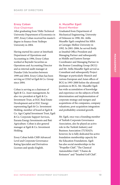#### **Ersoy Coban** Vice-Chairman

After graduating from Yildiz Technical University Department of Economics in 1997, Ersoy Coban received his master's degree in finance from Yeditepe University in 2004.

Having started his career at Interbank Department of Operations and Accounting in 1996, Ersoy Coban worked at Bayindir Securities as Operations and Accounting Director and as internal audit manager at Dundas Unlu Securities between 1999 and 2004. Ersoy Coban has been serving as CFAO at Egeli & Co. Group since 2004.

Coban is serving as a chairman of Egeli & Co. Asset management, he also vice president at Egeli & Co. Investment Trust, at EGC Real Estate Development and at EGC Energy representing Egeli & Co. Investment Holding, member of board at Egeli & Co. Agri Capital Investment Trust, Egeli & Co. Corporate Support Services, Eurasia Energy Investments and Bati Agriculture. Coban is also general manager at Egeli & Co. Investment Holding.

Ersoy Coban holds CMB Advanced Level and Corporate Governance Rating Specialist and Derivatives Licenses and speaks English.

#### **A. Muzaffer Egeli**  Board Member

Graduated from Department of Mechanical Engineering, University of Delaware in 1990, Mr. Atilla Muzaffer Egeli completed his MBA at Carnegie-Mellon University in 1992. In 2001-2006, he served firstly as Istanbul Office President and Managing Partner and subsequently as Middle and Eastern Europe Coordinator and Managing Partner in the Boston Consulting Group (BCG) and Mr. Atilla Muzaffer Egeli served as Consultant and subsequently Project Manager at particularly Munich and various European and Asian offices of BCG in 1993-2000 before the aforesaid positions in BCG. Mr. Muzaffer Egeli has wide accumulation of knowledge and experience on the subjects of both determination and implementation of corporate strategy and mergers and acquisitions of the companies, company valuations, post-acquisition integration and profitability-oriented growth.

Mr. Egeli, once was a founding member of Turkish Corporate Governance Association, also he played an active role in the Turkish Industry and Business Association (TUSIAD); however, he is fully dedicated his active foundation membership capacity for the Education Foundations. Egeli has also social memberships in the "Propeller Club", "The Classical Automobiles Club", "Chaine de Rotissiers" and "İstanbul Golf Club".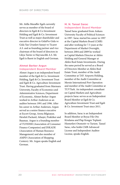Mr. Atilla Muzaffer Egeli currently serves as member of the board of directors in Egeli & Co Investment Holding and Egeli & Co. Investment Trust as well as major shareholder and executive director in GidaPro Gida ve Gida Yan Urunleri Sanayi ve Ticaret A.S. and as founding partner and vice chairman of the board of directors in Likya Tarim ve Hayvancilik A.S. Mr. Egeli is fluent in English and German.

#### **Ahmet Berker Argun** Independent Board Member

Ahmet Argun is an independent board member of the Egeli & Co. Investment Holding, Egeli & Co. Investment Trust and Egeli & Co. Agriculture Investment Trust. Having graduated from Marmara University, Faculty of Economics and Administrative Sciences, Department of Economic, Ahmet Berker Argun worked in Arthur Andersen as an auditor between 1991 and 1996. After his career in Arthur Andersen, Argun served as a senior finance executive at Escort Group, Arena Bilgisayar, Hewlett Packard, Atlasjet, Praktiker and Baumax. Argun is a founding member of TUFIDER (Association of Consumer Finance Companies) and INKADE (Association of Human Resource Management) and also member of AMPD (Association of Shopping Centers). Mr. Argun speaks English and German.

#### **M. N. Tansel Sarac** Independent Board Member

Tansel Sarac graduated from Ankara University Faculty of Political Sciences in 1997. Sarac started his career in 1997 at the Capital Markets Board (CMB) and after working for 7.5 years at the Department of Market Oversight, between 2004 and 2009 he worked as Capital Markets Director at Akfen Holding and General Manager at Akfen Real Estate Investments. During the same period he served as a Board of Directors Member at Akfen Real Estate Trust, member of the Audit Committee at TAV Airports Holding, member of the Audit Committee at Mersin International Port Operation and member of the Audit Committee at TUVTurk. An independent consultant on Capital Markets and Agriculture projects Sarac serves as an Independent Board Member at Egeli & Co. Agriculture Investment Trust and Egeli & Co. Investment Trust since 2011.

In addition, Sarac is an Independent Board Member at Beyaz Filo Oto Kiralama and Flap Kongre Toplanti Hizmetleri Otomotiv ve Turizm. Tansel Sarac, who holds CMB Advanced License and Independent Auditor License, speaks English.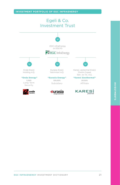### Egeli & Co. Investment Trust

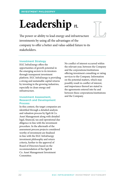### **Leadership** *n.*



The power or ability to lead energy and infrastructure investments by using all the advantages of the company to offer a better and value-added future to its stakeholders.

#### **Investment Strategy**

EGC InfraEnergy offers the opportunities of growth potential in the emerging sectors to its investors through transparent investment platform. EGC InfraEnergy is providing a strong and sustainable capital returns by investing in the growing industries, especially in clean energy and infrastructure.

#### **Investment Assessment, Research and Development Process**

In this context, the target companies are identified through a detailed analysis and valuation process by Egeli & Co. Asset Management along with detailed legal, financial, tax and operational due diligence in line with the investment procedure. In the aftermath of the assessment process projects considered worthy of investment are finalized in line with the EGC InfraEnergy investment philosophy and return criteria, further to the approval of Board of Directors based on the recommendation of the Egeli & Co. Asset Management Investment Committee.

No conflict of interest occurred within the relevant year, between the Company and the corporations/institutions offering investment consulting or rating services to the Company. Information on the potential matters, which may possibly result in conflict of interest, and importance thereof are stated in the agreements entered into by and between these corporations/institutions and the Company.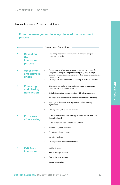Phases of Investment Process are as follows:

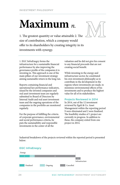### **Maximum** *n.*



1. The greatest quantity or value attainable 2. The size of contribution, which a company would offer to its shareholders by creating integrity in its investments with synergy.

1. EGC InfraEnegry forms the infrastructure for a sustainable financial performance by also improving the governance profile of the companies it is investing in. This approach is one of the main pillars of our investment strategy aiming sustainable return in the long run.

Reports containing financial and operational key performance indicators, issued by the invested companies and real asset investment team are regularly submitted to Board of Directors by Internal Audit and real asset investment team and the ongoing operations of the companies in the portfolio are monitored regularly.

For the purpose of fulfilling the criteria of corporate governance, environmental and social performance criteria, he puts the sustainability and responsible investments in the center of all the

valuation and he did not give his consent to any financial proceeds that are not creating social benefit.

While investing in the energy and infrastructure sector, he constituted his own investment philosophy as to contribute in the development in the regions where investments are made, to minimize environmental effects of his investments and to produce the highest value for all of its stakeholders.

#### **Projects Reviewed in 2014**

In 2014, out of the 12 investment reviewed by Egeli & Co. Asset Management within the reporting period 9 were eliminated and 2 were finalized. The feasibility studies of 1 project are currently in progress. In addition to these, the company exited from one project in 2014.

Industrial breakdown of the projects reviewed within the reported period is presented below:



#### **EGC InfraEnegry**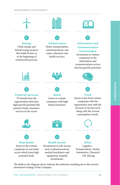#### INVESTMENT PHILOSOPHY



The fields in the diagram above indicate the industries standing out in the current investment strategy of the Company.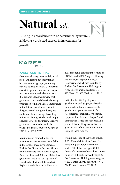### **Natural** *adj.*

1. Being in accordance with or determined by nature.

2. Having a projected success in investments for growth.



#### **KARESI GEOTHERMAL**

Geothermal energy was initially used for health resorts but today it has become an energy type presenting various utilization fields. Geothermal electricity production was developed to a great extent in the last 40 years. It is acknowledged worldwide that geothermal heat and electrical energy production will have a great importance in the future. Investments made in the geothermal energy industry are continuously increasing. According to Electric Energy Market and Supply Security Strategy document, Turkey's geothermal installed capacity is planned to increase up to 600 MW in 2023 from 162.2 MW.

Making use of renewable energy resources among its investment fields in the light of these developments, Egeli & Co. Financial Services Group won the tenders for Balikesir-Bigadic-Adali Ceribasi and Balikesir-Balya-Ilica geothermal areas put out by General Directorate of Mineral Research & Exploration (MTA), on 24 February

2011 through a consortium formed by EGCYH and NRG Energy. Following the tender, the capital of Karesi Geothermal, which was founded by Egeli & Co. Investment Holding and NRG Energy, was raised from TL 480,000 to TL 960,000 in April 2012.

In September 2012 geological, geochemical and geophysical studies were made in both areas subject to geothermal operating permit, for "Geothermal Potential Development Opportunities Research Project" and a report was issued for each area. It is planned that drilling works shall be given a start in both areas within the scope of these reports.

Within the scope of the plans of Egeli & Co. Financial Services Group for combining its energy investments under EGC Infra Energy, 480,000 shares of Karesi Geothermal with a par value of TL 1 each, owned by Egeli & Co. Investment Holding were assigned to EGC Infra Energy in return for TL 794,111 on February 20<sup>th</sup> 2013.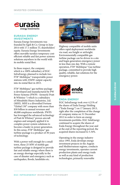

#### **EURASIA ENERGY INVESTMENTS**

Eurasia Energy Investments was founded by Egeli & Co. Group in June 2014 with 17.1 million TL shareholders' equity. Eurasia Energy Investments offers movable turnkey temporary costefficient reliable and fast power systems solutions anywhere in the world with its mobile rental fleet.

In these respect, the company which is a 100% subsidiary of EGC InfraEnergy, planned to include two FT8® Mobilepac® transportable power stations with 25MW output capacity into its rental fleet in 2015.

FT8® Mobilepac® gas turbine package is developed and manufactured by PW Power Systems (PWPS - formerly Pratt & Whitney ®) which is a subsidiary of Mitsubishi Heavy Industries, Ltd. (MHI). MHI is a diversified Fortune "Global 150" company with more than \$30 billion in annual revenues and 40,000 employees worldwide. PWPS has leveraged the advanced technology of Pratt & Whitney® proven aircraft engines and uniquely applied it to complex power system solutions to become a leader in power generation. In this sense, FT8® Mobilepac® gas turbine package is a product of 30 years of technology.

With a power well enough for a small town, these 25 MW of mobile gas turbine package is designed to provide fast and reliable energy where there is an energy shortage especially in the case of disaster and emergency such as earthquakes, floods, landslides etc.



Highway compatible of mobile units offers rapid deployment worldwide via road, sea freight or airfreight. Environmentally compatible gas turbine package can be driven to a site and begin generation emergency power in less than one day. With a remote operation, FT8® Mobilepac® Gas turbine package, committed to provide high quality, reliable, fast solutions for the emergency power.



#### **ENDA ENERGY**

EGC InfraEnergy took over 4.21% of the shares of Enda Energy Holding ("Enda Energy") on 17 January 2013, right after the completion of the change of company status on 31 December 2012 in order to form an energy investments portfolio. EGC InfaEnergy continued to acquire the shares of Enda Energy throughout the year and at the end of the reporting period, the acquired shares increased to 5.34%.

Operating in the energy industry since 1993, Enda develops energy investment projects in the Aegean and Mediterranean regions, conducts energy investments, operates current production plants and energy trade as well as any kind of production technologies, primarily renewable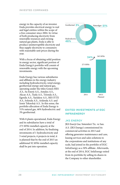energy in the capacity of an investor. Enda provides electrical energy to real and legal entities within the scope of a free consumer since 2004. In virtue of both producing electricity from renewable resources and owning natural gas plants, Enda is able to produce uninterruptible electricity and thus supply electricity to consumers with reasonable unit prices during the year.

With a focus of obtaining solid position in energy sector, significant portion of Enda Energy's portfolio will consist of renewable energy with the upcoming investments.

Enda Energy has various subsidiaries and affiliates in the energy industry including hydroelectricity, wind energy, geothermal energy and natural gas, operating under the titles Gonen HES A.S., Su Enerji A.S., Antalya A.S., Akcay A.S., Tuzla A.S., Tirenda A.S., Egenda A.S., Yaylakoy A.S., RES IYTE A.S., Solenda A.S., Ardenda A.S. and Izmir Teknoloji A.S.. In this sense, the portfolio allocation of Enda Energy is 51% natural gas, 46% hydroelectric and 3% geothermal.

With 8 plants operational, Enda Energy and its subsidiaries have a total of 273 MWe installed capacity at the end of 2014. In addition, by finalizing investments of 1 hydroelectricity and 5 wind projects, 6 projects in total, it is planned that by the end of 2015 an additional 92 MWe installed capacity shall be put into operation.



#### **EXITED INVESTMENTS of EGC INFRAENERGY**

#### JKS ENERGY

JKS Enerji Guc Sistemleri Tic. ve San. A.S. (JKS Energy) commissioned its commercial activities in 2013 and offering generator maintenance and care, leasing services and sales solutions to the corporations and institutions of any scale, had joined in the portfolio of EGC InfraEnergy as a 50% affiliate. Afterwards, at the end of 2014, EGC InfaEnergy exited from its portfolio by selling its shares in the Company to other shareholder.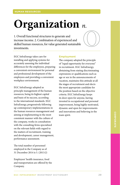## **Organization** *n.*

1. Overall functional structures to generate and increase income. 2. Combination of experienced and skilled human resources, for value generated sustainable investments.



EGC InfraEnergy takes care for installing and applying systems for accurately assessing the individual differences for the employees, preparing a convenient environment for personal and professional development of the employees and providing a convenient workplace environment.

EGC InfraEnergy adopted as principle management of the human resources, being its highest capital and basis of its success, according to the international standards. EGC InfraEnergy, progressively following up contemporary implementations in the human resources management and aiming at implementing in the most consistent manner with the culture of the company, works in consultation with the consulting firms specialized on the relevant fields with regard to the matters of recruitment, training and development, career management, performance assessment.

The total number of personnel employed in the Company as of 31 December 2014 is 5. (2013:2)

Employees' health insurance, food and transportation are offered by the Company.

#### **Employment**

The company adopted the principle of "equal opportunity for everyone" in recruitment. EGC InfraEnergy, abstaining from stating discriminating expressions or qualifications such as age or sex in the announcements of vacation, maintains this attitude at all the stages of recruitment and elects the most appropriate candidate for the position based on the objective criteria. EGC InfraEnergy keeps its door open for anyone, having invested in occupational and personal improvement, being highly motivated, dynamic and open for improvements and innovations and believing in the team spirit.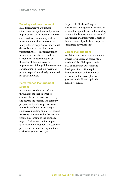#### **Training and Improvement**

EGC InfraEnergy pays utmost attention to occupational and personal improvements of the human resources and therefore continuously makes investment in its human resources. Many different ways such as individual demands, executives' observances, performance assessment negotiation results, assessment center studies are followed in determination of the needs of the employees for improvement. Taking all the results into consideration, annual improvement plan is prepared and closely monitored for each employee.

#### **Performance Management System**

A systematic study is carried out throughout the year in order to evaluate the performance objectively and reward the success. The company prepares an individual performance report for each EGC InfraEnergy employee, including annual targets and necessary competence for the relevant position, according to the company's targets. Performance of the employee is followed up throughout the year and performance evaluation negotiations are held in January each year.

Purpose of EGC InfraEnergy's performance management system is to provide the appointment and rewarding system with data, ensure assessment of the stronger and improvable aspects of the employees objectively and support sustainable improvements.

#### **Career Management**

Job definitions, necessary competence, criteria for success and career plans are defined for all the positions in EGC InfraEnergy. Direction and development activities required for improvement of the employee according to the career plan are governed and followed up by the human resources.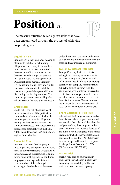## **Position** *n.*

The measure situation taken against risks that have been encountered through the process of achieving corporate goals.

#### **Liquidity Risk**

Liquidity risk is the Company's possibility of failing to fulfill of its net funding obligations. Uncertainty in the markets or occurrence of events as a result of decrease in funding resources such as decrease in credit ratings can give rise to Liquidity Risk. The management of EGC InfraEnergy manages Liquidity Risk by keeping enough cash and similar resources ready in order to fulfill its current and potential responsibilities by distributing the funding resources. The Company performs periodical liquidity risk analysis for the risks it may expose to.

#### **Credit Risk**

Credit risk is the risk of occurrence of financial loss of one of the parties in a commercial relation due to of failure by the other party to meet its obligation relating to a financial instrument. The Company is exposed to the credit risk due to its deposit amount kept in the bank. All the bank deposits of the Company are kept in Turkish banks.

#### **Financial Risk**

Due to its activities, the Company is investing in long-term projects. Financing needs of these investments are satisfied by liquid values; and the risks such as failure to find funds with appropriate conditions for project financing credit, failure to create due dates of the existing debts according to the due dates of the assets

under the current assets item and failure to establish optimum balance between the assets and resources are all monitored.

#### **Currency/Interest Rate Risk**

Foreign Currency Risk is the effects arising from currency rate movements in case of having assets, liabilities and Off-Balance Sheet liabilities in any foreign currency. The company currently is not subject to foreign currency risk. The Company expose to interest rate risk due to effects of the changes in market interest rates lead to fluctuations in the prices of financial instruments. These exposures are managed by short-term retention of assets affected by interest rate changes.

#### **Share Certificate Price Risk**

All stocks of the Company categorized as financial assets held for purchase and sale are traded at Borsa Istanbul. Based on the analyses made by the Company, in the event that there is an increase/decrease of 5% in the stock market price of the shares, presuming that all other variables remain constant, there is a TL 119.213 decrease/ increase net period loss of the company for the period at December 31, 2014. (31 December 2013: TL 472).

#### **Market Risk**

Market risks such as; fluctuations in electricity prices, changes in electricity demand, price instability for the raw materials (sources), state ongoing

**CORPORATE**

CORPORATE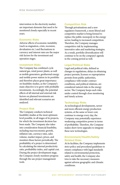intervention in the electricity market, are important elements that need to be monitored closely especially in recent years.

#### **Economic Risks**

Adverse effects of economic instability (such us stagnation, crisis, recession, devaluation etc.) and fluctuations in currency and interest rates are the major risk factors for the investment and operation stages.

#### **Investment Risks**

The Company has combined-cycle natural gas, wind power plants, as well as mobile generators, geothermal energy and mobile power station in its portfolio and therefore places great importance on feasibility studies, as the Company's main objective is to grow with profitable investments. Accordingly, the potential effects of all internal and external risk factors on planned investments are identified and relevant scenarios are analyzed.

#### **Project Risk**

The Company conducts technical feasibility studies at the most optimum level possible, in all stages of its projects, for which the investment decision has been made. The Company also takes into consideration financial feasibility, including macroeconomic growth, inflation rate, currency rates, sales volume, market impact, prices, and monitors these factors periodically. The profitability of a project is determined by calculating the internal productivity ratio, profitability index, and capital cost. During the project development stage, the Company closely monitors progress through the use project management tools.

#### **Competition Risk**

Through privatizations and a new regulatory framework, a more liberal and competitive market is being formed to replace the public monopoly in the energy sector, leading to increased competition. Therefore, the Company manages competitive risk by implementing innovative sales and marketing strategies. As a result, portfolio diversification will continue to be on the company's agenda in the coming period as well.

#### **Legal/Political Risks**

Legal and political risks, defined as changes in regulations, delays in obtaining project permits, licenses or expropriation permits from public authorities, compliance with tender contract conditions, and political relations, are considered natural risks in the energy sector. The Company keeps such risks under control through close monitoring and timely actions.

#### **Technology Risks**

As technological developments, newer and more efficient energy production systems, at the same or lower cost, continue to emerge every day, the Company may potentially experience weakening competitive power in terms of profitability. Therefore, the Company makes short-term upgrades to integrate these new technologies.

#### **Environment/Health/Safety Related Risks**

At its facilities, the Company implements strict policy and procedural guidelines to ensure compliance with legal standards related to environmental protection, safety and health; the Company also tries to take the necessary measures against adverse geographic and climatic conditions.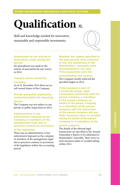## **Qualification** *n.*

Skill and knowledge needed for innovative, sustainable and responsible investments.



#### **Amendment to the articles of association, made during the period**

No amendment was made to the articles of association for any reason in 2014.

#### **Treasury shares owned by Company**

As of 31 December 2014 there are no self-owned shares of the Company

#### **Private and public inspections conducted within the reporting**

#### **period**

The Company was not subject to any private or public inspections in 2014.

### **Administrative or law**

**enforcement imposed on the Company or members of the management body due to practices contrary to provisions** 

#### **of the legislation**

There was no administrative or law enforcement imposed on the company or members of the management organ due to practices contrary to provisions of the legislation within the accounting period.

**Whether the targets specified in the past periods were achieved or not, the resolutions of the Shareholders' Assembly were accomplished or not, and if the resolutions were not** 

**accomplished; the reasons** The Company mostly achieved the specified targets in 2014.

#### **If the company is part of a corporate group; legal**

**transactions performed with the parent company, a subsidiary of the parent company, on behalf of the parent company or a subsidiary of the parent company with the instruction of the parent company and any other measures taken or avoided taking on behalf of the parent company or a subsidiary of the** 

#### **parent company**

The details of the relevant legal transactions are specified in the Annual Dependency Report to be submitted to Shareholders' Assembly. There were no such measures taken or avoided taking within 2014.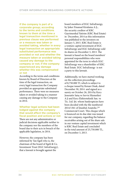**If the company is part of a corporate group; according to the terms and conditions known to them at the time a legal transaction mentioned in previous clause was performed or a measure was taken or avoided taking, whether in every legal transaction an appropriate substituted performance was provided or not and whether the measure taken or avoided taking caused any damage to the company or not; if the company experienced any damage whether this was compensated or not** 

According to the terms and conditions known by Board of Directors at the time of the legal transaction, on every legal transaction the Company provided an appropriate substituted performance. There were no measures taken or avoided taking in a manner causing any damage to the Company in 2014.

#### **Whether legal actions had been lodged against the company that would affect the company's fiscal position and actions or not**

There are not any administrative or judicial decisions applicable neither to the company nor the members of the board due to their acts in breach of the applicable legislation, in 2014.

However, the company has been informed by Tan Egeli who is, the chairman of the board of Egeli & Co. Investment Trust (EGC InfraEnergy), that a lawsuit is brought against the

board members of EGC InfraEnergy, by Şeker Finansal Kiralama A.Ş., the security creditor of KRC Gayrimenkul Yatirim (KRC Real Estate) in December, 2014 as this information was published to the investors on January 5, 2015. KRC Real Estate is a venture capital investment of EGC InfraEnergy and EGC InfraEnergy sold its shares on December 3, 2013. The lawsuit is based on the board members' personal responsibilities who were appointed for the term in which EGC InfraEnergy was a shareholder of KRC Real Estate. EGC InfraEnergy is not a party to this lawsuit.

Additionally, we have started working on the collection proceedings of 8,750.000 TL which is subject to a cheque issued by Kenan Onak, dated December 30, 2014 and signed as a surety on October 26, 2014 by Kırcı Jeneratör Satış ve Servis Hizmetleri A.Ş and Kırcı Elektroteknik San. ve Tic. Ltd. Şti. whom bankruptcies have been decided with the file numbered 2014/1361 of İstanbul Anatolia 7<sup>th</sup> Commercial Court. This cheque which is bounced on its due date was issued for our company, regarding the balance receivables arising out of the share sale in our venture capital investment which is KRC Real Estate and concluded in the total amount of 25,750.000 TL, on December 3, 2013.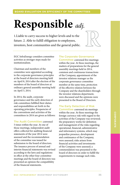# **Responsible** *adj.*

1.Liable to carry success to higher levels and to the future. 2. Able to fulfill obligation to employees, investors, host communities and the general public.



EGC InfraEnergy considers committee activities as stronger steps made for institutionalism.

Chairman and members of the committee were appointed according to the corporate governance principles at the board of directors meeting held on April 8, 2014 after the election of the members of the board of directors at ordinary general assembly meeting held on April 3, 2014.

In 2014, the audit, corporate governance and the early detection of risk committees fulfilled their duties and responsibilities set forth in the operating principles. Frequencies of the conventions and activities of the committees in 2014 are given as follows:

The Audit Committee convened 5 times within the year. At one of those meetings, independent audit offers collected for auditing financial statements of the year 2014 were assessed and the recommendation of the committee was issued for submission to the board of directors. The issuance process of annual and interim financial statements was revised according to the laws and regulations in effect at the other four committee meetings and the board of directors was presented an opinion the compatibility of the financial statements.

#### The Corporate Governance

Committee convened five meetings within the year. At these meetings, the matters of preparations for the general assembly meetings held in 2014, common and continuous transactions of the Company, appointment of the investor relations manager as the corporate governance committee member at the same time, protection of the effective relation between the Company and the shareholders through the investor relations department, were discussed and the opinions were presented to the Board of Directors.

#### The Early Detection of Risk

Committee convened six meetings within the year. At these meetings the foreign currency risk with regard to the activities of the Company was reviewed; the preparatory works for definition and management of the risks regarding operational, financial, administrative and informatory systems, which may jeopardize presence, development and continuance of the Company, were assessed; risks arisen from financial activities and investments of the Company were assessed; a commendation was presented to the board of directors in order to fulfill the requirements to manage such risks.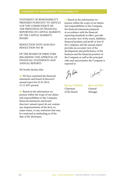#### **STATEMENT OF MANAGEMENT'S RESPONSIBILITY**

STATEMENT OF RESPONSIBILITY PREPARED PURSUANT TO ARTICLE 9 OF THE COMMUNIQUÉ ON THE PRINCIPLES OF FINANCIAL REPORTING IN CAPITAL MARKETS OF THE CAPITAL MARKETS BOARD

RESOLUTION DATE: 02/03/2015 RESOLUTION NO: 86

OF THE BOARD OF DIRECTORS REGARDING THE APPROVAL OF FINANCIAL STATEMENTS AND ANNUAL REPORTS

We hereby declare that:

a) We have examined the financial statements and board of directors' annual report for 01.01.2014- 31.12.2015 period;

b) Based on the information we possess within the scope of our duties and responsibilities in the Company, financial statements and board directors' annual report do not contain any mispresentation of the facts on major issues, or any omissions that may be construed as misleading as of the date of the disclosure;

c) Based on the information we possess within the scope of our duties and responsibilities in the Company, the financial statements prepared in accordance with the financial reporting standards in effect, provide an accurate view of the assets, liabilities, financial position and profit or loss of the Company, and the annual report provides an accurate view of the development and performance of the business and the financial position of the Company as well as the principal risks and uncertainties the Company is exposed to.

 $\mathcal{J}_{7}$  (c)

Cashion M

Ersoy COBAN Akin AYDIN Chairman General of the Board Manager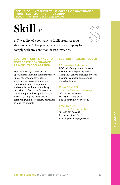## **PRINCIPLES REPORT FOR THE PERIOD JANUARY 1ST 2014-DECEMBER 31ST 2014**

# **Skill** *n.*

1. The ability of a company to fulfill promises to its stakeholders. 2. The power, capacity of a company to comply with any condition or circumstance.

#### **SECTION I - COMPLIANCE TO CORPORATE GOVERNANCE PRINCIPLES DECLARATION**

EGC InfraEnergy carries out its operations in line with the four primary pillars of corporate governance, which are fairness, accountability, responsibility and transparency and complies with the compulsory provisions of Corporate Governance Communiqué of the Capital Markets Board ("CMB") and takes care for complying with discretionary provisions as much as possible.

#### **SECTION II – SHAREHOLDER**

#### 2.1. Investor Relations

EGC InfraEnergy has an Investor Relations Unit reporting to the Company's general manager. Investor Relations contact information is indicated below:

#### Cagri DEMIREL Investor Relations Manager

Tel: +90 212 343 0626 Fax: +90 212 343 0627 E-mail: yatirimci@eglyo.com

#### Emel BAYDAR

#### Investor Relations Staff

Tel: +90 212 343 0626 Fax: +90 212 343 0627 E-mail: yatirimci@eglyo.com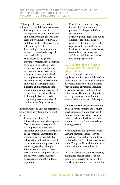With respect to investor relations following responsibilities are observed:

- Ensuring that records of correspondence between investors and the shareholding as well as the records pertaining to other data and documents are kept correctly, safely and up to date;
- Responding to the information requests of shareholders regarding the shareholding;
- With regard to the general meetings; preparing the documents to be submitted to the perusal of the shareholders and taking necessary measures as to ensure that general meetings are held in compliance with the relevant legislation, articles of association and other internal regulations;
- Ensuring and monitoring that duties and obligations arising out of the capital market legislation including the issues related to corporate governance and public disclosure are fully respected.

Investor Relations Unit has performed below stated activities in the relevant period:

- Investors have lodged 30 information requests via telephone. Their questions are responded in compliance with relevant legislation and the disclosure policy of the company. Except from the requests involving confidential information and trade secrets, all of the information requests are met respecting equality principle.
- It is ensured that general meeting is carried out in compliance with the relevant legislation, articles of association and other internal regulations
- Prior to the general meeting, informative documents are prepared for the perusal of the shareholders.
- Legal obligations regarding public disclosure are fulfilled and it is ensured that required information is provided to Public Disclosure Platform so that such information is complete, clear, adequate, and direct and does not involve misleading expressions.

#### 2.2. Exercise of the Right to Receive Information by the **Shareholders**

In accordance with the relevant regulation and Disclosure Policy of the Company, all investors must be equally informed. In any information shared with investors, any information not previously disclosed to the public is not included. The number of questions asked by investors is stated in the investor relations section of the report.

On the Company website information or disclosure is contained that might affect exercise of shareholders' rights. Besides this, all disclosures made on Public Disclosure Platform were also announced on the Company website www.eglyo.com.

No arrangement for a personal right allowing minority shareholders to request a private auditor appointment is contained in the Articles of Association of the Company. No such requests were made within the reported period.

Investor relation unit of the Company, maintained regular database about the activities carried out during the reporting period and reports about the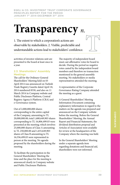# **Transparency** *n.*

1. The extent to which a corporation's actions are observable by stakeholders. 2. Visible, predictable and understandable actions lead to stakeholders' confidence.

activities of investor relations unit are presented to the board at least once in a year.

### 2.3. Shareholders' Assembly **Meetings**

The call for the Ordinary General Shareholders' Meeting held on 03 April 2014 was announced on Turkish Trade Registry Gazette dated April 18, 2014 numbered 8530, and also on 11 March 2014 in Company website and Public Disclosure Platform, Central Registry Agency's Platform (CRA) and e-Governance system.

Out of 2,000,000,000 shares corresponding to the entire capital of the Company, amounting to TL 20,000,000.00; total 1,680,649,903 shares corresponding to TL 16,806,499.03 were presented at the meeting; which involves 25,000,000 shares of Class A amounting to TL 250,000.00 and 1,655,649,903 shares of Class B amounting to TL 16,556,499.03 were represented in person at the meeting. No agenda proposed by the shareholders during the meeting.

To facilitate the participation in the General Shareholders' Meeting the time and the place for the meeting is announced clearly in Company website and Public Disclosure Platform.

The majority of independent board must cast affirmative votes for board to decide. During the period no negative votes casted by the independent board members and therefore no transaction mentioned in the general assembly meeting. No stakeholders or media representatives attended the meeting.

A representative of the Corporate Governance Rating Company attended the meeting as a guest.

A General Shareholders' Meeting Information Document containing explanatory information in regard to the matters on the agenda was prepared and announced on the Company website before the meeting. Before the General Shareholders' Meeting, the Annual Report and Financial Statements, the dividend distribution proposal and Articles of Association were available for review at the headquarters of the Company where the meeting was held.

In the General Shareholders' Meeting under a separate agenda item regarding donations and financial aid, shareholders were not informed.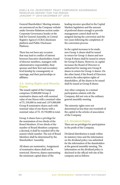General Shareholders' Meeting minutes are announced on the Company website under Investor Relations section under Corporate Governance header at the link for General Assembly, in Central Registry Agency's (CRA) disclosure platform and Public Disclosure Platform.

There has not been any occasion that may lead to conflict of interest between Executive shareholders, board of director members, managers with administrative responsibility, their spouses and their first and secondary level kinship by consanguinity or marriage, and their partnerships or affiliates.

#### 2.4. Voting Rights and Minority Rights

The issued capital of the Company comprises 25,000,000 Group A nominative shares each with nominal value of one Kurus with a nominal value of TL 250,000 in total and 1,975,000,000 Group B nominative shares each with nominal value of one Kurus with a nominal value of TL 19,750,000 in total.

Group A shares have a privilege for the nomination of two thirds of the Board Members. If two thirds of the number of Board Members comprises a decimal, it shall be rounded off to the nearest whole number. The rest of Board Members shall be determined by the Shareholders' Assembly.

All shares are nominative. Assignment of nominative shares shall not be restricted. However, shares representing the minimum capital share of the

leading investor specified in the Capital Markets legislation and the amount of preferred shares enough to provide management control shall not be assigned during the conversion and the two years following the completion of the conversion process.

In the capital increases to be made, new Group A shares shall be issued in return for Group A shares and new Group B shares shall be issued in return for Group B shares. However, in capital increases the Board of Directors is authorized for issuing new Group B shares in return for Group A shares. On the other hand, if the Board of Directors restricts the subscription rights of shareholders, all the shares to be issued shall be issued as Group B shares.

Any other company, in a mutual participation relation with the Company, did not vote at the ordinary general assembly meeting.

The minority rights were not determined as less than one twentieth of the capital in the articles of association of the Company.

#### 2.5. Dividend Rights

There are no privileges for participation in the profit of the Company.

Dividend distribution is made within its statutory time and the information on the dividend policy was submitted for the information of the shareholders at the general assembly meeting. The information on the dividend policy is disclosed in the official web site of the company and as follows: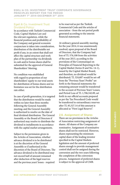#### Egeli & Co. Investment Trust Dividend Policy:

In accordance with Turkish Commercial Code, Capital Markets Law and the relevant regulation, while the financial position and profitability of the Company and general economic conjuncture is taken into consideration, distribution of the distributable net profit if any, in an extent that shall not affect the capital structure and work plan of the partnership via dividends in cash and/or bonus shares shall be submitted for the approval of General Shareholders' Meeting.

No condition was established with regard to proportion of our shareholders' equity to our total assets for distribution of bonus shares and no limitation was set for the distribution rate either.

In case of profit generation, it is targeted that the distribution would be made within no later than three months following the General Assembly meeting; and the General Assembly is authorized to resolve on the date of final dividend distribution. The General Assembly or the Board of Directors if authorized may resolve to distribute the dividend in installments in accordance with the capital market arrangements.

Subject to the permission given in the Articles of Association, whether advance dividend is to be distributed is at the discretion of the General Assembly or if authorized at the discretion of the Board of Directors. The advance dividend to be distributed may not exceed half of amount remained after deduction of the legal reserves and the previous years' losses - required

to be reserved as per the Turkish Commercial Code and the articles of association - from the net period profit generated according to the interim financial statements.

At ordinary general assembly meeting for the year 2014, it was unanimously resolved, upon proposal of the Board of Directors, that the Company had loss of TL 576,108 from the activities of the year 2013, according to the provisions of the Communiqué on Principles of Financial Reporting in the Capital Market (Series II and No. 14-1), issued by the Capital Market Board; and therefore, no dividend would be distributed; TL 324,687 would be set-off from the "Previous Years' Profits" set forth in the financial statements; the remaining amount would be transferred to the account of Previous Years' Losses; and Period Loss of TL 1,706,542.89, set forth in our official accounts prepared as per the Tax Procedural Code would be transferred to extraordinary reserves after TL 85,327.14 of this amount is allocated as "First Legal Reserve".

#### 2.6. Assignment of Shares

There are no provisions in the Articles of Association restricting assignment of shares. All shares of the Company are nominative. Assignment of nominative shares shall not be restricted. However, shares representing the minimum capital share of the leading investor specified in the Capital Markets legislation and the amount of preferred shares enough to provide management control shall not be assigned during the conversion and the two years following the completion of the conversion process. Assignment of preferred shares is subject to the approval of CMB.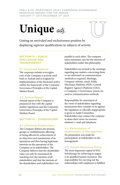# **Unique** *adj.*



Getting an unrivaled and exclusiveness position by displaying superior qualifications in subjects of activity.

#### **SECTION III – PUBLIC DISCLOSURE AND TRANSPARENCY**

#### 3.1. Corporate Website

The corporate website www.eglyo. com of the Company is actively used both in Turkish and in English for implementation of the disclosure policy within the framework of the Corporate Governance Principles of the Capital Market Board.

#### 3.2. Annual Report

Annual report of the Company is prepared in line with the capital market regulations and the Corporate Governance Principles of the Capital Markets Board.

#### **SECTION IV – STAKEHOLDER**

#### 4.1. Informing Stakeholders

The Company defines any persons, groups or establishments affecting or being affected by achievement of its objectives and sustainment of its operations and thus having legitimate interests on the operations of the Company as its stakeholders. The Company believes that the shareholder value can only be maximized by watching over the interests of all stakeholders and that the interests of the shareholders and stakeholders run

parallel to each other. The company takes maximum care for the interests of stakeholders under this philosophy.

Stakeholders are invited to the meetings regarding any matters concerning them or are informed via communication methods as required. Meetings, Company website, email, Public Disclosure Platform (PDP), Central Registry Agency's Platform (CRA), e-Company, e-Governance system are used as communication methods.

Responsibility for assessment of the views of stakeholders regarding transactions they consider to be against the regulation or ethically inappropriate is given to Audit Committee. Stakeholders may contact the company to share their views via investor relations' e-mail and telephone.

#### 4.2. Participation of Stakeholders in Management

No preparation was made for participation of stakeholders in the management.

#### 4.3. Human Resources Policy

The most important capital of EGC InfraEnergy for achieving its targets is its qualified human resources. The responsibility for carrying out the relationships with employees is fulfilled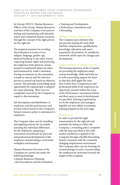by Zeynep AYGUL, Human Resources Officer of the Group. Human Resources activities of the Company is focused on finding and maintaining well educated, expert and competent human resources through the concept of the right person for the right job.

The required measures for avoiding discrimination in terms of race, religion, language, gender, age, physical handicap or any other reason, respecting human rights and protecting the employees from physical, sexual, mental or sentimental abuse are taken and monitored by Audit Committee. During recruitment no discrimination is made to anyone and the selection process is carried out based on objective criteria. The principle of providing equal opportunity for equal people is adopted for career planning. There were no complaints received by the Company in regard to discrimination.

Job descriptions and distribution of employees and also performance and reward criteria based on the Company's human resources policy is announced to employees.

The Company takes care for installing and applying systems for accurately assessing the individual differences for the employees, preparing a convenient environment for personal and professional development of the employees and providing a convenient workplace environment.

Human Resources Processes of the Company are carried out under the following headings:

- Human Resources Planning
- Job Descriptions and Job Evaluation
- Training and Development
- Performance Assessment and
- Rewarding

#### Skilled Human Resources

The Company pays attention that any persons joining the team shall hold the competencies, qualifications, knowledge, education and career required by the position, be suitable for teamwork and be open for changes and development.

#### Improvement of Performance

The training objectives of the Company are providing the employees adopt certain knowledge, skills and behavior as well as providing support for them so that they shall apply the same also in their lives. Competencies and professional skills of the employees are objectively assessed within the scope of the Performance Assessment System and their areas in need of development are specified. Training requirements set by the employees and managers together are met within a systematic training program in the next stage.

#### Rewarding

In order to provide the right remuneration for the right job and maintain the balances within the Company, a rewarding policy consistent with the steps specified in line with market conditions is applied in the Company through a flexible Rewarding System consistent with the constantly changing employment environment. The Company takes care for forming the reward package in such a way providing the employees be motivated towards the targets of the Company.

**CORPORATE**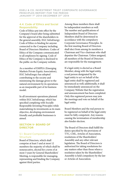#### 4.4. Code of Ethics and Social Responsibility

Code of Ethics put into effect by the Company's board after being submitted for the approval of the shareholders in the general assembly. EGC InfraEnergy Code of Ethics is binding for anyone connected to the Company including Board of Directors Members. Codes of Ethics of the Company communicated to all employees by signing. Code of Ethics of the Company is disclosed to the public on the Company website.

As a member of EMPEA (Emerging Markets Private Equity Association), EGC InfraEnegry has adopted contributing to the society and minimizing the damage given to the natural environment by its operations as an inseparable part of its business model.

In all investment operations planned within EGC InfraEnergy, which has specified complying with Socially Responsible Investing Principles while materializing its investments as its main objective, developing environment friendly and profitable businesses is aimed.

#### **SECTION V- BOARD OF DIRECTOR**

#### 5.1. Board Composition and Structure

Board of Directors, which shall comprise at least 5 and at most 12 members the majority of which shall be nonexecutive, elected for a term of at most 3 years by General Shareholders' Meeting, is responsible for managing, representing and binding the Company against third parties.

Among these members there shall be independent members as well. The number and qualifications of Independent Board of Directors Members shall be determined in accordance with the compulsory Corporate Governance Principles. In the first meeting Board of Directors shall elect from among its members a Chairman and Vice-chairman who shall deputize the Chairman. Unless assigned, all members of the Board of Directors are responsible for the management.

If a legal entity is elected as a Board Member, along with the legal entity, a real person designated by the legal entity to act on behalf of the legal entity shall be registered and announced as well; additionally, it shall be immediately announced on the Company Website that the registration and announcement has been completed. Only this registered person may join the meetings and vote on behalf of the legal entity.

Board Members and the real person to be registered on behalf of the legal entity must be fully competent. Any reasons causing the termination of membership also hinder election.

The Board of Directors shall fulfill the duties specified by the provisions of TTC, CML, Articles of Association, resolutions of the Shareholders' Assembly and any other relevant legislation. The Board of Directors is authorized for taking resolutions for any matters other than those where a resolution taken by the Shareholders' Assembly is held compulsory by the law or Articles of Association.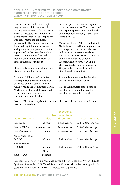Any member whose term has expired may be re-elected. In the event of a vacancy in membership for any reason Board of Directors shall temporarily elect a member for this vacant position, who conforms to the conditions prescribed by the Turkish Commercial Code and Capital Markets Law and shall present such appointment to the approval of the first next shareholders meeting. Hence, the said elected member shall complete the term of office of the former member.

The general assembly may at any time dismiss the board members.

For sound fulfillment of the duties and responsibilities committees shall be formed within Board of Directors. While forming the Committees Capital Markets legislation shall be complied. In the Company, remuneration committee's responsibilities and

duties are performed under corporate governance committee. The chairman of the corporate governance committee is an independent member, Murat Nadir Tansel SARAC.

Mr. Ahmet Berker ARGUN and Murat Nadir Tansel SARAC were appointed as the independent member of the board of directors upon recommendation by the Corporate Governance Committee and ratification at the General Assembly held on April 3, 2014. No other candidates were nominated for Corporate Governance Committee other than these candidates.

Every independent member has the criteria for the independence.

CVs of the members of the board of directors are given in the board of directors section of this report.

Board of Directors comprises five members, three of which are nonexecutive and two are independent.

|                              |                    | Executive/<br>Non-executive/ |                         |
|------------------------------|--------------------|------------------------------|-------------------------|
| Name-Surname                 | <b>Title</b>       | Independent                  | <b>Start Due Date</b>   |
| Tan EGELI                    | Chairman           | Nonexecutive                 | 03.04.2014/ for 3 years |
| Ersoy COBAN                  | Vice-chairman      | Nonexecutive                 | 03.04.2014/ for 3 years |
| Muzaffer EGELI               | Member             | Nonexecutive                 | 03.04.2014/ for 3 years |
| Murat Nadir Tansel<br>SARAC  | Member             | Independent                  | 03.04.2014/ for 3 years |
| Ahmet Berker<br><b>ARGUN</b> | Member             | Independent                  | 03.04.2014/ for 3 years |
| Akin AYDIN                   | General<br>Manager |                              |                         |

Tan Egeli has 21 years, Akin Aydin has 20 years, Ersoy Coban has 19 year, Muzaffer Egeli has 22 years, M. Nadir Tansel Sarac has 22 years, Ahmet Berker Argun has 28 years and Akin Aydin has 20 years of professional experience.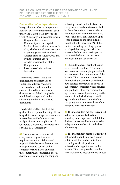#### Declaration of Independence

In regard to the office of Independent Board of Directors membership I shall undertake at Egeli & Co. Investment Trust ("Company"), in accordance with;

- Corporate Governance Communique of the Capital Markets Board with the number II-17.1, which entered into force upon its promulgation in the Official Gazette dated 03 January 2014 and with the number 28871
- Articles of Association of the Company and
- Provisions of other relevant legislation

I hereby declare that I hold the qualifications and criteria of an "Independent Board Member", I have read and understood the aforementioned information and documents and I shall completely fulfill the duties specified in the aforementioned information and documents.

I hereby declare that I hold all the qualifications required for being able to be qualified as an independent member in accordance with Communique for Specification and Application of Corporate Governance Principles with Serial: II-17.1, accordingly;

a) No employment relation exists at any executive position, which requires assumption of duties and responsibilities between the company, management and control of the company or subsidiaries on which the company has considerable effects, shareholders controlling the company or having considerable effects on the company and legal entities controlled by these shareholders on one side and the independent member himself, his spouse and lineal consanguinity up to second degree on the other side; he would not hold more than 5% of the capital controlling or voting rights or privileged shares together with the others or by himself; or no important commercial relation has not been established in the last five years;

b) The independent member has not served as a shareholder (5% or more), top-executive assuming important tasks and responsibilities or a member of the board of directors in the companies from which the company considerably buys services or products or to which the company considerably sells services and products within the frame of the agreements executed particularly on the matters of audit (including tax audit, legal audit and internal audit) of the company), rating and consulting of the company in the last five years;

c) The independent member is required to have occupational education, knowledge and experience to fulfill the duties to be assumed by him due to his independent membership in the board of directors;

ç) The independent member is required not to work on full-time basis in any public institution and organization, excluding academic position at the university, after appointment to the board of directors; provided that the relevant laws and regulations are abided;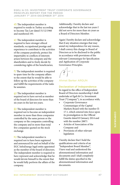d) The independent member is required to reside in Turkey according to Income Tax Law dated 31/12/1960 and numbered 193.

e) The independent member is required to have stronger ethical standards, occupational prestige and experience to contribute to the activities of the company positively, protect his impartiality in conflicts of interests arisen between the company and the shareholders and to freely decide by considering rights of the beneficiaries;

f) The independent member is required to spare time for the company affairs to the extent that he would be able to follow up the activities of the company and fulfill the requirements of the tasks he assumes.

g) The independent member is required not to have served as member of the board of directors for more than six years in the last ten years.

ğ) The independent member is required not to become an independent member in more than three companies controlled by the same person or the company or the companies controlling the company and in more than total five companies quoted on the stock exchange.

h) The independent member is required not to have been registered and announced for and on behalf of the EGC InfraEnergy legal entity appointed as the member of the board of directors. The independent member is required to have represent and acknowledge that he would devote himself to the extent that he would fully perform the affairs of the company.

Additionally, I hereby declare and acknowledge that in the last ten years I did not serve for more than six years as a Board of Directors Member.

Again I hereby declare and acknowledge that if any situation emerges that may annul my independence for any reason, I shall convey this change to Board of Directors as to be disclosed to the public in accordance with provisions of the relevant Communique for Specification and Application of Corporate Governance Principles.



#### Ahmet Berker ARGUN

#### Declaration of Independence

In regard to the office of Independent Board of Directors membership I shall undertake at Egeli & Co. Investment Trust ("Company"), in accordance with;

- Corporate Governance Communique of the Capital Markets Board with the number II-17.1, which entered into force upon its promulgation in the Official Gazette dated 03 January 2014 and with the number 28871
- Articles of Association of the Company and
- Provisions of other relevant legislation

I hereby declare that I hold the qualifications and criteria of an "Independent Board Member", I have read and understood the aforementioned information and documents and I shall completely fulfill the duties specified in the aforementioned information and documents.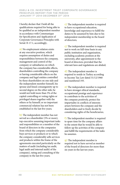I hereby declare that I hold all the qualifications required for being able to be qualified as an independent member in accordance with Communique for Specification and Application of Corporate Governance Principles with Serial: II-17.1, accordingly;

a) No employment relation exists at any executive position, which requires assumption of duties and responsibilities between the company, management and control of the company or subsidiaries on which the company has considerable effects, shareholders controlling the company or having considerable effects on the company and legal entities controlled by these shareholders on one side and the independent member himself, his spouse and lineal consanguinity up to second degree on the other side; he would not hold more than 5% of the capital controlling or voting rights or privileged shares together with the others or by himself; or no important commercial relation has not been established in the last five years;

b) The independent member has not served as a shareholder (5% or more), top-executive assuming important tasks and responsibilities or a member of the board of directors in the companies from which the company considerably buys services or products or to which the company considerably sells services and products within the frame of the agreements executed particularly on the matters of audit (including tax audit, legal audit and internal audit) of the company), rating and consulting of the company in the last five years;

c) The independent member is required to have occupational education, knowledge and experience to fulfill the duties to be assumed by him due to his independent membership in the board of directors;

ç) The independent member is required not to work on full-time basis in any public institution and organization, excluding academic position at the university, after appointment to the board of directors; provided that the relevant laws and regulations are abided;

d) The independent member is required to reside in Turkey according to Income Tax Law dated 31/12/1960 and numbered 193.

e) The independent member is required to have stronger ethical standards, occupational prestige and experience to contribute to the activities of the company positively, protect his impartiality in conflicts of interests arisen between the company and the shareholders and to freely decide by considering rights of the beneficiaries;

f) The independent member is required to spare time for the company affairs to the extent that he would be able to follow up the activities of the company and fulfill the requirements of the tasks he assumes.

g) The independent member is required not to have served as member of the board of directors for more than six years in the last ten years.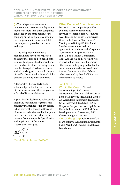ğ) The independent member is required not to become an independent member in more than three companies controlled by the same person or the company or the companies controlling the company and in more than total five companies quoted on the stock exchange.

h) The independent member is required not to have been registered and announced for and on behalf of the legal entity appointed as the member of the board of directors. The independent member is required to have represent and acknowledge that he would devote himself to the extent that he would fully perform the affairs of the company.

Additionally, I hereby declare and acknowledge that in the last ten years I did not serve for more than six years as a Board of Directors Member.

Again I hereby declare and acknowledge that if any situation emerges that may annul my independence for any reason, I shall convey this change to Board of Directors as to be disclosed to the public in accordance with provisions of the relevant Communique for Specification and Application of Corporate Governance Principles.

M.W. Go

Murat Nadir Tansel SARAC

#### Other Duties of Board Members

Service in other companies provided by Board Members is subject to approval by Shareholders' Assembly in accordance with Turkish Commercial Code. In the General Shareholders' Meeting dated 03 April 2014, Board Members were authorized and approved in accordance with Corporate Governance Principles article 1.3.7 and 1.3.8 and Turkish Commercial Code Articles 395 and 396 which were in effect at that time. Board members' other duties in the group and out of the group, does not lead to any conflict of interest. In-group and Out of Group offices executed by Board of Directors Members are as follows:

### Tan EGELI

Within the Group: General Manager at Egeli & Co. Asset Management, Chairman of the Board of Egeli & Co. Investment Holding, Egeli & Co. Agriculture Investment Trust, Egeli & Co. Investment Trust, Egeli & Co. Corporate Support Services, Egeli & Co. Financial Investment, EGC Real Estate Development and Investment, EGC Electric Energy Production. Out of the group: Chairman of the board of Simya Agriculture Investments, Board Member at Istanbul Erkek Lisesi Foundation.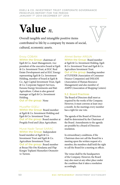# **Value** *n.*

Overall tangible and intangible positive items contributed to life by a company by means of social, cultural, economic assets.

### Ersoy COBAN

Within the Group: chairman of Egeli & Co. Asset Management, vice president of the executive board at Egeli & Co. Investment Trust, at EGC Real Estate Development and at EGC Energy representing Egeli & Co. Investment Holding, member of board at Egeli & Co. Agri Capital Investment Trust, Egeli & Co. Corporate Support Services, Eurasia Energy Investments and Bati Agriculture. Coban is also general manager at Egeli & Co. Investment Holding.

Out of the group: None

#### Muzaffer EGELI

Within the Group: Board member at Egeli & Co. Investment Holding and Egeli & Co. Investment Trust. Out of the group: Board member at Progida Food and Likya Agriculture.

Murat Nadir Tansel SARAC

Within the Group: Independent board member at Egeli & Co. Investment Trust and Egeli & Co. Agriculture Investment Trust. Out of the group: Board member at Beyaz Filo Oto Kiralama and Flap Kongre Toplanti Hizmetleri Otomotiv ve Turizm.

### Ahmet Berker ARGUN

Within the Group: Board member at Egeli & Co. Investment Holding, Egeli & Co. Investment Trust and Egeli & Co. Agriculture Investment Trust. Out of the group: founding member of TUFIDER (Association of Consumer Finance Companies) and INKADE (Association of Human Resource Management) and also member of AMPD (Association of Shopping Centers)

#### 5.2. Board Practices

The Board of Directors shall meet as required by the works of the Company. However, it must convene at least once a month. In the meetings every member has a right for one vote.

The agenda of the Board of Directors shall be determined by the Chairman of the Board. Amendments to the agenda are possible by a Board of Directors resolution.

In extraordinary conditions, if the Chairman does not call the Board for a meeting upon the written request of a member, the members shall hold the right to call the Board for a meeting ex officio.

The venue shall be the headquarters of the Company. However, the Board may also meet at any other place under the condition that it takes a resolution accordingly.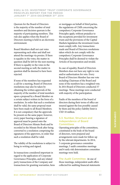Quorum for the Board of Directors is the majority of the number of total members and decision quorum is the majority of participating members. This rule also applies when the Board of Directors meeting is held in an electronic environment.

Board Members shall not cast votes representing each other and shall not attend the meetings via proxies. If there is equality in the votes, the matter in question shall be left for the next meeting. If there is equality in the votes in the second meeting as well, the matter in question shall be deemed to have been rejected.

If none of the members has requested a call for a meeting, Board of Directors resolutions may also be taken by obtaining the written approvals of the majority of the number of total members upon a proposal by a Board Member on a certain subject written in the form of a resolution. In order that such a resolution shall be valid, the same proposal must have been made to all Board Members. It is not compulsory that the approvals be present on the same paper; however, every paper bearing a signature of approval must be pasted onto the Board of Directors Minute Book and be recorded in the Minute Book after being converted to a resolution comprising the signatures of the approvers, in order that such a resolution shall be valid.

The validity of the resolutions is subject to being in writing and signed.

In transactions considered important in regard to the application of Corporate Governance Principles, and any related party transactions of the Company and transactions for granting warranties, liens or mortgages on behalf of third parties, the regulations of CMB concerning the compulsory Corporate Governance Principles apply, without prejudice to the exceptions provided for investment trusts and the provisions of the Capital Markets legislation the investment trusts must comply with. Any transactions made and Board of Directors resolutions taken which do not comply with the compulsory Corporate Governance Principles shall be deemed to violate the Articles of Incorporation and invalid.

In case of equality, Board of Directors Members does not have any right to vote and/or authorization for veto. Every Board of Directors Member has one vote including Chairman of the Board and none of the members has a weighted vote. In 2014 Board of Directors conducted 37 meetings. These meetings were conducted with majority of the participation.

Faults of the members of the board of directors during their terms of office are insured against the loss possibly caused by them and the policy liability limit is USD 10 million.

#### 5.3. Number, Structure and Independence of Board **Committees**

Operating principles of the committees, constituted in the body of the board of directors, were prepared and arrangements were made for follow-up by the relevant departments. In 2014, 5 corporate governance committee meetings, 5 audit committee meetings and 6 early risk determination committee meetings were held.

The Audit Committee. At one of those meetings, independent audit offers collected for auditing financial statements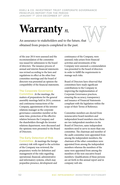## **Warranty** *n.*



An assurance to stakeholders and to the future, that obtained from projects completed in the past.

of the year 2014 were assessed and the recommendation of the committee was issued for submission to the board of directors. The issuance process of annual and interim financial statements was revised according to the laws and regulations in effect at the other four committee meetings and the board of directors was presented an opinion the compatibility of the financial statements.

#### The Corporate Governance

Committee. At the meetings, the matters of preparations for the general assembly meetings held in 2014, common and continuous transactions of the Company, appointment of the investor relations manager as the corporate governance committee member at the same time, protection of the effective relation between the Company and the shareholders through the investor relations department, were discussed and the opinions were presented to the Board of Directors.

#### The Early Detection of Risk

Committee. At meetings the foreign currency risk with regard to the activities of the Company was reviewed; the preparatory works for definition and management of the risks regarding operational, financial, administrative and informatory systems, which may jeopardize presence, development and

continuance of the Company, were assessed; risks arisen from financial activities and investments of the Company were assessed; a commendation was presented to the board of directors in order to fulfill the requirements to manage such risks.

Board of Directors have observed that committees have made significant contributions to the Company in improving the implementation of Corporate Governance practices, ensuring the accuracy, transparency and issuance of Financial Statements compliant with the legislation within the scope of their Terms of Reference.

Committee members are elected from nonexecutive board members and independent board members since there are two independent members in the Board of Directors, same independent members need to serve in more than one committee. The chairman and member of the audit committee were appointed from among the independent members; the chairmen of the other committees were appointed from among the independent members whereas the members of the same were appointed from among the members of the non-executive board members. Qualifications of these persons are set forth in this annual report and in company web site.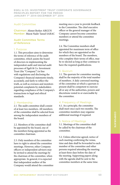#### Audit Committee

Chairman: Ahmet Berker ARGUN Member: Murat Nadir Tansel SARAC

#### Audit Committee Terms of Reference

#### 1. Purpose

1.1. This procedure aims to determine the terms of reference of the audit committee, which assists the board of directors in implementing the independent audit and internal audit processes of Egeli & Co. Investment Trust (the "Company") in line with regulations and disclosing the Company's financial statements timely, accurately, and fairly to reflect the truth, as well as oversees and monitors potential complaints by stakeholders regarding compliance of the Company's transactions to legal and ethical standards.

#### 2. Membership

2.1. The audit committee shall consist of at least two members. All members of the committee shall be selected from among the independent members of the board.

2.2. Members of the committee shall be appointed by the board, one of the members being appointed as the committee chairman.

2.3. Only members of the committee have to right to attend the committee meetings. However, other Company officers or independent advisors may be invited to attend the meetings by the chairman of the committee, when appropriate. In general, it is expected that independent auditor of the Company would attend the committee meeting once a year to provide feedback to the Committee. The chief executive officer or the general manager of the Company cannot become committee members or attend the committee meetings.

2.4. The Committee members shall appointed for maximum term of office for which they are appointed as the members of the board. The members, who complete their terms of office, may be re-elected as long as they continue to have the required qualifications.

#### 3. Quorum

3.1. The quorum for committee meeting shall be the majority of the total number of members. A duly convened meeting of the committee at which a quorum is present shall be competent to exercise all or any of the authorities, powers and discretions vested in or exercisable by the committee.

#### 4. Frequency of Meetings

4.1. As a principle, the committee shall meet once each two months. The committee members may organize additional meetings if required.

#### 5. Notice of Meetings

5.1. Meetings of the committee shall be called by the chairman of the committee.

5.2. Unless otherwise agreed, notice of each meeting confirming the venue, time and date shall be forwarded to each member of the committee and other persons required attending the meeting at least three days before the date of the meeting. Supporting papers along with the agenda shall be sent to the committee members at the same time.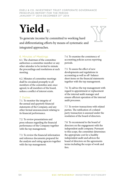# **Yield** *v.*

To generate income by committed to working hard and differentiating efforts by means of systematic and integrated approaches.

#### 6. Minutes of Meetings

6.1. The chairman of the committee authorizes a committee member or any other attendee to be invited to minute the proceedings and resolutions at each meeting.

6.2. Minutes of committee meetings shall be circulated promptly to all members of the committee and, once agreed, to all members of the board, unless a conflict of interest exists.

#### 7. Duties

7.1. To monitor the integrity of the annual and quarterly financial statements of the Company, and any other formal announcement relating to its financial performance.

7.2. To review presentations and press releases regarding the financial performance of the Company together with the top management.

7.3. To review the financial information and reference documents prepared for the analysts and rating agencies together with the top management.

7.4. To examine the consistency of accounting policies across reporting periods.

7.5. To assess the effect of new developments and regulations in accounting as well as off- balance sheet items on the financial statements together with the top management.

7.6. To advice the top management with regard to appointment or replacement of the internal audit manager and ensure efficient operation of the internal audit processes.

7.7. To review transactions with related parties. The ratification of a related party transaction is assessed under the resolution of the board of directors.

7.8. To recommend to the board of directors on the engagement with the independent audit company. Pursuant to this scope, the committee determines the appropriate cost for a healthy independent audit and advices the board of directors on the agreements terms including the scope of work and fees.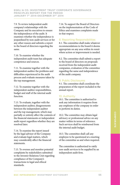7.9. To review independent audit company's relationships with the Company and its executives to ensure the independence of the audit. It examines whether the independence is jeopardized by non-audit services or for any other reason and submits a report to the board of directors regarding the same.

7.10. To examine whether the independent audit team has adequate competence and sources.

7.11. To examine together with the independent auditor the problems and difficulties experienced in the audit process and evaluate measures taken by the top management.

7.12. To examine together with the independent auditor responsibilities, budget and staff of the internal audit function.

7.13. To evaluate, together with the independent auditor, disagreements between the independent auditor and the top management, which may partially or entirely affect the contents of the financial statements or independent audit report regardless whether they are resolved later.

7.14. To examine the report issued by the legal advisor of the Company and evaluate legal matters, which may considerably affect the financial statements.

7.15. To oversee and monitor potential complaints by stakeholders submitted to the Investor Relations Unit regarding compliance of the Company's transactions to legal and ethical standards.

7.16. To support the Board of Directors on the implementation of the Code of Ethics and examines complaints made in that respect.

#### 8. Reporting Responsibilities

8.1. The committee shall make whatever recommendations to the board it deems appropriate on any area within its remit where action or improvement is needed.

8.2. The committee shall submit a report to the board of directors on proposals received from the independent audit companies, evaluation of the committee regarding the same and independence of the audit company.

#### 9. Public Disclosures

9.1. The committee shall coordinate the preparation of the report included in the annual report.

#### 10. Authority

10.1. The committee is authorized to seek any information it requires from any employee of the company in order to perform its duties.

10.2. The committee may obtain legal advisory or professional advice on any matter within its terms of reference. Such services shall be reimbursed from the internal audit budget.

10.3. The committee shall call any employee to be questioned at a meeting of the committee as and when required.

The committee is authorized to ratify non-audit services to be supplied by an independent audit firm.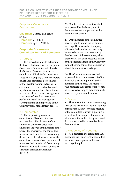#### Corporate Governance **Committee**

Chairman: Murat Nadir Tansel SARAC Member: Tan EGELI Member: Cagri DEMIREL

#### **Corporate Governance Committee Terms of Reference**

#### 1. Purpose

1.1. This procedure aims to determine the terms of reference of the Corporate Governance Committee, which assists the Board of Directors in terms of compliance of Egeli & Co. Investment Trust (the "Company") to the corporate governance principles, performance of the investor relations activities in accordance with the related laws and regulations, nomination of candidates for the board and the top management, assessment of board and executive performance and top-management career planning and improving of the Company's risk management process.

#### 2. Membership

2.1. The corporate governance committee shall consist of at least two members. The chairman of the committee shall be selected from among the independent members of the board. The majority of the committee members shall be selected from among the non-executive directors. In case the committee consists of two members, all members shall be selected from among the nonexecutive directors, committee chairman being an independent director.

2.2. Members of the committee shall be appointed by the board, one of the members being appointed as the committee chairman.

2.3. Only members of the committee have to right to attend the committee meetings. However, other Company officers or independent advisors may be invited to attend the meetings by the chairman of the committee, when appropriate. The chief executive officer or the general manager of the Company cannot become committee members or attend the committee meetings.

2.4. The Committee members shall appointed for maximum term of office for which they are appointed as the members of the board. The members, who complete their terms of office, may be re-elected as long as they continue to have the required qualifications.

#### 3. Quorum

3.1. The quorum for committee meeting shall be the majority of the total number of members. A duly convened meeting of the committee at which a quorum is present shall be competent to exercise all or any of the authorities, powers and discretions vested in or exercisable by the committee.

#### 4. Frequency of Meetings

4.1. As a principle, the committee shall meet once each quarter. The committee members may organize additional meetings if required.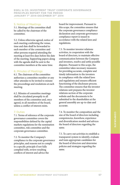#### 5. Notice of Meetings

5.1. Meetings of the committee shall be called by the chairman of the committee.

5.2. Unless otherwise agreed, notice of each meeting confirming the venue, time and date shall be forwarded to each member of the committee and other persons required attending the meeting at least five days before the date of the meeting. Supporting papers along with the agenda shall be sent to the committee members at the same time.

#### 6. Minutes of Meetings

6.1. The chairman of the committee authorizes a committee member or any other attendee to be invited to minute the proceedings and resolutions at each meeting.

6.2. Minutes of committee meetings shall be circulated promptly to all members of the committee and, once agreed, to all members of the board, unless a conflict of interest exists.

#### 7. Duties

7.1. Terms of reference of the corporate governance committee covers the responsibilities defined by the capital markets regulations for the nomination committee, risk committee and the corporate governance committee.

7.2. To monitor the Company's compliance to the corporate governance principles, and reasons not to comply to a specific principle if not fully complied with, review resulting conflicts of interest and advice the

board for improvement. Pursuant to this scope, the committee ensures that the corporate governance compliance declaration and corporate governance compliance report is issued in accordance with the related laws and regulations.

7.3. To monitor investor relations activities, in cooperation with the board of directors, to maintain effective communication between the Company and investors, resolve and settle possible disputes. Pursuant to this scope, the committee takes necessary measures for providing accurate, complete and timely information to the investors in compliance with the related laws and regulations and ensures efficient functioning of the disclosure process. The committee ensures that the investor relations unit prepares the investor relations section of the corporate website and the documents to be submitted to the shareholders at the general assembly are up-to-date and accurate.

7.4. To monitor the composition and the size of the board of directors including competencies, knowhow, experience and diversification needed and advices the board of directors regarding the same.

7.5. To carry out activities to establish a transparent system to identify, evaluate and train appropriate candidates for the board of directors and determine policies and strategies regarding the same.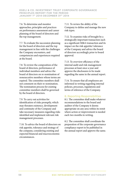7.6. To determine and monitor approaches, principles and practices on performance assessment and career planning of the board of directors and the top management.

7.7. To evaluate the succession planning for the board of directors and the top management in line with the challenges the Company encounters, and competencies and experiences required at the board.

7.8. To review the composition of the board of directors, performance of individual members and advice the board of directors on re-nomination of nonexecutive members whose terms are expired. The committee members shall not comment on their re-nomination. The nomination process for existing committee members shall be governed by the board of directors.

7.9. To carry out activities for identification of risks promptly, which may threaten existence, development and continuity of the Company and take necessary measures regarding risks identified and implement relevant risk management processes.

7.10. To advice the board of directors on risk appetite, tolerance and strategy of the company, considering existing and expected financial and macroeconomic circumstances.

7.11. To review the ability of the Company to define and manage the new risk types.

7.12. To examine risks of brought by a strategically important transaction such as a significant M&A transaction and its impact on the risk appetite/ tolerance of the Company and advice the board of directors accordingly prior to board approval.

7.13. To overview efficiency of the internal audit and risk management processes at least once a year and approve the disclosures to be made regarding the same in the annual report.

7.14. To ensure that all employees are informed in writing regarding internal policies, processes, regulations and terms of reference of the Company.

### 8. Reporting Responsibilities

8.1. The committee shall make whatever recommendations to the board and auditor of the Company it deems appropriate on any area within its remit where action or improvement is needed each two months in writing.

8.2. The committee shall coordinate the preparation of the corporate governance compliance report to be published in the annual report and approve the same.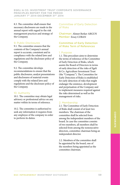8.3. The committee shall ensure that necessary disclosures are made in the annual report with regard to the risk management practices and strategy of the Company.

#### 9. Public Disclosures

9.1. The committee ensures that the contents of the Company's annual report is accurate, consistent and in compliance with the related laws and regulations and the disclosure policy of the Company.

9.2. The committee develops recommendations to ensure that the public disclosures, analyst presentations and disclosures of material events comply with the related laws and regulations and the disclosure policy of the Company.

#### 10. Authority

10.1. The committee may obtain legal advisory or professional advice on any matter within its terms of reference.

10.2. The committee is authorized to seek any information it requires from any employee of the company in order to perform its duties.

#### Committee of Early Detection of Risks

Chairman: Ahmet Berker ARGUN Member: Ersoy COBAN

#### Committee of Early Detection of Risks Term of References

#### 1. Purpose

1.1. This procedure aims to determine the terms of reference of the Committee of Early Detection of Risks, which assists the Board of Directors in terms of early detection of the risks of Egeli & Co. Agriculture Investment Trust (the "Company"). The Committee for Early Detection of Risks is established for early detection of risks that might endanger the existence, development and perpetuation of the Company and to implement measures required against the risks determined as well as the management of risks.

#### 2. Membership

2.1. The Committee of Early Detection of Risks shall consist of at least two members. The chairman of the committee shall be selected from among the independent members of the board. In case the committee consists of two members, all members shall be selected from among the nonexecutive directors, committee chairman being an independent director.

2.2. Members of the committee shall be appointed by the board, one of the members being appointed as the committee chairman.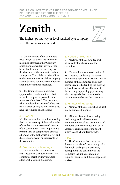# **Zenith** *n.*



The highest point, way or level reached by a company with the successes achieved.

2.3. Only members of the committee have to right to attend the committee meetings. However, other Company officers or independent advisors may be invited to attend the meetings by the chairman of the committee, when appropriate. The chief executive officer or the general manager of the Company cannot become committee members or attend the committee meetings.

2.4. The Committee members shall appointed for maximum term of office for which they are appointed as the members of the board. The members, who complete their terms of office, may be re-elected as long as they continue to have the required qualifications.

#### 3. Quorum

3.1. The quorum for committee meeting shall be the majority of the total number of members. A duly convened meeting of the committee at which a quorum is present shall be competent to exercise all or any of the authorities, powers and discretions vested in or exercisable by the committee.

#### 4. Frequency of Meetings

4.1. As a principle, the committee shall meet once each two months. The committee members may organize additional meetings if required.

### 5. Notice of Meetings

5.1. Meetings of the committee shall be called by the chairman of the committee.

5.2. Unless otherwise agreed, notice of each meeting confirming the venue, time and date shall be forwarded to each member of the committee and other persons required attending the meeting at least three days before the date of the meeting. Supporting papers along with the agenda shall be sent to the committee members at the same time.

### 6. Minutes of Meetings

6.1. Minutes of the meeting shall be kept in a documented manner.

6.2. Minutes of committee meetings shall be signed by all committee members and circulated promptly to all members of the committee and, once agreed, to all members of the board, unless a conflict of interest exists.

### 7. Duties

7.1. The Committee shall carry out duties for the identification of any risks that might endanger the existence, development and continuity of the Company, the implementation of required measures and the management of risks.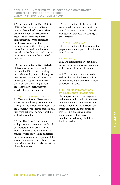7.2. The Committee for Early Detection of Risks shall carry out studies in order to detect the Company's risks, develop methods of measurement, secures reliability of the methods of measurement, create strategies for the risk management, oversee the application of these strategies, determine the maximum limits for the risks of the Company and provide recommendations for the Board of Directors.

7.3. The Committee for Early Detection of Risks shall share its view with the Board of Directors for creating internal control systems including risk management systems and process of information that will minimize the effects of risks which might affect the stakeholders, particularly the shareholders, of the Company.

#### 8. Reporting Responsibilities

8.1. The committee shall oversee and advise the Board every two months, in writing, on the current risk exposures of the Company by identifying threats and proposing actions. The report shall be sent to the Auditors.

8.2. The Risk Detection Committee shall prepare and present to the Board of Directors an annual assessment report, which shall be included in the annual reports, for working principles including its members, frequency of the sessions and executed activities, in order to provide a basis for board's evaluations of its effectiveness.

8.3. The committee shall ensure that necessary disclosures are made in the annual report with regard to the risk management practices and strategy of the Company.

#### 9. Public Disclosures

9.1. The committee shall coordinate the preparation of the report included in the annual report.

#### 10. Authority

10.1. The committee may obtain legal advisory or professional advice on any matter within its terms of reference.

10.2. The committee is authorized to seek any information it requires from any employee of the company in order to perform its duties.

#### 5.4. Risk Management and Internal Control Mechanism

The purpose in the risk management and internal audit mechanism is based on development of implementations for definition of all the possible risks which the company encounters or may possibly encounter and for minimization of these risks and based on the follow up of all these implementations.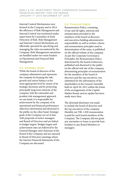Internal Control Mechanisms were formed in the Company and in 2014 the efficiency of Risk Management and Internal Control was monitored under supervision by Committee of Early Detection of Risk. Risk Management and Internal Control Mechanisms are efficiently operated for specifying and managing the risks encountered by the Company. Risk Management operations are handled under two main headers as Operational and Financial Risk Management.

#### 5.5. Strategic Goals

While the board of directors of the company administers and represents the company by keeping the risk, growth and return balance at the most appropriate level by means of its strategic decisions and by protecting principally long term interests of the company with the rationalist and prudent risk management approach on one hand, it is responsible for achievement by the company of its operational and financial performance objectives determined and disclosed to the public on the other hand. Strategic goals of the Company are set in line with proposals of senior managers and Board of Directors and are linked to budget targets. Budget targets and achievement rates are followed by the General Manager and Chairman of the Board of the Company and are assessed in Board of Directors meetings where the Interim Financial Statements of the Company are discussed.

#### 5.6. Financial Rights

Remuneration Policy, consisting of any and all rights, interests and remuneration provided to the members of the board of directors and executives holding administrative responsibility as well as written criteria and remuneration principles used in determination of the same, is published on the official website of the company. As per the Corporate Governance Principles, the Remuneration Policy, determined by the board of directors, published and disclosed to the public on the official web site of the company, determining principles of remuneration for the members of the board of directors and the top executives, was submitted for the information of the shareholders at the General Assembly held on April 26, 2013 within the frame of the arrangements of the Capital Market Board; and no update has been made since then.

The aforesaid disclosure was made to include the board of directors and the top executives of the company. Monthly net TRL 1.850 remuneration is paid for each board members of the Company. The Company did not grant any warranties or loans or provide loan facilities to any Board Members or managers.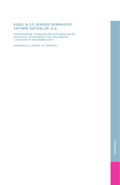## **EGELİ & CO GİRİŞİM SERMAYESİ YATIRIM ORTAKLIĞI A.Ş.**

**CONVENIENCE TRANSLATION INTO ENGLISH OF FINANCIAL STATEMENTS FOR THE PERIOD 1 JANUARY-31 DECEMBER 2014** 

**(ORIGINALLY ISSUED IN TURKISH)**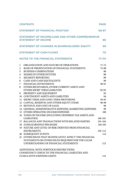|                | <b>CONTENTS</b>                                         | <b>PAGE</b> |
|----------------|---------------------------------------------------------|-------------|
|                | <b>STATEMENT OF FINANCIAL POSITION</b>                  | 66-67       |
|                | STATEMENT OF INCOME/LOSS AND OTHER COMPREHENSIVE        |             |
|                | <b>STATEMENT OF INCOME</b>                              | 68          |
|                | <b>STATEMENT OF CHANGES IN SHAREHOLDERS' EQUITY</b>     | 69          |
|                | <b>STATEMENT OF CASH FLOWS</b>                          | 70          |
|                | <b>NOTES TO THE FINANCIAL STATEMENTS</b>                | 71-114      |
| 1              | ORGANIZATION AND NATURE OF OPERATIONS                   | $71 - 72$   |
| 2              | BASIS OF PRESENTATION OF FINANCIAL STATEMENTS           | 72-88       |
| 3              | <b>BUSINESS COMBINATIONS</b>                            | 88          |
| $\overline{4}$ | <b>SHARES IN OTHER ENTITIES</b>                         | 88          |
| 5              | <b>SEGMENT REPORTING</b>                                | 89          |
| 6              | CASH AND CASH EQUIVALENTS                               | 89          |
| 7              | FINANCIAL INVESTMENTS                                   | $90 - 91$   |
| 8              | OTHER RECEIVABLES, OTHER CURRENT ASSETS AND             |             |
|                | OTHER SHORT TERM LIABILITIES                            | 92-93       |
| 9              | PROPERTY AND EQUIPMENT                                  | 93          |
|                | 10 CONTINGENT ASSETS AND LIABILITIES                    | 94          |
| 11             | SHORT-TERM AND LONG-TERM PROVISIONS                     | 94-95       |
|                | 12 CAPITAL, RESERVES AND OTHER EQUITY ITEMS             | 96-98       |
|                | 13 REVENUE AND COST OF SALES                            | 98          |
|                | 14 GENERAL ADMINISTRATIVE EXPENSES, MARKETING EXPENSES  | 99          |
|                | 15 OTHER OPERATING INCOME/EXPENSES                      | 100         |
|                | 16 TAXES ON INCOME (INCLUDING DEFERRED TAX ASSETS AND   |             |
|                | <b>LIABILITIES</b> )                                    | 100-101     |
|                | 17 BALANCES AND TRANSACTIONS WITH RELATED PARTIES       | 101-104     |
|                | 18 (LOSS)/EARNINGS PER SHARE                            | 104-105     |
|                | 19 NATURE AND LEVEL OF RISK DERIVIED FROM FINANCIAL     |             |
|                | <b>INSTRUMENTS</b>                                      | 105-112     |
|                | 20 SUBSEQUENT EVENTS                                    | 112         |
|                | 21 OTHER ISSUES THAT SIGNIFICANTLY AFFECT THE FINANCIAL |             |
|                | STATEMENTS OR OTHER ISSUES REQUIRED FOR THE CLEAR       |             |
|                | UNDERSTANDING OF FINANCIAL STATEMENTS                   | 113         |
|                | ADDITIONAL NOTE: PORTFOLIO RESTRICTIONS,                |             |
|                | CONSISTENCY CHECK TO THE FINANCIAL LIABILITIES AND      |             |
|                | <b>CUMULATIVE EXPENSES LIMITS</b>                       | 114         |
|                |                                                         |             |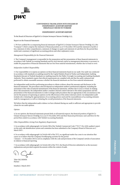

#### **CONVENIENCE TRANSLATION INTO ENGLISH OF INDEPENDENT AUDITOR'S REPORT ORIGINALLY ISSUED IN TURKISH**

#### **INDEPENDENT AUDITOR'S REPORT**

To the Board of Directors of Egeli & Co Girişim Sermayesi Yatırım Ortaklığı A.Ş.;

#### Report on the Financial Statements

1. We have audited the accompanying financial statements of Egeli & Co Girişim Sermayesi Yatırım Ortaklığı A.Ş. (the "Company") which comprise the statement of financial position as at 31 December 2014 and the statement of profit or loss, statement of other comprehensive, statement of changes in equity and statement of cash flows for the period then ended and a summary of significant accounting policies and other explanatory notes.

#### *Management's Responsibility for the Financial Statements*

2. The Company's management is responsible for the preparation and fair presentation of these financial statements in accordance with Turkish Accounting Standards and for such internal control as management determines is necessary to enable the preparation of financial statements that are free from material misstatement, whether due to fraud or error.

#### *Independent Auditor's Responsibility*

3. Our responsibility is to express an opinion on these financial statements based on our audit. Our audit was conducted in accordance with standards on auditing issued by the Capital Markets Board of Turkey and Independent Auditing Standards that part of Turkish Standards on Auditing issued by the Public Oversight Accounting and Auditing Standards Authority. Those standards require that ethical requirements are complied with and that the audit is planned and performed to obtain reasonable assurance whether the financial statements are free from material misstatement.

An independent audit involves performing procedures to obtain evidence about the amounts and disclosures in the financial statements. The procedures selected depend on independent auditor's professional judgment, including the assessment of the risks of material misstatement of the financial statements, whether due to error or fraud. In making those risk assessments, the independent auditor considers internal control relevant to the entity's preparation and fair presentation of the financial statements in order to design audit procedures that are appropriate in the circumstances, but not for the purpose of expressing an opinion on the effectiveness of the entity's internal control. An independent audit includes also evaluating the appropriateness of accounting policies used and the reasonableness of accounting estimates made by management, as well as evaluating the overall presentation of the financial statements.

We believe that the independent audit evidence we have obtained during our audit is sufficient and appropriate to provide a basis for our audit opinion.

#### *Opinion*

4. In our opinion, the financial statements present fairly, in all material respects, the financial position of Egeli & Co Girişim Sermayesi Yatırım Ortaklığı A.Ş. as at 31 December 2014 and their financial performance and cash flows for the period then ended in accordance with Turkish Accounting Standards.

#### *Other Responsibilities Arising From Regulatory Requirements*

5. In accordance with subparagraph 4 of Article 398 of the Turkish Commercial Code ("TCC") No: 6102; auditor's report on the early risk identification system and committee has been submitted to the Company's Board of Directors on 2 March 2015 .

6. In accordance with subparagraph 4 of Article 402 of the TCC; no significant matter has come to our attention that causes us to believe that the Company's bookkeeping activities for the period 1 January – 31 December 2014 is not in compliance with the code and provisions of the Company's articles of association in relation to financial reporting.

7. In accordance with subparagraph 4 of Article 402 of the TCC; the Board of Directors submitted to us the necessary explanations and provided required documents within the context of audit.

Talar Gül, SMMM Partner

Istanbul, 2 March 2015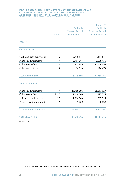## **EGELİ & CO GİRİŞİM SERMAYESİ YATIRIM ORTAKLIĞI A.Ş.**  CONVENIENCE TRANSLATION OF AUDITED BALANCE SHEET<br>AT 31 DECEMBER 2014 ORIGINALLY ISSUED IN TURKISH<br>(AMOUNTS EXPRESSED IN TURKISH LIRA ("TRY") UNLESS OTHERWISE INDICATED.)

|                           |              |                       | Restated <sup>(*)</sup> |
|---------------------------|--------------|-----------------------|-------------------------|
|                           |              | (Audited)             | (Audited)               |
|                           |              | <b>Current Period</b> | Previous Period         |
|                           | <b>Notes</b> | 31 December 2014      | 31 December 2013        |
| <b>ASSETS</b>             |              |                       |                         |
| <b>Current Assets</b>     |              |                       |                         |
| Cash and cash equivalents | 6            | 2.785.841             | 3.367.871               |
| Financial investments     | 7            | 2.384.265             | 2.009.431               |
| Other receivables         | 8            | 858.846               | 24.170.393              |
| Other current assets      | 8            | 96.853                | 116.473                 |
| Total current assets      |              | 6.125.805             | 29.664.168              |
| Non-current assets        |              |                       |                         |
| Financial investments     | 7            | 26.358.591            | 11.147.029              |
| Other receivables         | 8,17         | 1.066.000             | 297.515                 |
| from related parties      | 17           | 1.066.000             | 297.515                 |
| Property and equipment    | 9            | 9.830                 | 8.523                   |
| Total non-current assets  |              | 27.434.421            | 11.453.067              |
| <b>TOTAL ASSETS</b>       |              | 33.560.226            | 41.117.235              |

(\*) Note 2.1.5.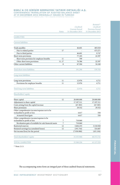## **EGELİ & CO GİRİŞİM SERMAYESİ YATIRIM ORTAKLIĞI A.Ş.**  CONVENIENCE TRANSLATION OF AUDITED BALANCE SHEET<br>AT 31 DECEMBER 2014 ORIGINALLY ISSUED IN TURKISH<br>(AMOUNTS EXPRESSED IN TURKISH LIRA ("TRY") UNLESS OTHERWISE INDICATED.)

|                                                                                | <b>Notes</b> | (Audited)<br><b>Current Period</b><br>31 December 2014 | Restated <sup>(*)</sup><br>(Audited)<br>Previous Period<br>31 December 2013 |
|--------------------------------------------------------------------------------|--------------|--------------------------------------------------------|-----------------------------------------------------------------------------|
| <b>LIABILITIES</b>                                                             |              |                                                        |                                                                             |
| <b>Current liabilities</b>                                                     |              |                                                        |                                                                             |
| Trade payables                                                                 |              | 46.601                                                 | 483.018                                                                     |
| Due to related parties                                                         | 17           |                                                        | 473.271                                                                     |
| Due to third parties                                                           |              | 46.601                                                 | 9.747                                                                       |
| Short-term provisions                                                          |              | 77.185                                                 | 22.597                                                                      |
| Short term provision for employee benefits                                     | 11           | 799                                                    |                                                                             |
| Other short term provisions                                                    | 11, 17       | 76.386                                                 | 22.597                                                                      |
| Other current liabilities                                                      | 8            | 67.504                                                 | 34.168                                                                      |
| Total short-term liabilities                                                   |              | 191.290                                                | 539.783                                                                     |
| Long-term liabilities                                                          |              |                                                        |                                                                             |
| Long-term provisions                                                           | 11           | 12.976                                                 | 4.711                                                                       |
| Provisions for employee benefits                                               | 11           | 12.976                                                 | 4.711                                                                       |
| Total long-term liabilities                                                    |              | 12.976                                                 | 4.711                                                                       |
| Shareholders' equity                                                           |              |                                                        |                                                                             |
| Share capital                                                                  | 12           | 20.000.000                                             | 20.000.000                                                                  |
| Adjustment to share capital                                                    |              | 17.197.511                                             | 17.197.511                                                                  |
| Costs arising from the capital increase                                        |              | (67.383)                                               | (67.383)                                                                    |
| Share premiums                                                                 |              | 29.552                                                 | 29.552                                                                      |
| Other comprehensive income/expense not to be<br>reclassified to profit or loss |              | 4.617                                                  | 550                                                                         |
| Actuarial (loss)/gain                                                          |              | 4.617                                                  | 550                                                                         |
| Other comprehensive income/expense to be<br>reclassified to profit or loss     | 7            | 710.060                                                |                                                                             |
| Revaluation gain of available for sale financial assets                        | 7            | 710.060                                                |                                                                             |
| Restricted reserves                                                            | 12           | 3.604.255                                              | 3.518.928                                                                   |
| Retained earnings/(accumulated losses)                                         | 12           | (191.744)                                              | 324.687                                                                     |
| Net income/(loss) for the period                                               |              | (7.930.908)                                            | (431.104)                                                                   |
| Total shareholders' equity                                                     |              | 33.355.960                                             | 40.572.741                                                                  |
| <b>TOTAL LIABILITIES</b>                                                       |              | 33.560.226                                             | 41.117.235                                                                  |

(\*) Note 2.1.5.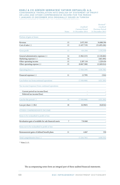#### **EGELİ & CO GİRİŞİM SERMAYESİ YATIRIM ORTAKLIĞI A.Ş.**  CONVENIENCE TRANSLATION INTO ENGLISH OF STATEMENT OF PROFIT OR LOSS AND OTHER COMPREHENSIVE INCOME FOR THE PERIOD 1 JANUARY-31 DECEMBER 2014 ORIGINALLY ISSUED IN TURKISH (AMOUNTS EXPRESSED IN TURKISH LIRA ("TRY") UNLESS OTHERWISE INDICATED.)

| Portion of gain or losses                               |    |                |              |
|---------------------------------------------------------|----|----------------|--------------|
|                                                         |    |                |              |
| Revenue                                                 | 13 | 2.072.303      | 34.888.394   |
| Cost of sales (-)                                       | 13 | (1.457.719)    | (31.695.436) |
| Gross profit                                            | 13 | 614.584        | 3.192.958    |
| General administrative expenses (-)                     | 14 | (1.962.215)    | (2.120.684)  |
| Marketing expenses (-)                                  | 14 |                | (463.494)    |
| Other operating income                                  | 15 | 2.287.110      | 1.229.454    |
| Other operating expense (-)                             | 15 | (8.867.588)    | (2.269.014)  |
| Operating loss (-)                                      |    | (7.928.109)    | (430.780)    |
| Financial expenses (-)                                  | 11 | (2.799)        | (324)        |
| Loss before tax fromcontinued operations                |    | (7.930.908)    | (431.104)    |
| Tax income/(expense) from continued operations          |    |                |              |
| Current period tax income/(loss)                        |    |                |              |
| Deferred tax income/(loss)                              |    | $\overline{a}$ |              |
| Loss for the period (-)                                 | 18 | (7.930.908)    | (431.104)    |
| Loss per share (-) (Kr)                                 | 18 | (0, 3965)      | (0,0216)     |
| OTHER COMPREHENSIVE INCOME                              |    |                |              |
| Items to be reclassified to profit or loss              |    |                |              |
| Revaluation gain of available for sale financial assets | 7  | 710.060        |              |
| Items not to be reclassified to profit or loss          |    |                |              |
| Remeasureent gains of defined benefit plans             | 11 | 4.067          | 550          |
| Total comprehensive loss (-)                            |    | (7.216.781)    | (430.554)    |
|                                                         |    |                |              |

(\*) Note 2.1.5.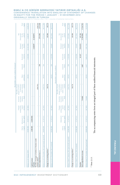### **EGELİ & CO GİRİŞİM SERMAYESİ YATIRIM ORTAKLIĞI A.Ş.**  CONVENIENCE TRANSLATION INTO ENGLISH OF STATEMENT OF CHANGES IN EQUITY FOR THE PERIOD 1 JANUARY – 31 DECEMBER 2014 ORIGINALLY ISSUED IN TURKISH (AMOUNTS EXPRESSED IN TURKISH LIRA ("TRY") UNLESS OTHERWISE INDICATED.)

|                                                                       |                    |                                          |                                                |                                             |                                                                                        |                                | Shareholder's equity (Audited) (Restated) <sup>(1)</sup> |                        |                                          |                                         |                 |
|-----------------------------------------------------------------------|--------------------|------------------------------------------|------------------------------------------------|---------------------------------------------|----------------------------------------------------------------------------------------|--------------------------------|----------------------------------------------------------|------------------------|------------------------------------------|-----------------------------------------|-----------------|
|                                                                       | Capital            | g<br>share capital<br>Paid in Adjustment | arising from<br>Charges<br>capital<br>increase | Securities<br>valuation<br>ncrement<br>fund | mergers of entities<br>or businesses<br>control<br>The effect of asset<br>under common | Share<br>premiums              | Actuarial<br>losses                                      | Restricted<br>reserves | <b>Retained</b><br>earnings/<br>(losses) | (loss)/profit<br>for the<br>period<br>ž | Total<br>equity |
| Balances as of 1 January 2013                                         | 18,000,000         | 19,197.511                               | (67.383)                                       | ï                                           | ï                                                                                      | 29.552                         | ł,                                                       | 3,518,928              | (2.123.410)                              | 2.448.097                               | 41.003.295      |
| Capital increase                                                      | 2.000.000          | (2.000.000)                              | ï                                              | ï                                           | ï                                                                                      | ï                              | í                                                        | ł                      | ł                                        | ł                                       |                 |
| Transfers                                                             |                    | ł                                        | ï                                              | ï                                           |                                                                                        | ï                              | ł                                                        | ł                      | 2.448.097                                | (2.448.097)                             |                 |
| The effect of mergers of entities or business under<br>common control | ı                  | ı                                        | ï                                              |                                             | (310.731)                                                                              | ï                              | ı                                                        | ï                      | ı                                        |                                         | (310.731)       |
| Total Comprehensive loss (-)                                          | ï                  | ï                                        | ï                                              | ï                                           |                                                                                        | ï                              | 550                                                      | ï                      | ï                                        | (576.108)                               | (575.558)       |
| Balances as of 31 December 2013 (previously reported)                 | 20,000,000         | 17.197.511                               | (67.383)                                       |                                             | (310.731)                                                                              | 29,552                         | 550                                                      | 3,518,928              | 324.687                                  | (576, 108)                              | 40.117.006      |
| Changes in accounting policies <sup>(7)</sup>                         | ï                  |                                          | ï                                              | ï                                           | 310.731                                                                                | ï                              | ï                                                        | ı                      | ï                                        | 145.004                                 | 455.735         |
| Balances as of 31 December 2013 (restated)                            | 20,000,000         | 17,197,511                               | (67.383)                                       | ï                                           | ł                                                                                      | 29.552                         | 550                                                      | 3,518,928              | 324.687                                  | (431.104)                               | 40.572.741      |
|                                                                       |                    |                                          |                                                |                                             |                                                                                        | Shareholder's equity (Audited) |                                                          |                        |                                          |                                         |                 |
|                                                                       | Paid in<br>Capital | Adjustment<br>2<br>share capital         | Charges<br>arising from<br>capital<br>increase | Securities<br>valuation<br>ncrement<br>fund | mergers of entities<br>or businesses<br>under common<br>The effect of asset<br>control | Share<br>premiums              | losses<br>Actuarial                                      | Restricted<br>reserves | Retained<br>earnings/<br>(losses)        | for the<br>ž<br>(loss)/profit<br>period | Total<br>equity |
| Balances dated 1 January 2014 (previously reported)                   | 20.000.000         | 17.197.511                               | (67.383)                                       | ï                                           | (310.731)                                                                              | 29.552                         | 550                                                      | 3,518,928              | 324.687                                  | (576, 108)                              | 40.117.006      |
| Changes in accounting policies <sup>(7)</sup>                         | ï                  | ï                                        | ï                                              | ï                                           | 310.731                                                                                | ï                              | ï                                                        | í                      | ï                                        | 145.004                                 | 455.735         |
| Balances dated 1 January 2014 (restated)                              | 20.000.000         | 17.197.511                               | (67.383)                                       |                                             |                                                                                        | 29.552                         | 550                                                      | 3,518,928              | 324.687                                  | (431.104)                               | 40.572.741      |
| l'ransfers                                                            |                    | ï                                        |                                                |                                             | ï                                                                                      | í,                             |                                                          | 85.327                 | (516.431)                                | 431.104                                 |                 |
| Total comprehensive income                                            | ï                  | ï                                        | ï                                              | 710,060                                     | ï                                                                                      | ï                              | 4.067                                                    |                        | ï                                        | (7.930.908)                             | (7.216.781)     |
| Balances dated 31 December 2014 (period end)                          | 20,000,000         | 17.197.511                               | (67.383)                                       | 710,060                                     | ï                                                                                      | 29.552                         | 4,617                                                    | 3.604.255              | (191.744)                                | (7.930.908)                             | 33.355.960      |
|                                                                       |                    |                                          |                                                |                                             |                                                                                        |                                |                                                          |                        |                                          |                                         |                 |

<sup>(\*)</sup> Note: 2.1.5. (\*) Note: 2.1.5.

The accompanying notes form an integral part of these audited financial statements. The accompanying notes form an integral part of these audited financial statements.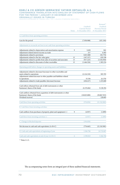## **EGELİ & CO GİRİŞİM SERMAYESİ YATIRIM ORTAKLIĞI A.Ş.**  CONVENIENCE TRANSLATION INTO ENGLISH OF STATEMENT OF CASH FLOWS FOR THE PERIOD 1 JANUARY-31 DECEMBER 2014

ORIGINALLY ISSUED IN TURKISH (AMOUNTS EXPRESSED IN TURKISH LIRA ("TRY") UNLESS OTHERWISE INDICATED.)

|                                                                                                         | <b>Notes</b> | (Audited)<br><b>Current Period</b><br>31 December 2014 | Restated <sup>(*)</sup><br>(Audited)<br><b>Previous Period</b><br>31 December 2013 |
|---------------------------------------------------------------------------------------------------------|--------------|--------------------------------------------------------|------------------------------------------------------------------------------------|
| A. Cash flows from operating activities:                                                                |              |                                                        |                                                                                    |
| Loss for the period                                                                                     |              | (7.930.908)                                            | (431.104)                                                                          |
| Adjustments to reconcile net loss to net cash from operating activities:                                |              |                                                        |                                                                                    |
| Adjustments related to depreciation and amortisation expense                                            | 9            | 3.650                                                  | 841                                                                                |
| Adjustment related interest income accruals                                                             |              | 217                                                    | 6.492                                                                              |
| Adjustments related to provisions                                                                       |              | 8.815.800                                              | (92.778)                                                                           |
| Adjustments related to the fair value gains                                                             | 15           | (107.537)                                              | 659.198                                                                            |
| Adjustments related to profits from sales of securities and associates                                  | 13           | (917.223)                                              | (3.192.958)                                                                        |
| Adjustments related to discounts of other receivables                                                   | 15           | (1.464.526)                                            | 1.583.234                                                                          |
| Operating profit before changes in operating assets and liabilities:                                    |              |                                                        |                                                                                    |
| Adjustments related to decrease/(increase) in other receivables and<br>assets related to operations     |              | (2.124.310)                                            | 505.705                                                                            |
| Adjustments related decrease in other payables and liabilities related                                  |              |                                                        |                                                                                    |
| to operations                                                                                           |              | 33.336                                                 | (6.178)                                                                            |
| Adjustments related to trade payables (decrease)/increase                                               |              | (436.417)                                              | 1.233.600                                                                          |
| Cash inflows obtained from sale of debt instruments or other<br>businesses' shares of the funds         |              | 22.376.062                                             | 9.138.394                                                                          |
| Cash outflows obtained from acquisition of debt instruments or other<br>businesses' shares of the funds |              | (18.825.000)                                           | (30.867.933)                                                                       |
| Dividend received                                                                                       |              |                                                        | 120.605                                                                            |
| Cash flows from operating activities                                                                    |              | (576.856)                                              | (21.342.882)                                                                       |
| B. Cash flows from investing activities:                                                                |              |                                                        |                                                                                    |
| Cash outflows from purchases of property, plant and equipment (-)                                       | 9            | (4.957)                                                | (1.099)                                                                            |
| Cash flows from investing activities(-):                                                                |              | (4.957)                                                | (1.099)                                                                            |
| C. Change in blocked deposits                                                                           |              | (194.850)                                              |                                                                                    |
| Net decrease in cash and cash equivalents (A+B+C)                                                       |              | (776.663)                                              | (21.343.981)                                                                       |
| D. Cash and cash equivalents at beginning of year                                                       |              | 3.366.706                                              | 24.710.687                                                                         |
| Cash and cash equivalents at end of year (A+B+C)                                                        | 6            | 2.590.043                                              | 3.366.706                                                                          |

(\*) Note 2.1.5.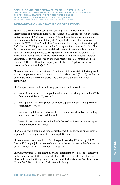# **1-ORGANIZATION AND NATURE OF OPERATIONS**

Egeli & Co Girişim Sermayesi Yatırım Ortaklığı A.Ş. ("the Company"), was incorporated and started its financial operations on 18 September 1998 in İstanbul under the name of Ak Yatırım Ortaklığı A.Ş.. Akbank, the main shareholder of the Company until the date of 3 July 2012, signed a letter of Intent to transfer a total of 12,607,326 Class A and Class B shares and started negotiations with Egeli & Co. Yatırım Holding A.Ş. As a result of the negotiations, on April 5, 2012 "Share Purchase Agreement" was signed and the share transfer was completed on the 3 July 2012 after taking the necessary legal permissions from the Capital Market Board and other authorities. The Company's transformation to Venture Capital Investment Trust was approved by the trade register on 31 December 2012. On 2 January 2013 the title of the company was declared as "Egeli & Co Girişim Sermayesi Yatırım Ortaklığı A.Ş."

The company aims to provide financial capital to high-potential, high risk, growth startup companies in accordance with Capital Markets Board ("CMB") regulations on venture capital investment trusts. The Company is a public joint stock partnership.

The Company carries out the following procedures and transactions:

- a. Invests in venture capital companies in line with the principles stated in CMB Communiqué Serial: III, No: 48.3 ;
- b. Participates in the management of venture capital companies and gives them consultancy services,
- c. Invests in capital market instruments and money market tools on secondary markets to diversify its portfolio; and
- d. Invests in overseas venture capital funds that seek to invest in venture capital companies located in Turkey.

The Company operates in one geographical segment (Turkey) and one industrial segment (to create a portfolio of venture capital) (Note 5).

The company's shares have been offered to public on May 1999 and Egeli & Co Yatırım Holding A.Ş. has 84,03% of the share of the total shares of the Company as of 31 December 2014 (31 December 2013: %91,68)

The Company is located in Istanbul, and the total number of personnel employed in the Company as of 31 December 2014 is 5 (31 December 2013: 2). The registered office address of the Company is as follows: Abdi İpekçi Caddesi, Azer İş Merkezi No: 40 Kat: 3 Daire:10 Harbiye Sisli-Istanbul, Turkey.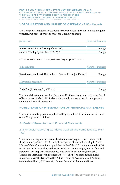#### **1-ORGANIZATION AND NATURE OF OPERATIONS (Continued)**

The Company's long term investments marketable securities, subsidiaries and joint ventures, subject of operations basis, are as follows (Note:7)

| <b>Subsidiaries</b>                         | Nature of business |  |
|---------------------------------------------|--------------------|--|
|                                             |                    |  |
| Eurasia Enerji Yatırımları A.S. ("Eurasia") | Energy             |  |
| General Trading System Ltd. ("GTS") (*)     | Energy             |  |

(\*) GTS is the subsidiaries which Eurasia purchased entirely as explained in Note 7.

| Joint ventures                                                     | Nature of business |  |
|--------------------------------------------------------------------|--------------------|--|
| Karesi Jeotermal Enerji Üretim İnşaat San. ve Tic. A.Ş. ("Karesi") | Energy             |  |
| Marketable securities                                              | Nature of business |  |
| Enda Enerji Holding A.Ş. ("Enda")                                  | Energy             |  |

The financial statements as of 31 December 2014 have been approved by the Board of Directors on 2 March 2014. General Assembly and regulators has not power to amend the financial statements.

# **NOTE 2-BASIS OF PRESENTATION OF FINANCIAL STATEMENTS**

The main accounting policies applied in the preparation of the financial statements of the Company are as follows:

# 2.1 Basis of Presentation of Financial Statements

#### 2.1.1 Financial reporting standards applied and compliance to IAS/ TAS

The accompanying interim financial statements are prepared in accordance with the Communiqué Serial II, No:14.1, "Principles of Financial Reporting in Capital Markets" ("the Communiqué") published in the Official Gazette numbered 28676 on 13 June 2013. According to the article 5 of the Communiqué, interim financial statements are prepared in accordance with Turkish Accounting Standards/ Turkish Financial Reporting Standards ("TAS/TFRS") and its addendum and interpretations ("IFRIC") issued by Public Oversight Accounting and Auditing Standards Authority ("POAASA") Turkish Accounting Standards Boards.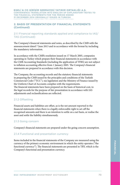# **2. BASIS OF PRESENTATION OF FINANCIAL STATEMENTS (Continued)**

# 2.1.1 Financial reporting standards applied and compliance to IAS/ TAS (Continued)

The Company's financial statements and notes, as described by the CMB with the announcement dated 7 June 2013 and in accordance with the format by including the mandatory information.

In accordance with the CMB's resolution issued on 17 March 2005, companies operating in Turkey which prepare their financial statements in accordance with the CMB Accounting Standards (including the application of TFRS) are not subject to inflation accounting effective from 1 January 2005. The Company's financial statements are prepared in accordance with this decision.

The Company, the accounting records and the statutory financial statements in preparing the CMB issued by the principles and conditions of the Turkish Commercial Code ("TCC"), tax legislation and the Ministry of Finance issued by the Uniform Chart of Accounts complies with the requirements. The financial statements have been prepared on the basis of historical cost, to the legal records for the purpose of fair presentation in accordance with IAS adjustments and reclassifications are reflected.

# 2.1.2 Offsetting

Financial assets and liabilities are offset, as is the net amount reported in the financial statements when there is a legally enforceable right to set-off the recognised amounts and there is an intention to settle on a net basis, or realise the asset and settle the liability simultaneously.

## 2.1.3 Going concern

Company's financial statements are prepared under the going concern assumption.

## 2.1.4 Functional and presentation currency

Items included in the financial statements of the Company are measured using the currency of the primary economic environment in which the entity operates ("the functional currency"). The financial statements are presented in TRY, which is the Company's functional and presentation currency.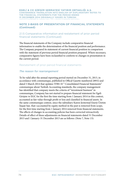# **NOTE 2-BASIS OF PRESENTATION OF FINANCIAL STATEMENTS (Continued)**

# 2.1.5 Comparative information and restatement of prior period financial statements (Continued)

The financial statements of the Company include comparative financial information to enable the determination of the financial position and performance. The Company prepared its statement of current financial position in comparison with the statement of previous period financial position prepared. Where necessary, comparative figures have been reclassified to conform to changes in presentation in the current period.

#### Restatement of prior period financial statements

#### *The reason for rearrangement*

To be valid after the annual reporting period started on December 31, 2013, in accordance with communique, published in Offical Gazette numbered 28932 and dated 5 March 2014 that updates TFRS 10 " Consolidated Financial Statements" communique about Turkish Accounting standards, the company management has identified that company meets the criteria of "investment business" in communique, Company has not started to prepare financial statement for Egeli Girişim ve EGC for the first the time starting from 1 January 2014 in this context, accounted as fair value through profit or loss and classified in financial assets. In the same communique context, since the subsidiary Karesi Jeotermal Enerji Üretim İnşaat San. that i accounted by equity method in the past is removed from scope, for the first time starting from 1 January 2014 removed from financial statements. The effects of changes in accounting policies has been corrected retroactively. Details of effect of these adjustments on financial statements dated 31 December 2013 and 1 January-31 December 2013 are as follows: (Note 7, Note 13):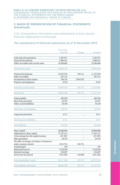### **2. BASIS OF PRESENTATION OF FINANCIAL STATEMENTS (Continued)**

2.1.5. Comparative information and restatement of prior period financial statements (Continued)

# *The restatement of financial statements as of 31 December 2013*

|                                                 | Previously |           |                 |
|-------------------------------------------------|------------|-----------|-----------------|
|                                                 | reported   | Change    | <b>Restated</b> |
| Cash and cash equivalents                       | 3.367.871  |           | 3.367.871       |
| <b>Financial Investments</b>                    | 2.009.431  | ä,        | 2.009.431       |
| Other receviables and current assets            | 24.286.866 |           | 24.286.866      |
| <b>Total current assets</b>                     | 29.664.168 | J.        | 29.664.168      |
| <b>Financial Investments</b>                    | 10.352.918 | 794.111   | 11.147.029      |
| Other receviables                               | 297.515    |           | 297.515         |
| Investments in joint venture                    | 338.376    | (338.376) |                 |
| Property and equipment                          | 8.523      |           | 8.523           |
| Total non-current assets                        | 10.997.332 | 455.735   | 11.453.067      |
| <b>Total Assets</b>                             | 40.661.500 | 455.735   | 41.117.235      |
| Trade payables                                  | 483.018    | ä,        | 483.018         |
| Short term provisions                           | 22.597     |           | 22.597          |
| Other current liabilities                       | 34.168     | L.        | 34.168          |
| Total short-term liabilities                    | 539.783    | i.        | 539.783         |
| Long-term provisions                            | 4.711      | L,        | 4.711           |
| <b>Total long-term liabilities</b>              | 4.711      |           | 4.711           |
| <b>Total liabilities</b>                        | 544.494    | i,        | 544.494         |
| Share Capital                                   | 20.000.000 | L,        | 20.000.000      |
| Adjustment to share capital                     | 17.197.511 | ä,        | 17.197.511      |
| Costs arising from the capital increase         | (67.383)   | ä,        | (67.383)        |
| Share premiums                                  | 29.552     |           | 29.552          |
| The effect of mergers of entities or businesses |            |           |                 |
| under common control                            | (310.731)  | 310.731   |                 |
| Actuarial gain                                  | 550        |           | 550             |
| Restricted reserves                             | 3.518.928  | ä,        | 3.518.928       |
| Retained earnings                               | 324.687    |           | 324.687         |
| Net loss for the period                         | (576.108)  | 145.004   | (431.104)       |
| Total shareholders' equity                      | 40.117.006 | 455.735   | 40.572.741      |
| Total liabilities and equity                    | 40.661.500 | 455.735   | 41.117.235      |
|                                                 |            |           |                 |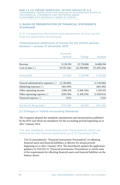## **2. BASIS OF PRESENTATION OF FINANCIAL STATEMENTS (Continued)**

2.1.5. Comparative information and restatement of prior period financial statements (Continued)

# *Comprehensive statements of income for the interim periods between 1 January-31 December 2013*

|                                     | Previously  |              |              |
|-------------------------------------|-------------|--------------|--------------|
|                                     | reported    | Change       | Restated     |
| Revenue                             | 9.138.394   | 25.750.000   | 34.888.394   |
| Cost of sales $(-)$                 | (9.195.436) | (22.500.000) | (31.695.436) |
| Gross profit                        | (57.042)    | 3.250.000    | 3.192.958    |
| General administrative expenses (-) | (2.120.684) |              | (2.120.684)  |
| Marketing expenses (-)              | (463.494)   |              | (463.494)    |
| Other operating income              | 2.896.220   | (1.666.766)  | 1.229.454    |
| Other operating expense (-)         | (830.784)   | (1.438.230)  | (2.269.014)  |
| Financial expense (-)               | (324)       |              | (324)        |
| Net loss for the period $(-)$       | (576.108)   | 145.004      | (431.104)    |

# 2.2 Changes in Turkish Accounting Standards

The Company adopted the standards, amendments and interpretations published by the POA and which are mandatory for the accounting periods beginning on or after 1 January 2014.

# The new standards, amendments and interpretations which are effective for the financial statements as of 31 December 2014

- TAS 32 (amendment), "Financial instruments: Presentation", on offsetting financial assets and financial liabilities, is effective for annual periods beginning on or after 1 January 2014. The amendment updates the application guidance in TAS/IAS 32, 'Financial instruments: Presentation', to clarify some of the requirements for offsetting financial assets and financial liabilities on the balance sheets.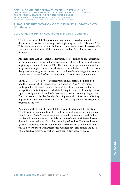# **2. BASIS OF PRESENTATION OF THE FINANCIAL STATEMENTS (Continued)**

## 2.2 Changes in Turkish Accounting Standards (Continued)

- TAS 36 (amendments), "Impairment of assets" on recoverable amount disclosures is effective for annual periods beginning on or after 1 January 2014. This amendment addresses the disclosure of information about the recoverable amount of impaired assets if that amount is based on fair value less costs of disposal.
- Amendment to TAS 39 'Financial instruments: Recognition and measurement', on novation of derivatives and hedge accounting, effective from annual periods beginning on or after 1 January 2014. These narrow-scope amendments allow hedge accounting to continue in a situation where a derivative, which has been designated as a hedging instrument, is novated to effect clearing with a central counterparty as a result of laws or regulation, if specific conditions are met.
- TFRIC 21 TAS 37, "Levies" is effective for annual periods beginning on or after 1 January 2014. This is an interpretation of TAS 37, 'Provisions, contingent liabilities and contingent assets'. TAS 37 sets out criteria for the recognition of a liability, one of which is the requirement for the entity to have a present obligation as a result of a past event (known as an obligating event). The interpretation clarifies that the obligating event that gives rise to a liability to pay a levy is the activity described in the relevant legislation that triggers the payment of the levy.
- Amendments to TFRS 10, 'Consolidated financial statements', TFRS 12 and TAS 27 for investment entities, effective from annual periods beginning on or after 1 January 2014. These amendments mean that many funds and similar entities will be exempt from consolidating most of their subsidiaries. Instead, they will measure them at fair value through profit or loss. The amendments give an exception to entities that meet an 'investment entity' definition and which display particular characteristics. Changes have also been made TFRS 12 to introduce disclosures that an investment entity needs to make.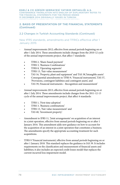# **2. BASIS OF PRESENTATION OF THE FINANCIAL STATEMENTS (Continued)**

# 2.2 Changes in Turkish Accounting Standards (Continued)

## New IFRS standards, amendments and TFRICs effective after 1 January 2015:

- Annual improvements 2012; effective from annual periods beginning on or after 1 July 2014. These amendments include changes from the 2010-12 cycle of the annual improvements project, that affect 7 standards:
	- TFRS 2, 'Share-based payment'
	- TFRS 3, 'Business Combinations'
	- TFRS 8, 'Operating segments'
	- TFRS 13, 'Fair value measurement'
	- TAS 16, 'Property, plant and equipment' and TAS 38,'Intangible assets'
	- Consequential amendments to TFRS 9, 'Financial instruments', TAS 37, 'Provisions, contingent liabilities and contingent assets', and
	- TAS 39, Financial instruments Recognition and measurement'
- Annual improvements 2013; effective from annual periods beginning on or after 1 July 2014. These amendments include changes from the 2011-12-13 cycle of the annual improvements project, that affect 4 standards:
	- TFRS 1, 'First time adoption'
	- TFRS 3, 'Business combinations'
	- TFRS 13, 'Fair value measurement' and
	- TAS 40, 'Investment property'.
- Amendment to IFRS 11, 'Joint arrangements' on acquisition of an interest in a joint operation, effective from annual periods beginning on or after 1 January 2016. This amendment adds new guidance on how to account for the acquisition of an interest in a joint operation that constitutes a business. The amendments specify the appropriate accounting treatment for such acquisitions.
- TFRS 9 'Financial instruments', effective from annual periods beginning on or after 1 January 2018. This standard replaces the guidance in IAS 39. It includes requirements on the classification and measurement of financial assets and liabilities; it also includes an expected credit losses model that replaces the current incurred loss impairment model.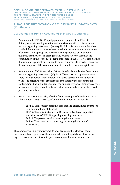# **2. BASIS OF PRESENTATION OF THE FINANCIAL STATEMENTS (Continued)**

# 2.2 Changes in Turkish Accounting Standards (Continued)

- Amendment to TAS 16, 'Property, plant and equipment' and TAS 38, 'Intangible assets', on depreciation and amortisation, effective from annual periods beginning on or after 1 January 2016. In this amendment the it has clarified that the use of revenue based methods to calculate the depreciation of an asset is not appropriate because revenue generated by an activity that includes the use of an asset generally reflects factors other than the consumption of the economic benefits embodied in the asset. It is also clarified that revenue is generally presumed to be an inappropriate basis for measuring the consumption of the economic benefits embodied in an intangible asset.
- Amendment to TAS 19 regarding defined benefit plans, effective from annual periods beginning on or after 1 July 2014. These narrow scope amendments apply to contributions from employees or third parties to defined benefit plans. The objective of the amendments is to simplify the accounting for contributions that are independent of the number of years of employee service, for example, employee contributions that are calculated according to a fixed percentage of salary.
- Annual improvements 2014, effective from annual periods beginning on or after 1 January 2016. These set of amendments impacts 4 standards:
	- TFRS 5, 'Non-current assets held for sale and discontinued operations' regarding methods of disposal.
	- TFRS 7, 'Financial instruments: Disclosures', (with consequential amendments to TFRS 1) regarding servicing contracts.
	- TAS 19, 'Employee benefits' regarding discount rates.
	- TAS 34, 'Interim financial reporting' regarding disclosure of information.

The company will apply improvements after evaluating the effects of these improvements on operations. These standarts and interpretations above is not expected to create a significant impact on company'sfinancial statements.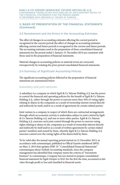# **2. BASIS OF PRESENTATION OF THE FINANCIAL STATEMENTS (Continued)**

# 2.3 Restatement and the Errors in the Accounting Estimates

The effect of changes in accounting estimates affecting the current period is recognized in the current period; the effect of changes in accounting estimates affecting current and future periods is recognized in the current and future periods. The accounting estimates used in the preparation of these consolidated financial statements for the period ended 1 January-31 December 2014 are consistent with those used in the preparation of financial statements.

Material changes in accounting policies or material errors are corrected, retrospectively by restating the prior period consolidated financial statements.

# 2.4 Summary of Significant Accounting Policies

The significant accounting policies followed in the preparation of financial statements are summarized below:

# Subsidiary and joint ventures

A subsidiary is a company in which Egeli & Co Yatırım Holding A.Ş. has the power to control the financial and operating policies for the benefit of Egeli & Co Yatırım Holding A.Ş., either through the power to exercise more than 50% of voting rights relating to shares in the companies as a result of ownership interest owned directly and indirectly by itself, and/or as a result of agreements by certain related parties.

Joint venture is a company in respect of which there are contractual arrangements through which an economic activity is undertaken subject to joint control by Egeli & Co Yatırım Holding A.Ş. and one or more other parties. Egeli & Co Yatırım Holding A.Ş. exercises such joint control through the power to exercise voting rights relating to shares in the companies as a result of ownership interest directly and indirectly by itself and/or as a result of written agreements by certain related parties' members and owned by them, whereby Egeli & Co Yatırım Holding A.Ş. exercises control over the voting rights of the shares held by them.

To be valid after the annual reporting period started on 31 December 2013, in accordance with communique, published in Offical Gazette numbered 28932 on Marc 5, 2014 that updates IFRS 10 " Consolidated Financial Statements" communiques about Turkish Accounting standards, since the company management has identified that company meets the criteria of "investment business" in communique, Company has not started to prepare consolidated financial statement for Egeli Girişim ve EGC for the first the time, accounted as fair value through profit or loss and classified in financial assets.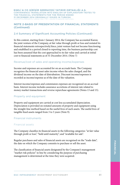# **NOTE 2-BASIS OF PRESENTATION OF FINANCIAL STATEMENTS (Continued)**

# 2.4 Summary of Significant Accounting Policies (Continued)

In this context, starting from 1 January 2014, the Company has accounted Karesi, the joint venture of the Company, at fair value through profit or loss and restated its financial statements retrospectively.Since, joint venture had not became functioning and establihed in a period closed to reporting time, the business partnership cost has been assumed that the cost approached to its fair value and carried at initial cost to financial statements as of 31 December 2014. (Note 7)

#### Revenue/cost of sales and operating income/expenses

Income and expenses are accounted for on an accruals basis. The Company recognizes the financial asset sales income when the sales charged, and the dividend income on the date of distrubution. Discount income/expenses is recorded as income/expense as of the date of the valuation.

Interest income/expenses and commission expenses are recognized on an accrual basis. Interest income includes assurance accretions of interest rate related to money market transactions and reverse repurchase agreements (Notes 13 and 15).

## Property and equipment

Property and equipment are carried at cost less accumulated depreciation. Depreciation is provided on restated amounts of property and equipment using the straight-line method based on the useful lives of such assets. The useful lives of tangible fixed assets ranged from 3 to 5 years (Note 9).

## Financial instruments

## Financial assets

The Company classifies its financial assets in the following categories: "at fair value through profit or loss", "held until maturity", and "available for sale".

Regular purchases and sales of financial assets are recognised on the "trade date", the date on which the Company commits to purchase or sell the asset.

The classification of financial assets designated by the Company's management "market risk policies" in line by considering the purpose of purchasing management is determined at the time they were acquired.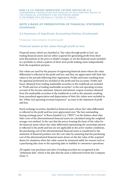# **NOTE 2-BASIS OF PRESENTATION OF FINANCIAL STATEMENTS (Continued)**

#### 2.4 Summary of Significant Accounting Policies (Continued)

Financial instruments (Continued)

### *Financial assets at fair value through profit or loss*

Financial assets, which are classified as "fair value through profit or loss", are trading financial assets and are either acquired for generating profit from short term fluctuations in the price or dealer's margin, or are the financial assets included in a portfolio in which a pattern of short term profit making exists independently from the acquisition purpose.

Fair values are used for the purpose of registering financial assets whose fair value differential is reflected in the profit and loss, and they are appreciated with their fair values in the periods following their registration. Profits and losses resulting from the appraisal performed are included in the profit and loss accounts. Profits and losses obtained from trading marketable securities in the tradebook are included in "Profit and loss of trading marketable securities" in the real operating revenue account of the income statement. Interest and interest coupon revenues obtained from the marketable securities in the tradebook as well as the amounts resulting from unrealized appreciation and depreciation of their fair values were included in the "Other real operating revenue/(expenses)" account in the statement of profit and loss.

Stock exchange securities classified as financial assets whose fair value differential is reflected in the profit and loss were appreciated over "the best outstanding buying exchange price" at Borsa İstanbul A.Ş. ("BIST") on the balance sheet date. Sales costs of the aforementioned financial assets are calculated using the weighted average cost method. In the case that the prices forming the basis of fair value for the financial assets whose fair value differential representing the ownership interest is reflected in the profit and loss are not applicable in the active market conditions, the purchasing cost of the aforementioned financial assets is transferred to the statement of financial position over the cost value by assuming that the purchasing cost of the aforementioned financial assets draws on the fair value of the acquired shares for situations when fair value cannot be measured safely for reasons such as a purchasing date close to the reporting date or inability to commence operations.

All regular way purchases and sales of trading securities are recognized at the "settlement date", which is the date that the asset is delivered to/from the Company. (Note 7)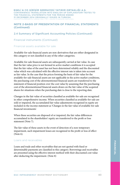### **NOTE 2-BASIS OF PRESENTATION OF FINANCIAL STATEMENTS (Continued)**

#### 2.4 Summary of Significant Accounting Policies (Continued)

Financial instruments (Continued)

#### Financial assets available for sale

Available-for-sale financial assets are non-derivatives that are either designated in this category or not classified in any of the other categories.

Available-for-sale financial assets are subsequently carried at fair value. In case that the fair value price is not formed in active market conditions it is accepted that the fair value of the asset has not been determined reliably and the discounted value which was calculated with the effective interest rate is taken into account as fair value. In the case that the prices forming the basis of fair value for the available-for-sale financial assets are not applicable in the active market conditions, the purchasing cost of the aforementioned financial assets are transferred to the statement of financial position over the cost value by assuming that the purchasing cost of the aforementioned financial assets draws on the fair value of the acquired shares for situations when the purchasing date is close to the reporting date.

Changes in the fair value of securities classified as available-for-sale are recognised in other comprehensive income. When securities classified as available-for-sale are sold or impaired, the accumulated fair value adjustments recognised in equity are included in the income statement as 'Changes in the fair value of available-for-sale financial investments'.

When these securities are disposed of or impaired, the fair value differences accumulated in the shareholders' equity are transferred to the profit or loss statement (Note 7).

The fair value of these assets in the event of detection of a non-temporary impairment, such impairment losses are recognized in the profit or loss of effect (Note 6).

## Loans and receivables

Loans and trade and other receivables that are not quoted with fixed or determinable payments are classified in this category. Borrowings and receivables are presented using the effective interest method with their discounted cost value after deducting the impairment. (Note 8)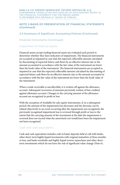# **NOTE 2-BASIS OF PRESENTATION OF FINANCIAL STATEMENTS (Continued)**

#### 2.4 Summary of Significant Accounting Policies (Continued)

Financial instruments (Continued)

#### Impairment of financial assets

Financial assets except trading financial assets are evaluated each period to determine whether they have indicators of impairment. The financial instruments are accepted as impaired in case that the expected collectable amount calculated by discounting of expected future cash flows by an effective interest rate or the amount accounted in accordance with the fair value of the instrument are lower than the book value of the instrument. The financial instruments are accepted as impaired in case that the expected collectable amount calculated by discounting of expected future cash flows by an effective interest rate or the amount accounted in accordance with the fair value of the instrument are lower than the book value of the instrument.

When a trade receivable is uncollectible, it is written off against the allowance account. Subsequent recoveries of amounts previously written of fare credited against allowance account. Changes in the carrying amount of the allowance account are recognized in profit or loss.

With the exception of Available for sale equity instruments, if, in a subsequent period, the amount of the impairment loss decreases and the decrease can be related objectively to an event occurring after the impairment was recognized, the previously recognized impairment loss is reversed through profit or loss to the extent that the carrying amount of the investment at the date the impairment is reversed does not exceed what the amortized cost would have been the impairment not been recognized.

## Cash and cash equivalents

Cash and cash equivalents includes cash in hand, deposits held at call with banks, other short-term highly liquid investments with original maturities of three months or less, and bank overdrafts and highly liquid reverse repurchase and other shortterm investments which do not have the risk of significant value change (Note 6).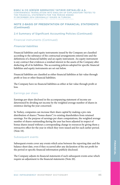### **NOTE 2-BASIS OF PRESENTATION OF FINANCIAL STATEMENTS (Continued)**

## 2.4 Summary of Significant Accounting Policies (Continued)

Financial instruments (Continued)

#### *Financial liabilities*

Financial liabilities and equity instruments issued by the Company are classified according to the substance of the contractual arrangements entered into and the definitions of a financial liability and an equity instrument. An equity instrument is any contract that evidences a residual interest in the assets of the Company after deducting all of its liabilities. The accounting policies adopted for specific financial liabilities and equity instruments are set out below.

Financial liabilities are classified as either financial liabilities at fair value through profit or loss or other financial liabilities.

The Company have no financial liabilities as either at fair value through profit or loss.

## Earnings per share

Earnings per share disclosed in the accompanying statement of income are determined by dividing net income by the weighted average number of shares in existence during the year concerned.

In Turkey, companies can increase their share capital by making a pro-rata distribution of shares ("bonus shares") to existing shareholders from retained earnings. For the purpose of earnings per share computations, the weighted average number of shares outstanding during the year has been adjusted in respect of bonus shares issued without a corresponding change in resources by giving them a retroactive effect for the year in which they were issued and for each earlier period. (Note 18).

#### Subsequent events

Subsequent events cover any events which arise between the reporting date and the balance sheet date, even if they occurred after any declaration of the net profit for the period or specific financial information publicly disclosed.

The Company adjusts its financial statements if such subsequent events arise which require an adjustment to the financial statements (Note 20).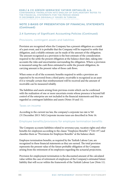# **NOTE 2-BASIS OF PRESENTATION OF FINANCIAL STATEMENTS (Continued)**

#### 2.4 Summary of Significant Accounting Policies (Continued)

#### Provisions, contingent assets and liabilities

Provision are recognized when the Company has a present obligation as a result of a past event, and it is probable that the Company will be required to settle that obligation, and a reliable estimate can be made of the amount of the obligation. The amount recognized as a provision is the best estimate of the consideration required to the settle the present obligation at the balance sheet date, taking into accounts the risks and uncertainties surrounding the obligation. Where a provision is measured using the cash flows estimated to settle the present obligation, its carrying amount is the present value of those cash flows.

When some or all of the economic benefits required to settle a provision are expected to be recovered from a third party; receivable is recognized as an asset if it is virtually certain that reimbursement will be received and the amount of receivable can be measured reliably.

The liabilities and assets arising from previous events which can be confirmed with the realization of one or more uncertain events whose presence is beyond full control of the enterprise are not included in the financial statements and they are regarded as contingent liabilities and assets (Notes 10 and 11).

#### Taxes on income

According to the current tax law, the company's corporate tax rate is %0 (31 December 2013: %0).Corporate income taxes are described in Note 16.

## Employee benefits/provisions for employee termination benefits

The Company accounts liabilities related to severance pay, vacation rights and other benefits for employees according to the clause "Employee Benefits" ("TAS 19") and classifies them as "Provisions for Employee Benefits" at the balance sheet.

Employee termination benefits, as required by the Turkish Labour Law, are recognized in these financial statements as they are earned. The total provision represents the present value of the future probable obligation of the Company arising from the retirement of its employees regarding the actuarial projections.

Provision for employment termination is the discounted amount of the calculated value within the case of retirement of employees of the Company's estimated future liability that will occur within the framework of the Turkish Labour Law (Note 11).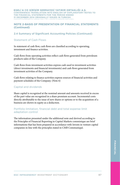**NOTE 2-BASIS OF PRESENTATION OF FINANCIAL STATEMENTS (Continued)**

#### 2.4 Summary of Significant Accounting Policies (Continued)

#### Statement of Cash Flows

In statement of cash flow, cash flows are classified according to operating, investment and finance activities.

Cash flows from operating activities reflect cash flows generated from petroleum products sales of the Company.

Cash flows from investment activities express cash used in investment activities (direct investments and financial investments) and cash flows generated from investment activities of the Company.

Cash flows relating to finance activities express sources of financial activities and payment schedules of the Company. (Note 6)

#### Capital and dividends

Share capital is recognized at the nominal amount and amounts received in excess of the part value are recognized in a share premium account. Incremental costs directly attributable to the issue of new shares or options or to the acquisition of a business are shown in equity as a deduction.

#### Portfolio limitation, financial debt and total expense limit adaptation control

The information presented under the additional note and derived according to the Principles of Financial Reporting in Capital Markets comminique are brief informations that has been prepared in accordance with Invests in venture capital companies in line with the principles stated in CMB Communiqué.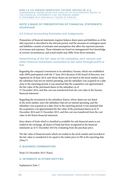## **NOTE 2-BASIS OF PRESENTATION OF FINANCIAL STATEMENTS (Continued)**

# 2.5 Critical Accounting Estimates and Judgements

Preparation of financial statements requires balance sheet assets and liabilities as of the date reported or described in the relevant period, and the amounts of contingent assets and liabilities consists of estimates and assumptions that affect the reported amounts of revenues and expenses. These estimates are based on management's best knowledge of current circumstances, and actual results may differ from those estimates.

### *Determiming of the fair value of the subsidiary, joint venture and other financial investmens accounted as fair value through profit or loss*

Regarding the company's investment in its subsidiary Eurasia, which was established with 100% participation with the 17 June 2014 decision of the board of directors, was registered on 26 June 2014, and whose shares are not listed in the stock market, since the subsidiary had not yet started operating, and the subsidiary was acquired on a date close to the reporting period, it was assumed that the acquisition cost approximated the fair value of the purchased shares in the subsidiary as of 31 December 2014, and this cost was transferred from the cost value in the Eurasia financial statement.

Regarding the investment in the subsidiary Karesi, whose shares are not listed in the stock market, since the subsidiary had not yet started operating, and the subsidiary was acquired on a date close to the reporting period, it was assumed that the acquisition cost approximated the fair value of the purchased shares as of 31 December 2014 and 31 December 2013, and this cost was transferred from the cost value in the Karesi financial statement.

Since shares of Enda which is classified as available-for-sale financial assets is not traded at the exchange, all shares of Enda has been recognized in the financial statements as of 31 December 2014 by evaluating from the purchase price.

The fair value of financial assets which are traded in the stock market and recorded at the fair value is considered to be equal to the maket price in ISE at the reporting date. (Note:7)

#### **3. BUSINESS COMBINATION**

None (31 December 2013: None).

# **4. INTERESTS IN OTHER ENTITIES**

Explained in Note 7.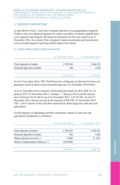# **5. SEGMENT REPORTING**

As described in Note 1, since the Company operates in one geographical segment (Turkey) and one industrial segment (to create a portfolio of venture capital) there is not segment reporting for the financial statements for the year ended as at 31 December 2014. As a result of the Company's future investments and investments to be activated segment reporting will be made in the future.

# **6. CASH AND CASH EQUIVALENTS**

| 31 December 2014 | 31 December 2013 |
|------------------|------------------|
| 2.785.545        | 3.364.251        |
| 296              | 3.620            |
| 2.785.841        | 3.367.871        |
|                  |                  |

As of 31 December 2014, TRY 194,850 portion of deposits are blocked for letters of guarantee issued in favor of governmental agencies. (31 December 2013:None)

As of 31 December 2014, maturity of time deposits which are all in TRY is 2-16 January 2015 (31 December 2013: 1 January – 7 January 2014) and the interest rate is between %5,25-%8.25 (as at 31 December 2013: 7,25-%7,50). As of of 31 December 2014, interest accrual at the amount of 948 TRY (31 December 2013: TRY 1.165) is shown in the cash flow statement by deducting from cash and cash equivalents.

For the purpose of regulating cash flow statements, details of cash and cash equivalents' breakdown is as follows:

|                                | 31 December 2014 | 31 December 2013 |
|--------------------------------|------------------|------------------|
| Time deposits at banks         | 2.785.545        | 3.364.251        |
| Demand deposits at banks       | 296              | 3.620            |
| Minus-Interest accrual (-)     | (948)            | (1.165)          |
| Minus-Compensatory balance (-) | (194.850)        |                  |
|                                | 2.590.043        | 3.366.706        |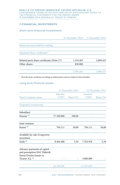**EGELİ & CO GİRİŞİM SERMAYESİ YATIRIM ORTAKLIĞI A.Ş.**  CONVENIENCE TRANSLATION INTO ENGLISH OF EXPLANATORY NOTES TO THE FINANCIAL STATEMENTS FOR THE PERIOD ENDED **31 DECEMBER 2014 ORIGINALLY ISSUED IN TURKISH**<br>(amounts expressed in turkish lira ("Try") unless otherwise indicated.)

# **7-FINANCIAL INVESTMENTS**

# Short term financial investments

|                                            |           | 31 December 2014 31 December 2013 |  |
|--------------------------------------------|-----------|-----------------------------------|--|
|                                            |           |                                   |  |
| Financial assets held for trading          |           |                                   |  |
|                                            |           |                                   |  |
| Quotated share certificates <sup>(*)</sup> |           |                                   |  |
| Related party share certificates (Note 17) | 1.554.265 | 2.009.431                         |  |
| Other shares                               | 830.000   |                                   |  |
|                                            |           |                                   |  |
|                                            | 2.384.265 | 2.009.431                         |  |

(\*) All of the share certificates are belong to related parties and are traded on Borsa İstanbul.

# Long term financial assets

| Share $(\%)$ |
|--------------|
|              |
|              |
|              |
|              |
|              |
|              |
| 50,00        |
|              |
| 5,34         |
|              |
|              |
|              |
|              |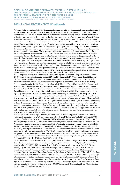#### **7-FINANCIAL INVESTMENTS (Continued)**

(1) Pursuant to the principles stated in the Communiqué on Amendment to the Communiqués on Accounting Standards in Turkey (Rank No.: 13) promulgated in the Official Gazette dated 5 March 2014 with issue number 28932 making amendment to the TFRS 10, "Consolidated Financial Statements" standard with regards to the investment enterprises, as the Company management determined that the Company complies with the "investment enterprise" criteria defined in the aforementioned communiqué, the investment of the Company in Eurasia-the subsidiary which was established as a wholly-owned subsidiary whose shares are not publicly traded based on the Board Decision dated 17 June 2014 and registered on 26 June 2014-was recognized as a financial asset whose fair value differential is reflected in the profit and loss and classified under long-term financial investments. Regarding the cost of the Company's investment in Eurasia, the subsidiary of the Company, as fair value could not be measured reliably because the subsidiary has not commenced its operations and the acquisition of the subsidiary was close to the reporting period, it was assumed that the shares in the subsidiary drew on the fair value on 31 December 2014 and Eurasia was transferred to the statement of financial position over the cost value. Eurasia was established to engage in leasing of fixed and/or mobile power plants in the national and international markets. It was reported to the Company on 25 September 2014 that Eurasia acquired all of GTS, having invested in the leasing of a mobile power plant for USD 8.000.000, that the transfer registration procedures were completed and that a non-exclusive brokerage contract was signed with Biovizyon Enerji Gıda San. ve Dış Tic. Ltd. Şti. on leasing in the international market of two 25 MW Pratt&Whitney mobile energy turbines to be included in GTS' leasable fixed and mobile energy turbine portfolio. Mobile gas turbines to be included in the portfolio are leased by the relevant institutions so as to provide the energy required by long-term projects in the fields where power transmission systems are insufficient and/or to meet the requirement after natural disasters (Note 2.5).

<sup>(2)</sup> The Company purchased %50 of the shares of Karesi held by Egeli & Co Yatırım Holding A.S., corresponding to 480,000 shares with a nominal value per share of TRY 1 and for the price of TRY 794.111 on the date of 20 February 2013. Karesi was established to engage in activities relating to geothermal energy production and has ceased to be operational as of 31 December 2014. In accordance with the principles stated in the Communique on Amending Communiques Regarding Turkish Accounting Standards (Serial Number: 13) published in the Official Gazette dated 5 March 2014 and numbered 28932, which introduced amendments to investment transactions carried out within the scope of the TFRS 10, " Consolidated Financial Statements" standards, the Company management has established that within the context of annual reporting periods starting as of 31 December 2013, the company meets the criteria regarding "investment enterprises" as defined under the said communique; therefore, while previously having been recorded by the Company by means of applying the equity method, as of 1 January 2014, the joint venture of Karesi has been recorded as a financial asset with the fair value difference being projected upon gains or losses and has accordingly been reset below financial investments. Since the said joint venture investment, subsisting of shares which are not traded in the stock exchange, has not yet become operational in its activites and the purchase of the joint venture took place around the timing of the reporting periods, it has been assumed that the costs relating said purchase approximate the fair value of the acquired shares as of 31 December 2014 and 31 December 2013 and accordingly stated as the cost value under the financial statement of joint venture. The effects of the change in the aforementioned accounting policy has been retrospectively restated (Note 2.1.5. and 17).

(3) Within the scope of venture capital portfolio generation activities, the company purchased shares of Enda Enerji Holding A.Ş. amounting to TRY 7.754.420 on different dates between 17 January 2013 and 31 December 2014. TRY 2.386.487 of said purchases were acquired from EGC Elektrik Enerji Üretim Sanayi ve Ticaret A.Ş. ("EGC" or "EGC Elektrik") through transfer. EGC, which is one of the transferring parties, is a subsidiary of Egeli & Co Yatırım Holding A.Ş, which is the major shareholder of the company (Note 17). Since the Enda shares, which are classified as availablefor-sale financial assets, are not listed in the stock market, all of the Enda shares owned by the company were valued considering the last purchase price as of 31 December 2014 and reflected in the financial statements. Within this scope, unrealised fair value revenues amounting to TRY 710.060, generated as a result of the valuation of company shares, are recognised in the "Accumulated revaluation gains of available-for-sale financial assets" account under equities as of 31 December 2014.Karesi's unaudited financial statements which prepared according to the tax legislation of share of the Company is TRY 85.639 dated 31 December 2014.(Note 2.5 and 17).

(4) In accordance with the decision taken by the company's board of directors on 8 April 2013, it was unanimously decided that: a pre-purchase agreement should be signed regarding the purchase of 400,000 EGC shares with a nominal value of 1.00TRY, which constitute all of the EGC shares and which are owned by Egeli & Co Yatırım Holding A.Ş., for TRY 7.500.000 on the basis of the independent valuation report dated 29 March 2013; the share transfers should be made after EGC receives its production licence from the Energy Market Regulatory Authority;TRY 3.000.000 should be paid in advance and the balance of TRY 4.500.000 should be paid after the share transfers, and; if the sales transaction cannot be finalised the amount of the advance payment, including all the legal interest, should be reimbursed. The pre-purchase agreement regarding the transfer of EGC shares was terminated on 6 February 2014 as a result of mutual reconciliation with Egeli & Co Yatırım Holding A.Ş., and it was agreed that Egeli & Co Yatırım Holding A.Ş. should repay the TRY 3.000.000, including its legal interest, which was the advance payment made for the purchase of the shares. TRY 3.302.639 has been collected from Egeli & Co Yatırım Holding A.Ş, which includes and legal interest. (Note 17).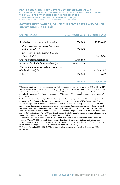#### **8-OTHER RECEIVABLES, OTHER CURRENT ASSETS AND OTHER SHORT TERM LIABILITIES**

| Other receivables                          |             | 31 December 2014 31 December 2013 |
|--------------------------------------------|-------------|-----------------------------------|
|                                            |             |                                   |
| Receivables from sale of subsidiaries      | 750.000     | 25.750.000                        |
| JKS Enerji Güç Sistemleri Tic. ve San.     |             |                                   |
| A.S. share sales (*)                       | 750.000     |                                   |
| KRC Gayrimenkul Yatırım Ltd. Şti.          |             |                                   |
| share sales $(*)$                          |             | 25.750.000                        |
| Other Doubtful Receivables (**)            | 8.748.880   |                                   |
| Provision for doubtful receivables (-)     | (8.748.880) |                                   |
| Discount of receivables arising from sales |             |                                   |
| of subsidiary $(-)$ $(*)$                  |             | (1.583.234)                       |
| Other $(***)$                              | 108.846     | 3.627                             |
|                                            | 858.846     | 24.170.393                        |

(\*) In the extent of, creating a venture capital portfolio, the company has became partners of JKS which has TRY 200.000 issued capital at the amount of 50% by paying TRY 750.000 (with TRY 200.000 share premium) In the extent of the decision of Board of Directors numbered 80 on 26 December 2014, company sells shares of JKS to Andaç Tulgarlar and Eber Samat at the amount of TRY 750.000. The amount is decided to ve collected in 5 installments.

(\*\*) With the decision taken on Egeli Girişim Board of Directors meeting on 29 April 2013, which is one of the subsidiaries of the Company, has decided to contribute to the capital increase of KRC Gayrimenkul Yatırım Ltd. Şti., engaged in investment and development activities in urban hotel management, by TRY 10.000.000, and become a shareholder, as well as to sign a Share Purchase and Shareholders Agreement with Kenan Onak and Ayten Onak. In addition to this decision, with the decision taken by Egeli Girişim Board of Directors on 9 May 2013, it is decided that; an additional TRY 12.500.000 should be paid in order to increase the shareholders share to 36% and in total, TRY 22.500.000 of contribution should be made to the capital increase. In accordance with the decision taken at the Board of Directors meeting held on

3 December 2013, Sale of shares owned at KRC Gayrimenkul Yatırım A.Ş.to Kenan Onak and Ayten Onat worth to TRY 25.750.000 was bonded by a contract signed on 3 December 2013. Receivable arising from mentioned sale has been discounted with %9.47 by considering the instalment dates and reflected to financial statements amounting to TRY 1.583.234 as of 31 December 2013. (Note 17)

(\*\*\*) As of 31 December 2014, 100.474 TRY portion of other receivables consist of receivables from JKS. (2013:None)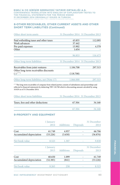## **8-OTHER RECEIVABLES, OTHER CURRENT ASSETS AND OTHER SHORT TERM LIABILITIES (Continued)**

| Other short term assets                    |           | 31 December 2014 31 December 2013 |
|--------------------------------------------|-----------|-----------------------------------|
| Paid witholding taxes and other taxes      | 43.855    | 112.095                           |
|                                            |           |                                   |
| Work advances                              | 37.442    |                                   |
| Pre-paid expenses                          | 13.902    | 4.378                             |
| Other                                      | 1.654     |                                   |
|                                            | 96.853    | 116.473                           |
| Other long-term liabilities                |           | 31 December 2014 31 December 2013 |
| Receivables from joint ventures            | 1.184.708 | 297.515                           |
| Other long-term receivables discounts      |           |                                   |
| $(-)$ <sup>(****)</sup>                    | (118.708) |                                   |
| Other long-term liabilities, net (Note 17) | 1.066.000 | 297.515                           |

(\*\*\*\*)The long-term recaivables of company from related parties consists of subsidiaries and parnertships and reflected to financial statements by deducting TRY 118.708 which is discounting amount calculetd by using 10.02% as of 31 December 2014.

| Other short term liabilities     |        | 31 December 2014 31 December 2013 |
|----------------------------------|--------|-----------------------------------|
| Taxes, fees and other deductions | 67.504 | 34.168                            |
|                                  |        |                                   |
|                                  | 67.504 | 34.168                            |
|                                  |        |                                   |

# **9-PROPERTY AND EQUIPMENT**

|                          | 1 January |                  |                  | 31 December |
|--------------------------|-----------|------------------|------------------|-------------|
|                          | 2014      | <b>Additions</b> | <b>Disposals</b> | 2014        |
| Cost                     | 61.749    | 4.957            |                  | 66.706      |
| Accumulated depreciation | (53.226)  | (3.650)          |                  | (56.876)    |
| Net book value           | 8.523     | 1.307            |                  | 9.830       |
|                          | 1 January |                  |                  | 31 December |
|                          | 2013      | <b>Additions</b> | <b>Disposals</b> | 2013        |
| Cost                     | 60.650    | 1.099            |                  | 61.749      |
| Accumulated depreciation | (52.385)  | (841)            |                  | (53.226)    |
| Net book value           | 8.265     | 258              |                  | 8.523       |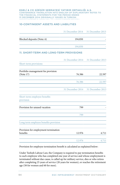# **10-CONTINGENT ASSETS AND LIABILITIES**

|                                                  | 31 December 2014 | 31 December 2013                  |
|--------------------------------------------------|------------------|-----------------------------------|
|                                                  |                  |                                   |
| Blocked deposits (Note: 6)                       | 194.850          |                                   |
|                                                  | 194.850          |                                   |
| <b>11. SHORT-TERM AND LONG-TERM PROVISIONS</b>   |                  |                                   |
|                                                  |                  | 31 December 2014 31 December 2013 |
| Short-term provisions                            |                  |                                   |
| Portfolio management fee provision<br>(Note 17)  | 76.386           | 22.597                            |
|                                                  |                  |                                   |
|                                                  | 76.386           | 22.597                            |
|                                                  | 31 December 2014 | 31 December 2013                  |
| Short-term employee benefits<br>provision        |                  |                                   |
| Provision for unused vacation                    | 799              |                                   |
|                                                  | 799              |                                   |
| Long term employee benefits provision            |                  |                                   |
| Provision for employment termination<br>benefits | 12.976           | 4.711                             |
|                                                  | 12.976           | 4.711                             |

Provision for employee termination benefit is calculated as explained below:

Under Turkish Labour Law, the Company is required to pay termination benefits to each employee who has completed one year of service and whose employment is terminated without due cause, is called up for military service, dies or who retires after completing 25 years of service (20 years for women), or reaches the retirement age (58 for women and 60 for men).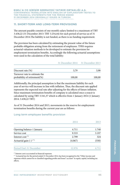# **11. SHORT-TERM AND LONG-TERM PROVISIONS**

The amount payable consists of one month's salary limited to a maximum of TRY 3.438,22 (31 December 2013: TRY 3.254,44) for each period of service as of 31 December 2014.The liability is not funded, as there is no funding requirement.

The provision has been calculated by estimating the present value of the future probable obligation arising from the retirement of employees. TFRS requires actuarial valuation methods to be developed to estimate the provision for employment termination benefits. Accordingly the following actuarial assumptions were used in the calculation of the total liability:

|                               |        | 31 December 2014 31 December 2013 |
|-------------------------------|--------|-----------------------------------|
|                               |        |                                   |
| Discount rate (%)             | 3.79   | 3.98                              |
| Turnover rate to estimate the |        |                                   |
| probability of retirement(%)  | 100,00 | 100,00                            |

Additionally, the principal assumption is that the maximum liability for each year of service will increase in line with inflation. Thus, the discount rate applied represents the expected real rate after adjusting for the effects of future inflation. Since maximum termination benefits of company is calculated once a year,it is calculated by using TRY 3.541,37 which is effective from 1 January 2014 (1 January 2014: 3.438,22 TRY)

As of 31 December 2014 and 2013, movements in the reserve for employment termination benefits during the current year are as follows:

## Long term employee benefits provision

|                              | 2014    | 2013  |
|------------------------------|---------|-------|
|                              |         |       |
| Opening balance-1 January    | 4.711   | 1.740 |
| Service cost                 | 9.533   | 3.197 |
| Interest cost <sup>(*)</sup> | 2.799   | 324   |
| Actuarial gain $(-)$ $(*)$   | (4.067) | (550) |
| Period End-31 December       | 12.976  |       |

(\*) Interest cost is accounted in financial expenses.

(\*\*) Actuarial loss for the period ended 31 December 2014, has been recognised in the "Other income and expenses which cannot be re-classified regarding profits and losses" account" in equity capital, including tax effects.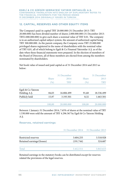# **12. CAPITAL, RESERVES AND OTHER EQUITY ITEMS**

The Company's paid-in capital TRY 20.000.000 (31 December 2013: TRY 20.000.000) has been divided number of shares 2.000.000.000 (31 December 2013: TRY2.000.000.000) to give each share a nominal value of TRY 0.01. The company is in an authorized capital subject system, the amount of authorized capital being TRY 300.000.000. As the parent company, the Company owns TRY 25.000.000 privileged shares registered in the name of shareholders with the nominal value of TRY 0,01, all of which belong to Egeli & Co Finansal Yatırımlar A.Ş. as of the date when these financial statements were prepared. In the election of members of the Board of Directors, all of these members are elected from among the members nominated by shareholders.

Net book value of issued and paid capital as of 31 December 2014 and 2013 as below:

|                    |                   | 31 December |        | 31 December |
|--------------------|-------------------|-------------|--------|-------------|
|                    | Share             | 2014        | Share  | 2013        |
|                    | $\left(\%\right)$ | <b>TRY</b>  | (%)    | <b>TRY</b>  |
| Egeli & Co Yatırım |                   |             |        |             |
| Holding A.Ş.       | 84,03             | 16.806.499  | 91,68  | 18.336.499  |
| Publicly held      | 15,97             | 3.193.501   | 8,32   | 1.663.501   |
|                    | 100,00            | 20,000,000  | 100,00 | 20.000.000  |

Between 1 January-31 December 2014, 7.65% of shares at the nominal value of TRY 1.530.000 were sold the amount of TRY 4.296.367 by Egeli & Co Yatırım Holding A.Ş.

#### Reserves, retained earnings:

|                            |           | 31 December 2014 31 December 2013 |
|----------------------------|-----------|-----------------------------------|
| Restricted reserves        | 3.604.255 | 3.518.928                         |
| Retained earnings/(losses) | (191.744) | 324.687                           |
| Total                      | 3.412.511 | 3.843.615                         |

Retained earnings in the statutory books can be distributed except for reserves ralated the provisions of the legal reserves.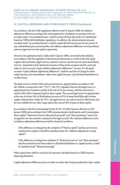# **12. CAPITAL, RESERVES AND OTHER EQUITY ITEMS (Continued)**

In accordance with the CMB regulations effective until 01 January 2008, the inflation adjustment differences arising at the initial application of inflation accounting which are recorded under "Accumulated losses" could be netted off from the profit to be distributed based on CMB profit distribution regulations. In addition, the aforementioned amount recorded under "accumulated losses" could be netted off with net income for the period, if any, undistributed prior period profits, and inflation adjustment differences of extraordinary reserves, legal reserves and capital, respectively.

However, the application that is valid until 01 January 2008, corrected for the inflation in accordance with the regulation of the financial statements as a result of the first equity "capital, share premium, legal reserves, statutory reserves, special reserves and extraordinary reserves, "presented at their historical amounts of these items are given and the corrected values in such accounts' equity inflation adjustment differences" account. For all equity accounts "equity inflation adjustment differences" could be used free of charge for share capital increase, the extraordinary values, free capital increase, cash dividend distribution or to offset losses.

The legal reserves consist of first and second reserves, appropriated in accordance with the Turkish Commercial Code ("TCC"). The TCC stipulates that the first legal reserve is appropriated out of statutory profits at the rate of 5% per annum, until the total reserve reaches 20% of the Company's paid-in share capital. The second legal reserve is appropriated at the rate of at least 10% of distributions in excess of 5% of issued and fully paid-in share capital, without limit. Under the TCC, the legal reserves can only be used to offset losses and are not available for any other usage unless they exceed 50% of paid-in share capital.

In accordance with the Communiqué Serial: XI, No. 29 which became effective as of 01 January 2008 and according to the CMB's announcements clarifying the said Communiqué, Share capital", "Restricted reserves allocated from profit" and "Share premiums" need to be recognized over the amounts contained in the legal records. The valuation differences (such as inflation adjustment differences) shall be disclosed as follows:

- If the difference is arising from the valuation of "Paid-in capital" and has not yet been transferred to capital, it should be classified under the "Inflation adjustment to share capital";
- If the difference is arising from valuation of "Restricted reserves" and "Share premium" and the amount has not been subject to dividend distribution or capital increase, it shall be classified under "Retained earnings".

Other equity items shall be carried at the amounts calculated based on CMB Financial Reporting Standards.

Capital adjustment differences have no other use other than being transferred to share capital.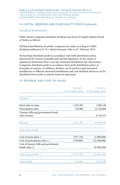#### **12. CAPITAL, RESERVES AND OTHER EQUITY ITEMS (Continued)**

#### Dividend Distribution

Public limited companies distribute dividends due form of Capital Markets Board of Turkey as follows:

Dividend distributions for public companies are made according to CMB's dividend notification II-19.1 which is became valid as of 1 February 2014.

Partnerships distributes profit in accordance with frofit distribution policy determined by General Assembly and relevant legislation. In the extent of mentioned declaration there 's not any minimum distribution rate determined. Companies distributes profit in accordance their profit distribution policy or principles of contract. In addition, dividens can be paid by equal amounted installments or different amounted installments and cash dividend advances can be distributed from profit on interim financial statements.

# **13. REVENUE AND COST OF SALES**

|                                       | 1 January-  | 1 January-                        |
|---------------------------------------|-------------|-----------------------------------|
|                                       |             | 31 December 2014 31 December 2013 |
| Revenue:                              |             |                                   |
| Stock sales revenue                   | 1.322.303   | 1.009.120                         |
| Participation sales                   | 750.000     | 25.750.000                        |
| Treasury bills and government bonds   |             |                                   |
| sales revenue                         |             | 8.129.274                         |
| Revenue                               | 2.072.303   | 34.888.394                        |
| Cost of good sold:                    |             |                                   |
| Cost of stock sales(-)                | (707.719)   | (1.009.000)                       |
| Cost of participation sales (-)       | (750.000)   | (22.500.000)                      |
| Cost of treasury bills and government |             |                                   |
| bonds sales (-)                       |             | (8.186.436)                       |
| Cost of good sold (-)                 | (1.457.719) | (31.695.436)                      |
| <b>Gross Porift</b>                   | 614.584     | 3.192.958                         |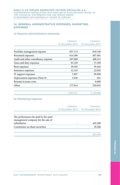#### **14. GENERAL ADMINISTRATIVE EXPENSES, MARKETING EXPENSES**

#### a) General administrative expenses

|                                     | 1 January- | 1 January-                        |
|-------------------------------------|------------|-----------------------------------|
|                                     |            | 31 December 2014 31 December 2013 |
|                                     |            |                                   |
| Portfolio management expense        | 837.113    | 810.140                           |
| Personnel expenses                  | 614.589    | 407.401                           |
| Audit and other consultancy expense | 207.068    | 408.215                           |
| Taxes and duty expenses             | 63.149     | 73.180                            |
| Rent expenses                       | 39.592     | 39.444                            |
| Insurance expenses                  | 12.143     | 22.030                            |
| IT support expenses                 | 7.897      | 99.998                            |
| Depreciation expenses (Note 9)      | 3.650      | 841                               |
| Remain in jeans costs               |            | 8.600                             |
| Other                               | 177.014    | 250.835                           |
|                                     | 1.962.215  | 2.120.684                         |
|                                     |            |                                   |

# b) Marketing expense

|                                                                                             | 1 January- | 1 January-<br>31 December 2014 31 December 2013 |
|---------------------------------------------------------------------------------------------|------------|-------------------------------------------------|
| The performance fee paid to the asset<br>management company for the sale of<br>subsidiaries |            | 445.208                                         |
| Commision on share securities                                                               |            | 18.286                                          |
|                                                                                             |            |                                                 |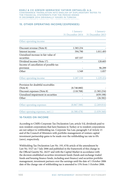# **15. OTHER OPERATING INCOME/(EXPENSES)**

|                                        | 1 January-  | 1 January-                        |
|----------------------------------------|-------------|-----------------------------------|
|                                        |             | 31 December 2014 31 December 2013 |
| Other operating income                 |             |                                   |
| Discount revenue (Note 8)              | 1.583.234   |                                   |
| Interest income                        | 594.790     | 1.011.493                         |
| Unrealized increase in fair value of   |             |                                   |
| securities                             | 107.537     |                                   |
| Dividend income (Note 17)              |             | 120.605                           |
| Income of cancellation of possible tax |             |                                   |
| provision                              |             | 96.299                            |
| Other                                  | 1.549       | 1.057                             |
| Other operating income                 | 2.287.110   | 1.229.454                         |
| Provision for doubtful receivables     |             |                                   |
| (Note 8)                               | (8.748.880) |                                   |
| Discount expenses (Note 8)             | (118.708)   | (1.583.234)                       |
| Unrealized impairment in securities    |             | (659.198)                         |
| Other                                  | ٠           | (26.582)                          |
| Other operating expenses               | (8.867.588) | (2.269.014)                       |
| Other operaing expenses, net (-)       | (6.580.478) | (1.039.560)                       |

# **16-TAXES ON INCOME**

According to CMB's Corporate Tax Declaration Law, article 5/d, dividends paid to non-resident corporations that have business in Turkey or to resident corporations are not subject to withholding tax. Corporate Tax Law, paragraph 3 of Article 15 and of the Council of Ministers with portfolio management of venture capital investment partnership gains to be made over the withholding tax rate to 0% (zero), respectively.

Withholding Tax Declaration Law No. 193, 67th article of the amendment by Law No. 5527 on 7 July 2006 and published in the framework of this change in the Official Gazette No. 26237 and with the Capital Market in accordance with the decision established securities investment funds (funds and exchange traded funds and housing finance funds, including asset finance) and securities portfolio management, investment partners over the earnings until the date of 1 October 2006 date of the change rate of withholding tax is amended to 15% from 1 October 2006.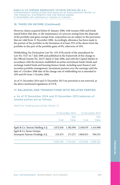# **16. TAXES ON INCOME (Continued)**

However, shares acquired before 01 January 2006, with treasury bills and bonds issued before that date, or the maintenance of a process arising from the disposals of the portfolio and gains exempt from corporation tax are subject to the provisions that are valid from 31 December 2006. Accordingly, allowance has been made to the portion of the portfolio in the formation of at least 25% of the shares from the portfolio in this part of the portfolio gains of 0%, otherwise of 10%.

Withholding Tax Declaration Law No. 193, 67th article of the amendment by Law No: 5527 on 7 July 2006 and published in the framework of this change in the Official Gazette No. 26237 dated 23 July 2006, and with the Capital Market in accordance with the decision established securities investment funds (funds and exchange traded funds and housing finance funds, including asset finance) and securities portfolio management, investment partners over the earnings until the date of 1 October 2006 date of the change rate of withholding tax is amended to 10% and 0% from 1 October 2006.

As of 31 December 2014 and 31 December 2013 tax provision is not reserved, as the above mentioned regulations of GVK.

#### **17. BALANCES AND TRANSACTIONS WITH RELATED PARTIES**

a. As of 31 December 2014 and 31 December 2013 balances of related parties are as follows:

# Held for trading securities (Note 7)

|                                  |           |                     | 31 December 2014 31 December 2013 |           |
|----------------------------------|-----------|---------------------|-----------------------------------|-----------|
|                                  |           | Fair                |                                   | Fair      |
|                                  | Cost      | Value               | Cost                              | Value     |
|                                  |           |                     |                                   |           |
| Egeli & Co. Yatırım Holding A.Ş. | 1.872.636 | 1.382.994 2.160.679 |                                   | 1.414.900 |
| Egeli & Co Tarım Girişim         |           |                     |                                   |           |
| Sermayesi Yatırım Ortaklığı A.Ş. | 153.473   | 171.271             | 1.064.015                         | 594.531   |
|                                  |           |                     |                                   |           |
|                                  | 2.026.109 |                     | 1.554.265 3.224.694 2.009.431     |           |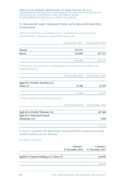#### **17. BALANCES AND TRANSACTIONS WITH RELATED PARTIES (Continued)**

Other long-term recaivables from subsidiaries and business partnerships (Discount deducted) (Note 8)

| 31 December 2014                                           | 31 December 2013                  |
|------------------------------------------------------------|-----------------------------------|
|                                                            |                                   |
| 533.131                                                    |                                   |
| 532.869                                                    | 297.515                           |
| 1.066.000                                                  | 297.515                           |
| Provisions for portfolio management commission payables to |                                   |
|                                                            | 31 December 2014 31 December 2013 |
| 76.386                                                     | 22.597                            |
| 76.386                                                     | 22.597                            |
| Trade payables to related parties                          |                                   |
| 31 December 2014                                           | 31 December 2013                  |
|                                                            | 467.468                           |
| ٠                                                          | 5.803                             |
| ÷                                                          | 473.271                           |
|                                                            |                                   |

b. As of 1 January-30 December 2014 and 2013 transactions with related parties are as follows:

# Dividend income

|                                          | 1 January-<br>31 December 2014 | 1 January-<br>31 December 2013 |  |
|------------------------------------------|--------------------------------|--------------------------------|--|
| Egeli& Co Yatırım Holding A.Ş. (Note 15) | -                              | 120.605                        |  |
|                                          | ۰                              | 120.605                        |  |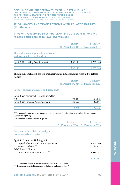### **17. BALANCES AND TRANSACTIONS WITH RELATED PARTIES (Continued)**

b. As of 1 January-30 December 2014 and 2013 transactions with related parties are as follows: (Continued)

|                                                                          |         | 1 January- 1 January-<br>31 December 2014 31 December 2013 |
|--------------------------------------------------------------------------|---------|------------------------------------------------------------|
| The portfolio management commissions<br>and fees paid to related parties |         |                                                            |
| Egeli & Co Portföy Yönetimi A.Ş.                                         | 837.113 | 1.255.348                                                  |
|                                                                          | 837.113 | 1.255.348                                                  |

The amount includes portfolio management commissions and fees paid to related parties.

| 1 January-                        | 1 January- |
|-----------------------------------|------------|
| 31 December 2014 31 December 2013 |            |

Support services and rental and usage costs

| Egeli & Co Kurumsal Destek Hizmetleri    |         |         |
|------------------------------------------|---------|---------|
| $A.S.$ $(*)$                             | 73.344  | 90.152  |
| Egeli & Co Finansal Yatırımlar A.Ş. (**) | 39.592  | 39.444  |
|                                          | 112.936 | 129.596 |

(\*) The amount includes expenses for accounting, operations, administration, technical services, corporate support and reporting..

(\*\*) The amount includes rent and usage costs.

|                                       | 1 January-<br>31 December 2014 31 December 2013 | 1 January- |  |
|---------------------------------------|-------------------------------------------------|------------|--|
|                                       |                                                 |            |  |
|                                       |                                                 |            |  |
| Purchase of financial asset and joint |                                                 |            |  |
| venture to related parties            |                                                 |            |  |
| Egeli & Co Yatırım Holding A.Ş.       |                                                 |            |  |
| -Capital advance paid to EGC (Note 7) |                                                 | 3.000.000  |  |
| -Karesi purchase <sup>(***)</sup>     |                                                 | 794.111    |  |
| EGC Elektrik Enerji                   |                                                 |            |  |
| Üretim Sanayi ve Ticaret A.S. (****)  |                                                 | 2.386.487  |  |
|                                       |                                                 | 6.180.598  |  |
|                                       |                                                 |            |  |

(\*\*\*) The amount is related to purchase of Karesi and explained in Note 7.

(\*\*\*\*) The amount is related to purchase of Enda and explained in Note 7.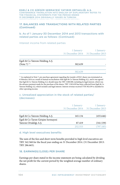#### **17. BALANCES AND TRANSACTIONS WITH RELATED PARTIES (Continued)**

# b. As of 1 January-30 December 2014 and 2013 transactions with related parties are as follows: (Continued)

#### Interest income from related parties

|                                                   | 1 January- | 1 January-<br>31 December 2014 31 December 2013 |
|---------------------------------------------------|------------|-------------------------------------------------|
| Egeli & Co Yatırım Holding A.Ş.<br>(Note 7) $(*)$ | 302.639    |                                                 |
|                                                   | 302.639    |                                                 |

(\*) As explained in Note 7, pre-purchase agreement regarding the transfer of EGC shares was terminated on 6 February 2014 as a result of mutual reconciliation with Egeli & Co Yatırım Holding A.Ş., and it was agreed that Egeli & Co Yatırım Holding A.Ş. should repay the TRY 3.000.000, including its legal interest, which was the advance payment made for the purchase of the shares. TRY 3.302.639 has been collected from Egeli & Co Yatırım Holding A.Ş, which includes and legal interest. Interest revenue received TYR 302.639 is classified in other operating income.

## c. Unrealized appreciation in the stock of related parties/ (decreases)

|                                    | 1 January- | 1 January-<br>31 December 2014 31 December 2013 |
|------------------------------------|------------|-------------------------------------------------|
| Egeli & Co Yatırım Holding A.Ş.    | 165.134    | (455.646)                                       |
| Egeli & Co Tarım Girişim Sermayesi |            |                                                 |
| Yatırım Ortaklığı A.Ş.             | 87.419     | (341.539)                                       |
|                                    | 252.553    | (797.185)                                       |

#### d. High level executives benefits

The sum of the fees and short-term benefits provided to high level executives are TRY 342.568 for the fiscal year ending on 31 December 2014. (31 December 2013: TRY 286.665).

#### **18. EARNINGS/(LOSS) PER SHARE**

Earnings per share stated in the income statement are being calculated by dividing the net profit for the current period by the weighted average number of ordinary shares.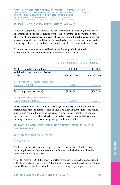# **18. EARNINGS/(LOSS) PER SHARE (Continued)**

In Turkey, companies can increase their share capital by distributing "bonus shares" of earnings to existing shareholders from retained earnings and revaluation funds. This type of "bonus shares", comprised of a certain amount of retained earnings per share, are regarded as issued shares. The weighted average number of shares used for earnings per share, is derived by giving retroactive effect of previous transactions.

Earnings per share are calculated by dividing the net profit distributed to shareholders by the weighted average number of shares issued:

|                                          | 1 January-    | 1 January-<br>31 December 2014 31 December 2013 |
|------------------------------------------|---------------|-------------------------------------------------|
|                                          |               |                                                 |
| Net loss related to shareholders (-)     | (7.930.908)   | (431.104)                                       |
| Weighted average number of issued        |               |                                                 |
| shares                                   | 2.000.000.000 | 2.000.000.000                                   |
| Loss per share $(-)$ (Income/(loss) (per |               |                                                 |
| share is TRY 0.01)                       | (0, 3965)     | (0,0216)                                        |
| Total comprehensive loss (-)             | (7.216.781)   | (430.554)                                       |
| Loss per share (-) for comprehensive     |               |                                                 |
| $loss$ (per share is TRY 0.01)           | (0, 3608)     | (0,0215)                                        |

The Company owns TRY 25.000.000 privileged shares registered in the name of shareholders with the nominal value of TRY 0.01. Each of these equities are voting stock which has a million voting securities in order to elect members of board of directors. These type of shares has been devoid of privilege to profit distribution. Earnings per share is the same for privileged and common share.

## **19. NATURE AND LEVEL OF RISK DERIVIED FROM FINANCIAL INSTRUMENTS**

#### 19.1 Financial risk management

## a) Credit risk

Credit risk is the risk that one party to a financial instrument will fail to meet regarding the terms of their agreements as foreseen and which causes the other party to incur a financial loss.

As of 31 December 2014, the most important credit risk is consist of deposits held at the bank and other receivables. All of the Company's bank deposits are in Turkish banks. Other receivables related to credit risk is managed by the guarantees.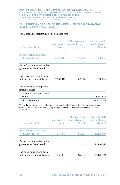#### **19. NATURE AND LEVEL OF RISK DERIVIED FROM FINANCIAL INSTRUMENTS (Continued)**

#### The Company's maximum credit risk exposure:

| 31 December 2014                                              | (Note 6)  | Bank deposits from related party<br>(Note 8) | Other receivable Other receivable<br>from third party<br>(Note 8) |
|---------------------------------------------------------------|-----------|----------------------------------------------|-------------------------------------------------------------------|
|                                                               |           |                                              |                                                                   |
| As of reporting date Max,                                     |           |                                              |                                                                   |
| credit risk exposed                                           | 2.785.841 | 1.066.000                                    | 858.846                                                           |
| Part of maximum risk under<br>guarentee with collateral       |           |                                              |                                                                   |
| Net book value of not-due or<br>not-impaired financial assets | 2.785.841 | 1.066.000                                    | 858.846                                                           |
| Net book value of impaired<br>financial assets                |           |                                              |                                                                   |
| -Overdue (The gross book)<br>value)                           |           |                                              | 8.748.880                                                         |
| -Impairment $(-)$ $(*)$                                       |           |                                              | (8.748.880)                                                       |

(\*) Since the company could not collect recevaibles from the sale of subsidiaries and does not expect future collection as disclosed Note 8, the company make provision for the total receivable amount in income statement.

| 31 December 2013                                              | (Note 6)  | Bank deposits from related party<br>(Note 8) | Other receivable Other receivable<br>from third party<br>(Note 8) |
|---------------------------------------------------------------|-----------|----------------------------------------------|-------------------------------------------------------------------|
| As of reporting date max,<br>credit risk exposed              | 3.367.871 | 297.515                                      | 24.170.393                                                        |
| Part of maximum risk under<br>guarentee with collateral       |           |                                              | 24.166.766                                                        |
| Net book value of not-due or<br>not-impaired financial assets | 3.367.871 | 297.515                                      | 24.170.393                                                        |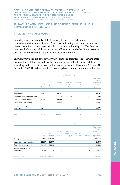### **19. NATURE AND LEVEL OF RISK DERIVIED FROM FINANCIAL INSTRUMENTS (Continued)**

### b) Liquidity risk disclosures

Liquidity risk is the inability of the Company to match the net funding requirements with sufficient funds. A decrease in funding sources mainly due to market instability or a decrease in credit risk results in liquidity risk. The Company manages the liquidity risk by maintaining sufficient cash and other liquid assets in order to fund the current and prospective debt requirements.

The Company does not have any derivative financial liabilities. The following table presents the cash flows payable by the Company under other financial liabilities according to their remaining contractual maturities as of 31 December 2014 and 31 December 2013.The tables have been drawn up based on the discounted cash flows.

|                                             | 31 December 2014     |                      |                              |                                             |                                    |        |                                                                     |
|---------------------------------------------|----------------------|----------------------|------------------------------|---------------------------------------------|------------------------------------|--------|---------------------------------------------------------------------|
|                                             | <b>Book</b><br>Value | $Up$ to $1$<br>month | Between<br>$1 - 3$<br>months | <b>Between</b><br>3 months-<br><b>lyear</b> | <b>Between</b><br>$1 - 5$<br>years | Demand | <b>Total</b> cash<br>outflows in<br>accordance<br>with<br>agreement |
| Trade payables                              | 46.601               | ٠                    | 46.601                       |                                             |                                    |        | 46.601                                                              |
| Provisions for employee benefits            | 799                  | ٠                    |                              | 799                                         | ٠                                  | ٠      | 799                                                                 |
| Other short-term provisions                 | 76.386               | ٠                    | 76.386                       | ٠                                           |                                    | ٠      | 76.386                                                              |
| Other short-term liabilities                | 67.504               | ۰                    | 67.504                       | ٠                                           |                                    | ٠      | 67.504                                                              |
| Long-term dated provisions for<br>employees | 12.976               |                      |                              | ۰                                           | 12.976                             | ٠      | 12.976                                                              |
| Total                                       | 204.266              | ٠                    | 190.491                      | 799                                         | 12.976                             |        | 204.26                                                              |

|                                        | 31 December 2013     |                          |                                     |                                             |                               |        |                                                              |
|----------------------------------------|----------------------|--------------------------|-------------------------------------|---------------------------------------------|-------------------------------|--------|--------------------------------------------------------------|
|                                        | <b>Book</b><br>Value | $Up$ to $1$<br>month     | <b>Between</b><br>$1 - 3$<br>months | <b>Between</b><br>3 months-<br><i>lyear</i> | <b>Between</b><br>$1-5$ years | Demand | Total cash<br>outflows in<br>accordance<br>with<br>agreement |
| Trade payables                         | 483.018              | 483.018                  | ٠                                   |                                             | i,                            | ٠      | 483.018                                                      |
| Other short-term provisions            | 22.597               | 22.597                   |                                     |                                             |                               |        | 22.597                                                       |
| Other sher-term liabilities            | 34.168               | 34.168                   | ٠                                   |                                             |                               |        | 34.168                                                       |
| Short-term provisions for<br>Employees | 4.711                | $\overline{\phantom{a}}$ |                                     | ٠                                           | 4.711                         |        | 4.711                                                        |
| <b>Total liabilities</b>               | 544.494              | 539.783                  |                                     |                                             | 4.711                         |        | 544.494                                                      |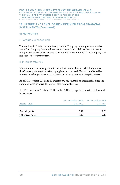### **19. NATURE AND LEVEL OF RISK DERIVIED FROM FINANCIAL INSTRUMENTS (Continued)**

c) Market Risk

### i. Foreign exchange risk

Transactions in foreign currencies expose the Company to foreign currency risk. Since The Company does not have material assets and liabilities denominated in foreign currency as of 31 December 2014 and 31 December 2013, the company was not exposed to currency risk.

### ii. Interest rate risk

Market interest rate changes on financial instruments lead to price fluctuations, the Company's interest rate risk coping leads to the need. This risk is affected by interest rate changes usually a short-term assets or managed to keep in reserve.

As of 31 December 2014 and 31 December 2013, there is no interest risk since the company owns no variable interest rated financial assets.

As of 31 December 2014 and 31 December 2013, average interest rates on financial instruments.

| Assets (TRY)      | TRY(%) | 31 December 2014 31 December 2013<br>TRY(%) |
|-------------------|--------|---------------------------------------------|
| Bank deposits     | 5.42   | 7.29                                        |
| Other receivables | 10.02  | 9.47                                        |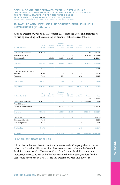### **19. NATURE AND LEVEL OF RISK DERIVIED FROM FINANCIAL INSTRUMENTS (Continued)**

# As of 31 December 2014 and 31 December 2013, financial assets and liabilities by re-pricing according to the remaining contractual maturities is as follows:

|                                              |           |                          | <b>Between</b> |                |                          |            |            |
|----------------------------------------------|-----------|--------------------------|----------------|----------------|--------------------------|------------|------------|
|                                              | Up to     | <b>Between</b>           | 3 months-      | <b>Between</b> | 5 years                  |            |            |
| 31 December 2013                             | 1 month   | 1-3 months               | 1 year         | $1-5$ years    | and over                 | Demand     | Total      |
| Cash and cash equivalents                    | 2.785.545 | $\overline{\phantom{a}}$ | ×              | ÷              | $\overline{\phantom{a}}$ | 296        | 2.785.841  |
| Financial investments                        | ä,        | ä,                       | ×,             | ä,             | $\overline{\phantom{a}}$ | 28.742.856 | 28.742.856 |
| Other receivables                            | ä,        | 858.846                  | 96.853         | 1.066.000      | $\overline{\phantom{a}}$ | ×,         | 2.021.699  |
|                                              |           |                          |                |                |                          |            |            |
| <b>Total</b> assets                          | 2.785.545 | 858.846                  | 96.853         | 1.066.000      |                          | 28.743.152 | 33.550.396 |
| Trade payables                               | 46.601    | $\overline{\phantom{a}}$ | ×              | ÷              | $\overline{\phantom{a}}$ | ×          | 46.601     |
| Other payables and short-term<br>liabilities | 67.504    |                          |                |                |                          |            | 67.504     |
| Provisions                                   | 76.386    | i,                       | 799            | ÷              | 12.976                   | ×          | 90.161     |
| <b>Total liabilities</b>                     | 190.491   |                          | 799            |                | 12.976                   |            | 204.266    |
| Net position                                 | 2.595.054 | 858.846                  | 96.054         | 1.066.000      | (12.976)                 | 28.743.152 | 33.346.130 |
|                                              |           |                          | <b>Between</b> |                |                          |            |            |
|                                              | Up to     | Between                  | 3 months-      | <b>Between</b> | 5 years                  |            |            |
| 31 December 2013                             | 1 month   | 1-3 months               | 1 year         | $1-5$ years    | and over                 | Demand     | Total      |
|                                              |           | ä,                       | ä,             | ä,             | ä,                       | 3.620      | 3.367.871  |
| Cash and Cash equivalents                    | 3.364.251 | $\overline{\phantom{a}}$ |                | $\frac{1}{2}$  | $\overline{\phantom{a}}$ | 13.156.460 | 13.156.460 |
| Financial invesment                          |           |                          |                |                |                          |            |            |
| Other short term receivables                 | 3.627     |                          | 24.166.766     | 297.515        | $\overline{\phantom{a}}$ |            | 24.467.908 |
| <b>Total</b> assets                          | 3.367.878 |                          | 24.166.766     | 297.515        | ×,                       | 13.160.080 | 40.992.239 |
| Trade payables                               | 483.018   |                          |                | ä              |                          | ä,         | 483.018    |
| Other current liabilities                    | 34.168    | ï                        | ٠              | ï              | i,                       | ä,         | 34.168     |
| Short term provision                         | 22.597    | í.                       | ł,             | ä              | 4.711                    | ä,         | 27.308     |
| <b>Total liabilities</b>                     | 539.783   |                          |                |                | 4.711                    |            | 544.494    |
| Net position                                 | 2.828.095 |                          | 24.166.766     | 297.515        | (4.711)                  | 13.160.080 | 40.447.745 |

### iii. Share certificate price risk

All the shares that are classified as financial assets in the Company's balance sheet reflect the fair value differences of profits/losses and are traded on the Istanbul Stock Exchange. As of 31 December 2014, if the Istanbul Stock Exchange index increases/decreases by 5%, with all other variables held constant, net loss for the year would have been by TRY 119.213 (31 December 2013: TRY 100.472).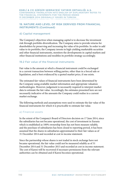# **19. NATURE AND LEVEL OF RISK DERIVIED FROM FINANCIAL INSTRUMENTS (Continued)**

# d) Capital management

The Company's objectives when managing capital is to decrease the investment risk through portfolio diversification. The Company aims to provide returns for shareholders by preserving and increasing the value of its portfolio. In order to add value to its portfolio, the Company invests in high-yielding marketable securities and other financial instruments, monitors the developments in capital markets and other financial institutions and modifies its portfolio strategy accordingly.

# 19.2 Fair value of the financial instruments

Fair value is the amount at which a financial instrument could be exchanged in a current transaction between willing parties, other than in a forced sale or liquidation, and is best evidenced by a quoted market price, if one exists.

The estimated fair values of financial instruments have been determined by the Company using available market information and appropriate valuation methodologies. However, judgement is necessarily required to interpret market data to estimate the fair value. Accordingly, the estimates presented here are not necessarily indicative of the amounts the Company could realise in a current market exchange.

The following methods and assumptions were used to estimate the fair value of the financial instruments for which it is practicable to estimate fair value.

# a) Financial assets

In the extent of the Company's Board of Directors decision on 17 June 2014, since the subsidiaries has not became operational, the cost of investment in Eurasia which is established as 100% ownership form has not been measure raliably, and the purchase of subsidiaries has been closed to reporting period, it has been assumed that the shares in subsidiaries approximated to their fair values as of 31 December 2014 and recorded at cost in income statement.

Since the partnership whose shares is not traded in stock exchange have not became operational, the fair value could not be measured relaibly as of 31 December 2014 and 31 December 2013 and recorded at cost in income statement. The cost of Karesi will be recovered if necessary permissons from the relevant authorities can be obtained and if Karesi becomes operational.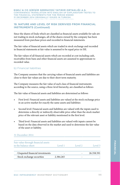# **19. NATURE AND LEVEL OF RISK DERIVIED FROM FINANCIAL INSTRUMENTS (Continued)**

Since the shares of Enda which are classified as financial assets available for sale are not trading in stock exchanges, all of the shares owned by the company has been measured from purchase prices and recorded in financial statements.

The fair value of financial assets which are traded in stock exchange and recorded in financial statements at fair value is assumed to be equal price in ISE.

The fair values of all financial assets which are recorded at cost including cash, receivables from bans and other financial assets are assumed to approximate to recorded value.

# b) Financial liabilities

The Company assumes that the carrying values of financial assets and liabilities are close to their fair values are due to their short term maturity.

The Company measures the fair value of each class of financial instruments according to the source, using a three-level hierarchy, are classified as follows

The fair value of financial assets and liabilities are determined as follows

- First level: Financial assets and liabilities are valued at the stock exchange price in an active market for exactly the same assets and liabilities
- Second level: Financial assets and liabilities are valued with the inputs used to determine a directly or indirectly observable price other than the stock market price of the relevant asset or liability mentioned in the first level.
- Third level: Financial assets and liabilities are valued with inputs cannot be based on the data observed in the market and used to determine the fair value of the asset or liability.

| Fair value through financial assets<br>in the balance sheet | Level 1   | Level 2 | Level 3    |
|-------------------------------------------------------------|-----------|---------|------------|
| -Unquoted financial investments                             | ۰         |         | 26.358.591 |
| -Stock exchange securities                                  | 2.384.265 |         |            |

### 31 December 2014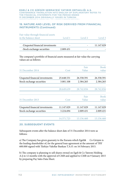## **19. NATURE AND LEVEL OF RISK DERIVIED FROM FINANCIAL INSTRUMENTS (Continued)**

| Fair value through financial assets |           |         |            |
|-------------------------------------|-----------|---------|------------|
| in the balance sheet                | Level 1   | Level 2 | Level 3    |
| -Unquoted financial investments     |           |         | 11.147.029 |
| -Stock exchange securities          | 2.009.431 | ٠       |            |

The company's portfolio of financial assets measured at fair value the carrying values are as follows:

| 31 December 2014               | Cost       | Fair<br>Value | <b>Book</b><br>value |
|--------------------------------|------------|---------------|----------------------|
|                                |            |               |                      |
| Unquoted financial investments | 25.648.531 | 26.358.591    | 26.358.591           |
| Stock exchange securities      | 3.001.108  | 2.384.265     | 2.384.265            |
|                                | 28.649.639 | 28.742.856    | 28.742.856           |
|                                |            | Fair          | <b>Book</b>          |
| 31 December 2013               | Cost       | Value         | value                |
| Unquoted financial investments | 11.147.029 | 11.147.029    | 11.147.029           |
| Stock exchange securities      | 3.224.694  | 2.009.431     | 2.009.431            |
|                                | 14.371.723 | 13.156.460    | 13.156.460           |
|                                |            |               |                      |

# **20. SUBSEQUENT EVENTS**

Subsequent events after the balance sheet date of 31 December 2014 were as follows:

a) The Company has given guaranty to the Eurasia which Egeli& Co Girişim is the leading shareholder of, for the general loan agreement at the amount of TRY 600.000 signed with Türkiye Vakıflar Bankası T.A.O. on 16 February 2015.

b) The company is planning to sell shares owned on Egeli & Co Yatırım Holding A.Ş in 12 months with the approval of CMB and applied to CMB on 9 January 2015 by preparing Pay Sales Data Sheet.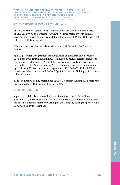## **20. SUBSEQUENT EVENTS (Continued)**

c) The company has started to legal actions which has completed its sale price of TRY 25.750.000 on 3 December 2013, the venture capital investment KRC Gayrimenkul Yatırım A.Ş. for last installment of amount TRY 8.748.880 that is not collected on 12 February 2015.

Subsequent events after the balance sheet date of 31 December 2013 were as follows:

a) EGC pre-purchase agreement for the takeover of the shares, on 6 February 2014, Egeli & Co Yatırım Holding A.Ş terminated by mutual agreement and with the purchase of shares for TRY 3.000.000 has been paid in advance with legal interest Egeli & Co Yatırım Holding A.Ş has been understood in reimbursement by 6 February 2014 on the advance payment of TRY 1.000.000 of TRY 1.088.452 together with legal interest and the VAT Egeli & Co Yatırım Holding A.Ş. has been collected (Note 7).

b) The company's leading shareholder Egeli & Co Yatırım Holding A.Ş.'s share rate has dropped to % 84.03 as of 27 February 2014.

# **21. OTHER ISSUES**

A personal liability lawsuit was filed on 11 December 2014 by Şeker Finansal Kiralama A.Ş., the surety holder of former affiliate (KRC) of the company, against the board of directors members working for the Company during the period while KRC was held by the Company.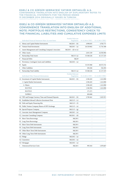# **EGELİ & CO GİRİŞİM SERMAYESİ YATIRIM ORTAKLIĞI A.Ş. CONVENIENCE TRANSLATION INTO ENGLISH OF ADDITIONAL NOTE: PORTFOLIO RESTRICTIONS, CONSISTENCY CHECK TO THE FINANCIAL LIABILITIES AND CUMULATIVE EXPENSES LIMITS**

|    |                                                       | <b>Notified Relevant</b> |                  |                  |
|----|-------------------------------------------------------|--------------------------|------------------|------------------|
|    | Individual Financial Statement Main Account Items     | Regulation               | 31.12.2014 (TRY) | 31.12.2013 (TRY) |
| Α  | Money and Capital Market Instruments                  | $Md.20/1 - (b)$          | 4.998.835        | 4.782.771        |
| B  | Venture Fund Investments                              | $Md.20/1 - (a)$          | 26.529.862       | 11.741.560       |
| С  | Assets Management and Consulting Company's Associates | $Md.20/1 - (d)$ ve (e)   |                  |                  |
| D  | Other Assets                                          |                          | 2.031.529        | 24.592.904       |
| E  | Partnership Total Assets                              | $Md.3/1-(a)$             | 33.560.226       | 41.117.235       |
| F  | <b>Financial Debts</b>                                | Md.29                    |                  |                  |
| G  | Provisions, Contingent Assets and Liabilities         | $Md.20/2 - (a)$          |                  |                  |
| н  | Equity                                                |                          | 33.355.960       | 40.572.741       |
| T  | Other Liabilities                                     |                          | 204.266          | 544.494          |
| E  | Partnership Total Liability                           | $Md.3/1-(a)$             | 33.560.226       | 41.117.235       |
|    |                                                       | <b>Notified Relevant</b> |                  |                  |
|    | <b>Individual Other Financial Informations</b>        | Regulation               | 31.12.2014 (TRY) | 31.12.2013 (TRY) |
|    | A1 Investment of Capital Market Instruments           | $Md.20/1 - (b)$          | 2.384.265        | 1.414.900        |
|    | 1. Capital Market Instruments                         |                          | 2.384.265        | 1.414.900        |
|    | A-Shares                                              |                          | 2.384.265        | 1.414.900        |
|    | <b>EGCYH.E</b>                                        |                          | 1.382.994        | 1.414.900        |
|    | EGCYO.E                                               |                          | 171.271          |                  |
|    | YAPRK.E                                               |                          | 830.000          |                  |
|    | A2 TRY and Foreign Currency Time and Demand Deposits  | $Md.20/1 - (b)$          | 2.785.841        | 3.367.871        |
| B1 | Established Abroad Collective Investment Firm         | $Md.21/3 - (c)$          |                  |                  |
|    | B2 Debt and Equity Financing Mix                      | $Md.21/3 - (f)$          |                  |                  |
| B3 | Public Venture Company Shares of OFF-Exchange         | $Md.21/3 - (e)$          |                  |                  |
| B4 | Special Purpose Company                               | $Md.21/3 - (g)$          | i.               |                  |
| C1 | Associate Asset Management Company                    | $Md.20/1 - (e)$          | ٠                |                  |
| C2 | Associate Consulting Company                          | $Md.20/1 - (d)$          | ٠                |                  |
| F1 | Short-Term Borrowings                                 | Md.29/1                  |                  |                  |
| F2 | Long-Term Borrowings                                  | Md.29/1                  | ä                |                  |
| F3 | Short-Term Debt Instruments                           | Md.29/1                  |                  |                  |
| F4 | Long-Term Debt Instruments                            | Md.29/1                  | i.               |                  |
| F5 | Other Short-Term Debt Instruments                     | Md.29/1                  | ×                |                  |
| F6 | Other Long-Term Debt Instruments                      | Md.29/1                  | ٠                |                  |
| G1 | Pledge                                                | $Md.20/2 - (a)$          | i,               |                  |
|    | G <sub>2</sub> Guarantees                             | $Md.20/2 - (a)$          |                  |                  |
|    | G3 Mortgages                                          | $Md.20/2 - (a)$          |                  |                  |
| I  | <b>Outsourced Services Costs</b>                      | Md.26/1                  | 995.563          | 1.070.667        |
|    |                                                       |                          |                  |                  |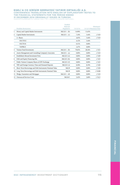|                | <b>Portfolio Restrictions</b>                            | Notified<br>Relevant<br>Regulation | 31/12/14 | 31/12/13Maximum Rate | Minimum/    |
|----------------|----------------------------------------------------------|------------------------------------|----------|----------------------|-------------|
| 1              | Money and Capital Market Instruments                     | $Md.22/1 - (b)$                    | 14,90%   | 11.63%               |             |
| $\mathfrak{D}$ | Capital Market Instruments                               | $Md.22/1 - (c)$                    | 7,10%    | 3.44%                | $< \%10$    |
|                | A -Shares                                                |                                    | 4,63%    | 3.44%                | $< \%10$    |
|                | <b>EGCYH.E</b>                                           |                                    | 4,12%    | 3.44%                |             |
|                | EGCYO.E                                                  |                                    | 0.51%    | 0.00%                |             |
|                | YAPRK.E                                                  |                                    | 2,47%    | 0.00%                |             |
| 3              | Venture Fund Investments                                 | $Md.22/1 - (b)$                    | 79,05%   | 28.56%               | $\geq$ %51  |
| 4              | Assets Management and Consulting Company's Associates    | $Md.22/1 - (c)$                    | 0.00%    | 0.00%                | $< \%10$    |
| 5              | Established Abroad Investment Firm                       | $Md.22/1-(e)$                      | 0.00%    | 0.00%                | $<$ %49     |
| 6              | Debt and Equity Financing Mix                            | $Md.22/1-(h)$                      | 0.00%    | 0.00%                | $\leq$ %25  |
| 7              | Public Venture Company Shares of OFF-Exchange            | $Md.22/1-(f)$                      | 0.00%    | 0.00%                | $<$ %25     |
| 8              | TRY and Foreign Currency Time and Demand Deposits        | $Md.22/1-(1)$                      | 8.30%    | 8.19%                | $\leq$ %20  |
| 9              | Short-Term Borrowings and Debt Instruments Nominal Value | Md.29                              | 0.00%    | 0.00%                | $\leq$ %50  |
| 10             | Long-Term Borrowings and Debt Instruments Nominal Value  | Md.29                              | 0.00%    | 0.00%                | $< \%200$   |
| 11             | Pledge, Guarantees and Mortgages                         | $Md.22/1 - (d)$                    | 0.00%    | 0.00%                | $< \%10$    |
| 12.            | Outsourced Services Costs                                | Md.26/1                            | 2.42%    | 2.60%                | $\leq$ %2,5 |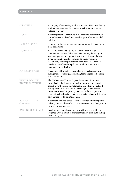| <b>SUBSIDIARY</b>                                 | A company whose voting stock is more than 50% controlled by<br>another company, usually referred to as the parent company or<br>holding company.                                                                                                                                                                                                                                                                                 |
|---------------------------------------------------|----------------------------------------------------------------------------------------------------------------------------------------------------------------------------------------------------------------------------------------------------------------------------------------------------------------------------------------------------------------------------------------------------------------------------------|
| <b>TICKER</b>                                     | An arrangement of characters (usually letters) representing a<br>particular security listed on an exchange or otherwise traded<br>publicly.                                                                                                                                                                                                                                                                                      |
| <b>CURRENT RATIO</b>                              | A liquidity ratio that measures a company's ability to pay short-<br>term obligations.                                                                                                                                                                                                                                                                                                                                           |
| <b>E-COMPANY</b>                                  | According to the Article No. 1524 of the new Turkish<br>Commercial Law which has been effective by July 2012 joint<br>stock companies are required to open web sites and disclose<br>stated information and documents on those web sites.<br>E-Company, the company information portal that has been<br>developed based on the legally required information and<br>documents to be disclosed.                                    |
| FEASIBLITY STUDY                                  | An analysis of the ability to complete a project successfully,<br>taking into account legal, economic, technological, scheduling<br>and other factors.                                                                                                                                                                                                                                                                           |
| <b>VENTURE CAPITAL</b><br><b>INVESTMENT TRUST</b> | The CMB defines Venture Capital Investment Trusts as a<br>form of collective investment institutions, directing issued<br>capital toward venture capital investments which are defined<br>as long-term fund transfers, by investing in capital market<br>instruments issued in primary markets by the entrepreneur<br>companies already established or to be established, with the aim<br>of obtaining capital or interest gains |
| PUBLICLY-TRADED<br><b>COMPANY</b>                 | A company that has issued securities through an initial public<br>offering (IPO) and is traded on at least one stock exchange or in<br>the over the counter market.                                                                                                                                                                                                                                                              |
| <b>EARNINGS PER SHARE</b>                         | Earnings per share determined by dividing net profit by the<br>weighted average number of shares that have been outstanding<br>during the year.                                                                                                                                                                                                                                                                                  |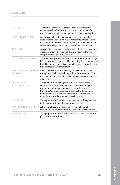GLOSSARY

| <b>ISIN CODE</b>                         | The ISIN standard is used worldwide to identify specific<br>securities such as bonds, stocks (common and preferred),<br>futures, warrant, rights, trusts, commercial paper and options.                                                                                                                                                                            |
|------------------------------------------|--------------------------------------------------------------------------------------------------------------------------------------------------------------------------------------------------------------------------------------------------------------------------------------------------------------------------------------------------------------------|
| PRIVILEGED SHARES                        | A privilege right is defined as a superior right granted to<br>share or share. Preferential rights concerning dividends or the<br>distribution of the assets of the company in case of winding up<br>and other privileges to certain classes of share certificates.                                                                                                |
| <b>AFFILIATE</b>                         | A type of inter-company relationship in which parent company<br>directly or indirectly owns less than a majority of the other<br>company's stock. (from 10% to 50%)                                                                                                                                                                                                |
| <b>GEOTHERMAL ENERGY</b>                 | A form of energy obtained from within the earth, originating in<br>its core; also, energy produced by extracting the earth's internal<br>heat. Geothermal energy is a renewable energy source that does<br>little damage to the environment.                                                                                                                       |
| PDP-PUBLIC DISCLOSURE<br><b>PLATFORM</b> | Public Disclosure Platform (PDP) is an electronic system<br>through which electronically signed notifications required by<br>the capital markets and Borsa Istanbul regulations are publicly<br>disclosed                                                                                                                                                          |
| CORPORATE<br><b>SUSTAINABILITY</b>       | Adopting business strategies that meet the needs of the<br>enterprise and its stakeholders today while sustaining the<br>resources, both human and natural, that will be needed in<br>the future. Corporate response to sustainable development<br>represented by strategies and practices that address the key<br>issues for the world's sustainable development. |
| LIQUIDITY                                | The degree to which an asset or security can be bought or sold<br>in the market without affecting the asset's price.                                                                                                                                                                                                                                               |
| <b>AGENCY</b>                            | CRA - CENTRAL REGISTRY is the central securities depository for capital market<br>instruments which are decided by CMB to be dematerialized.                                                                                                                                                                                                                       |
| <b>BEARER SHARE</b>                      | An equity security that is wholly owned by whoever holds the<br>physical stock certificate.                                                                                                                                                                                                                                                                        |

117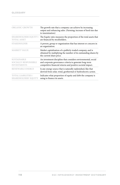GLOSSARY **Contract Contract Contract** 

| ORGANIC GROWTH                                                          | The growth rate that a company can achieve by increasing<br>output and enhancing sales. (Farming; increase of herd size due<br>to insemination)                                         |
|-------------------------------------------------------------------------|-----------------------------------------------------------------------------------------------------------------------------------------------------------------------------------------|
| SHAREHOLDERS EQUITY /<br><b>TOTAL ASSET</b>                             | The Equity ratio measures the proportion of the total assets that<br>are financed by stockholders.                                                                                      |
| <b>STAKEHOLDER</b>                                                      | A person, group or organization that has interest or concern in<br>an organization.                                                                                                     |
| <b>MARKET VALUE</b>                                                     | Market capitalization of a publicly-traded company, and is<br>obtained by multiplying the number of its outstanding shares by<br>the current share price.                               |
| <b>SUSTAINABLE</b><br><b>SOCIALLY RESPONSIBLE</b><br><b>INVESTMENTS</b> | An investment discipline that considers environmental, social<br>and corporate governance criteria to generate long-term<br>competitive financial returns and positive societal impact. |
| RENEWABLE ENERGY                                                        | Is any energy source that is naturally replenished, like that<br>derived from solar, wind, geothermal or hydroelectric action.                                                          |
| <b>TOTAL LIABILITIES /</b><br><b>SHAREHOLDERS' EOUITY</b>               | Indicates what proportion of equity and debt the company is<br>using to finance its assets.                                                                                             |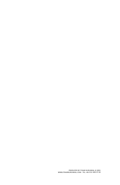PRODUCED BY FINAR KURUMSAL @ 2015<br>WWW.FINARKURUMSAL.COM • TEL +90 212 269 37 20